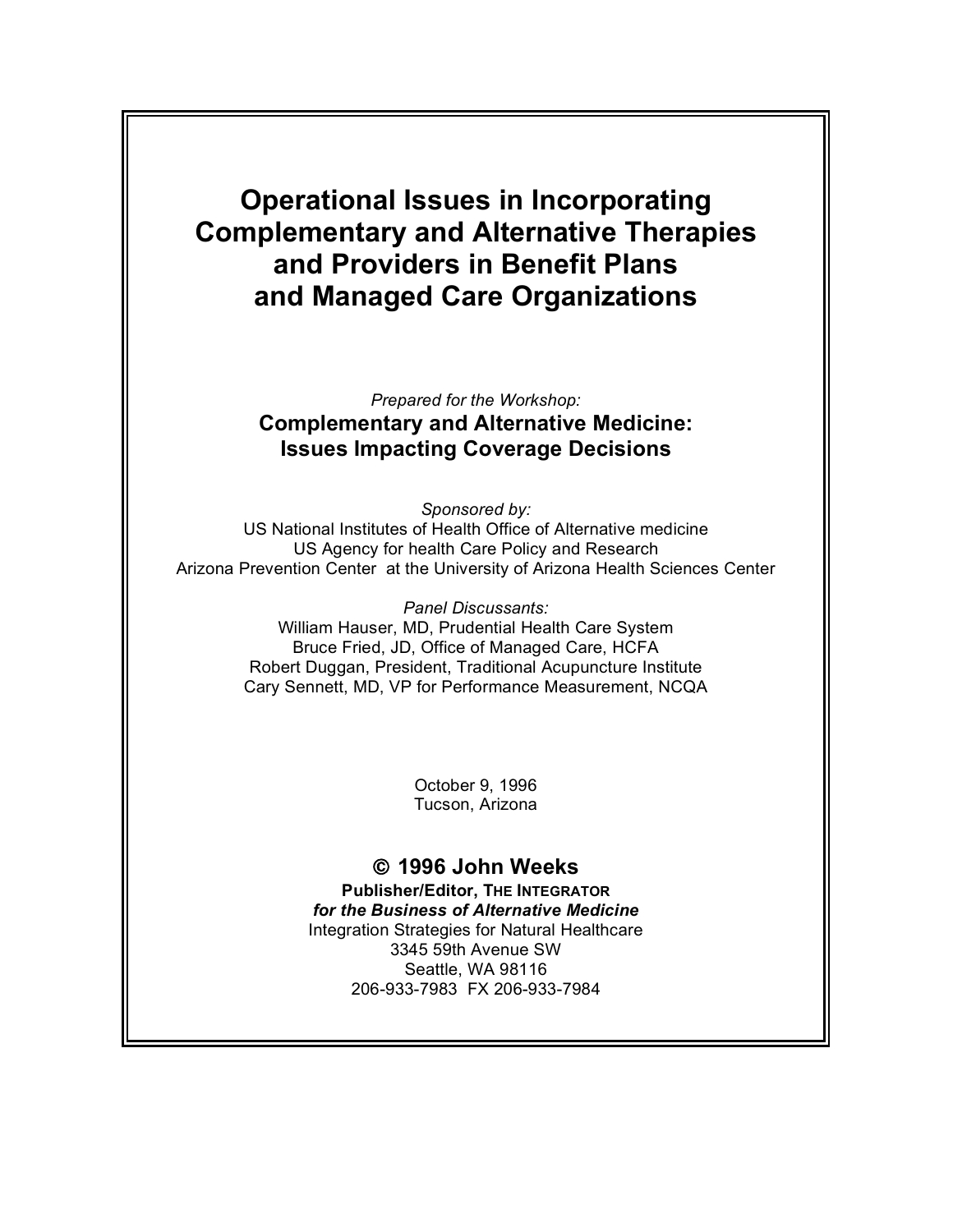**Operational Issues in Incorporating Complementary and Alternative Therapies and Providers in Benefit Plans and Managed Care Organizations**

> *Prepared for the Workshop:* **Complementary and Alternative Medicine: Issues Impacting Coverage Decisions**

> > *Sponsored by:*

US National Institutes of Health Office of Alternative medicine US Agency for health Care Policy and Research Arizona Prevention Center at the University of Arizona Health Sciences Center

> *Panel Discussants:* William Hauser, MD, Prudential Health Care System Bruce Fried, JD, Office of Managed Care, HCFA Robert Duggan, President, Traditional Acupuncture Institute Cary Sennett, MD, VP for Performance Measurement, NCQA

> > October 9, 1996 Tucson, Arizona

# © **1996 John Weeks**

**Publisher/Editor, THE INTEGRATOR** *for the Business of Alternative Medicine* Integration Strategies for Natural Healthcare 3345 59th Avenue SW Seattle, WA 98116 206-933-7983 FX 206-933-7984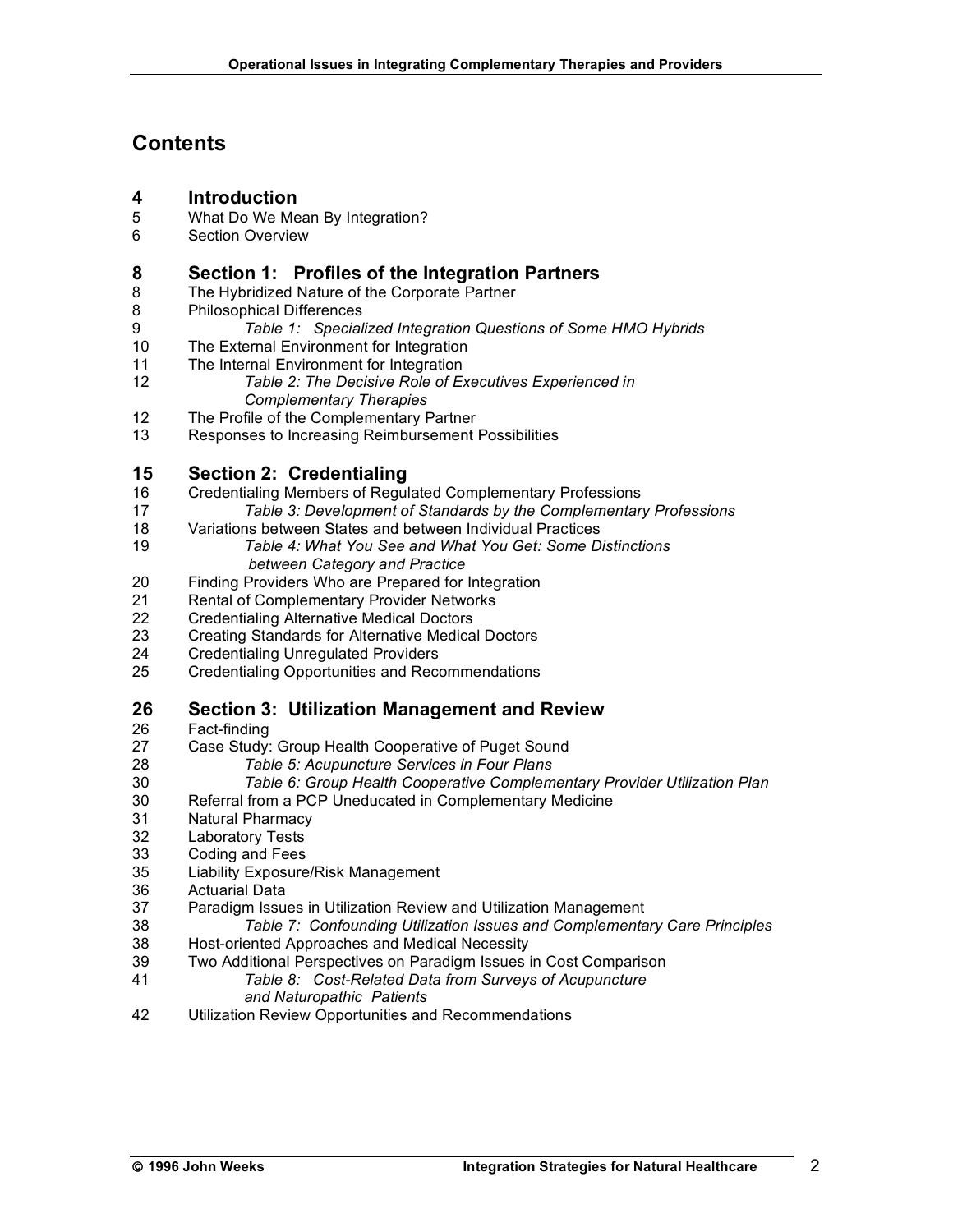# **Contents**

# **Introduction**

- What Do We Mean By Integration?
- Section Overview

# **Section 1: Profiles of the Integration Partners**

- The Hybridized Nature of the Corporate Partner
- Philosophical Differences
- *Table 1: Specialized Integration Questions of Some HMO Hybrids*
- The External Environment for Integration
- The Internal Environment for Integration
- *Table 2: The Decisive Role of Executives Experienced in Complementary Therapies*
- The Profile of the Complementary Partner
- Responses to Increasing Reimbursement Possibilities

# **Section 2: Credentialing**

- Credentialing Members of Regulated Complementary Professions
- *Table 3: Development of Standards by the Complementary Professions*
- Variations between States and between Individual Practices
- *Table 4: What You See and What You Get: Some Distinctions between Category and Practice*
- Finding Providers Who are Prepared for Integration
- Rental of Complementary Provider Networks
- Credentialing Alternative Medical Doctors
- Creating Standards for Alternative Medical Doctors
- Credentialing Unregulated Providers
- Credentialing Opportunities and Recommendations

# **Section 3: Utilization Management and Review**

- Fact-finding
- Case Study: Group Health Cooperative of Puget Sound
- *Table 5: Acupuncture Services in Four Plans*
- *Table 6: Group Health Cooperative Complementary Provider Utilization Plan*
- Referral from a PCP Uneducated in Complementary Medicine
- Natural Pharmacy
- Laboratory Tests
- Coding and Fees
- Liability Exposure/Risk Management
- Actuarial Data
- Paradigm Issues in Utilization Review and Utilization Management
- *Table 7: Confounding Utilization Issues and Complementary Care Principles*
- Host-oriented Approaches and Medical Necessity
- Two Additional Perspectives on Paradigm Issues in Cost Comparison
- *Table 8: Cost-Related Data from Surveys of Acupuncture and Naturopathic Patients*
- Utilization Review Opportunities and Recommendations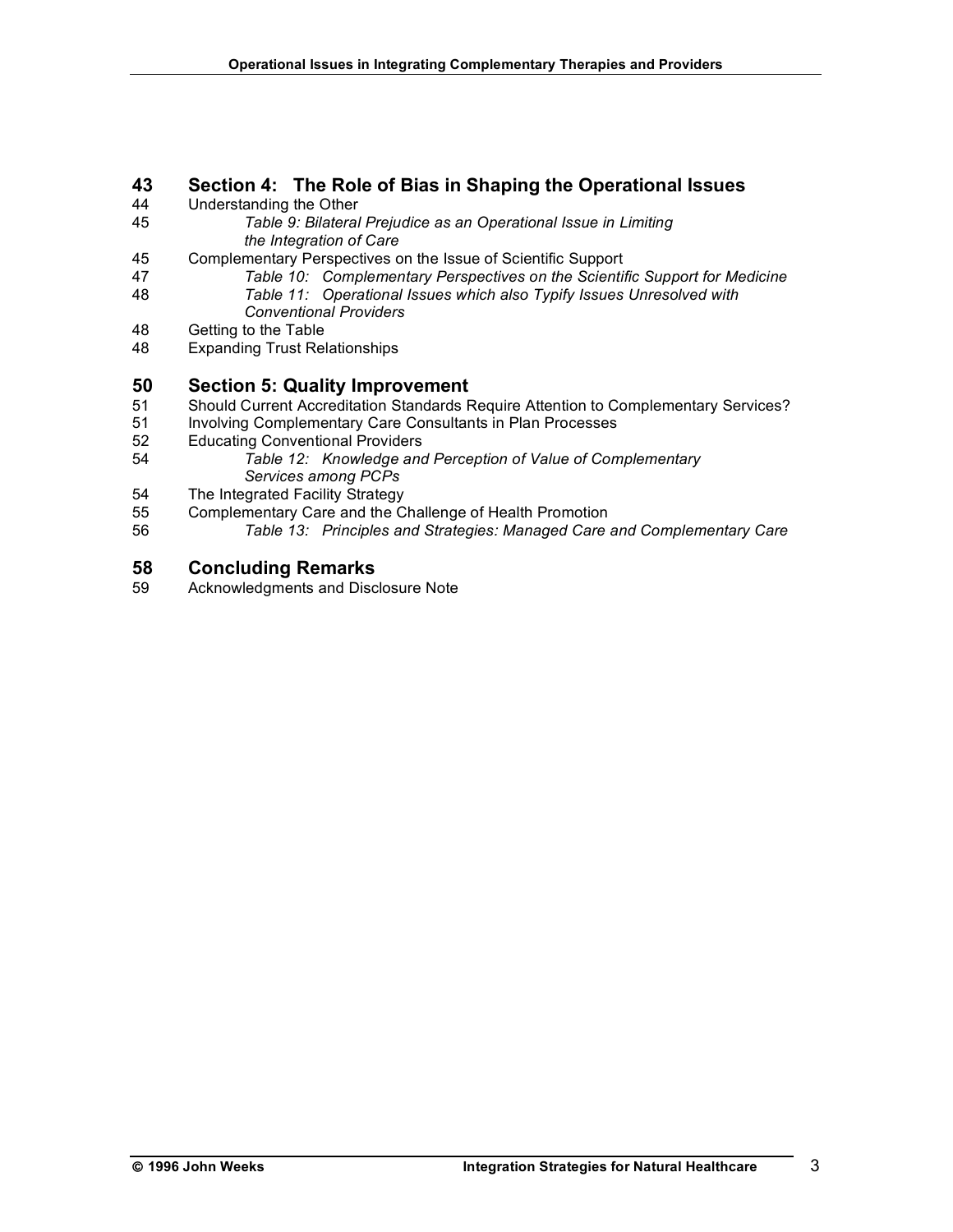# **Section 4: The Role of Bias in Shaping the Operational Issues**

- Understanding the Other
- *Table 9: Bilateral Prejudice as an Operational Issue in Limiting the Integration of Care*
- Complementary Perspectives on the Issue of Scientific Support
- *Table 10: Complementary Perspectives on the Scientific Support for Medicine*
- *Table 11: Operational Issues which also Typify Issues Unresolved with*
- *Conventional Providers*
- Getting to the Table
- Expanding Trust Relationships

# **Section 5: Quality Improvement**

- Should Current Accreditation Standards Require Attention to Complementary Services?
- Involving Complementary Care Consultants in Plan Processes
- Educating Conventional Providers
- *Table 12: Knowledge and Perception of Value of Complementary Services among PCPs*
- The Integrated Facility Strategy
- Complementary Care and the Challenge of Health Promotion
- *Table 13: Principles and Strategies: Managed Care and Complementary Care*

# **Concluding Remarks**

Acknowledgments and Disclosure Note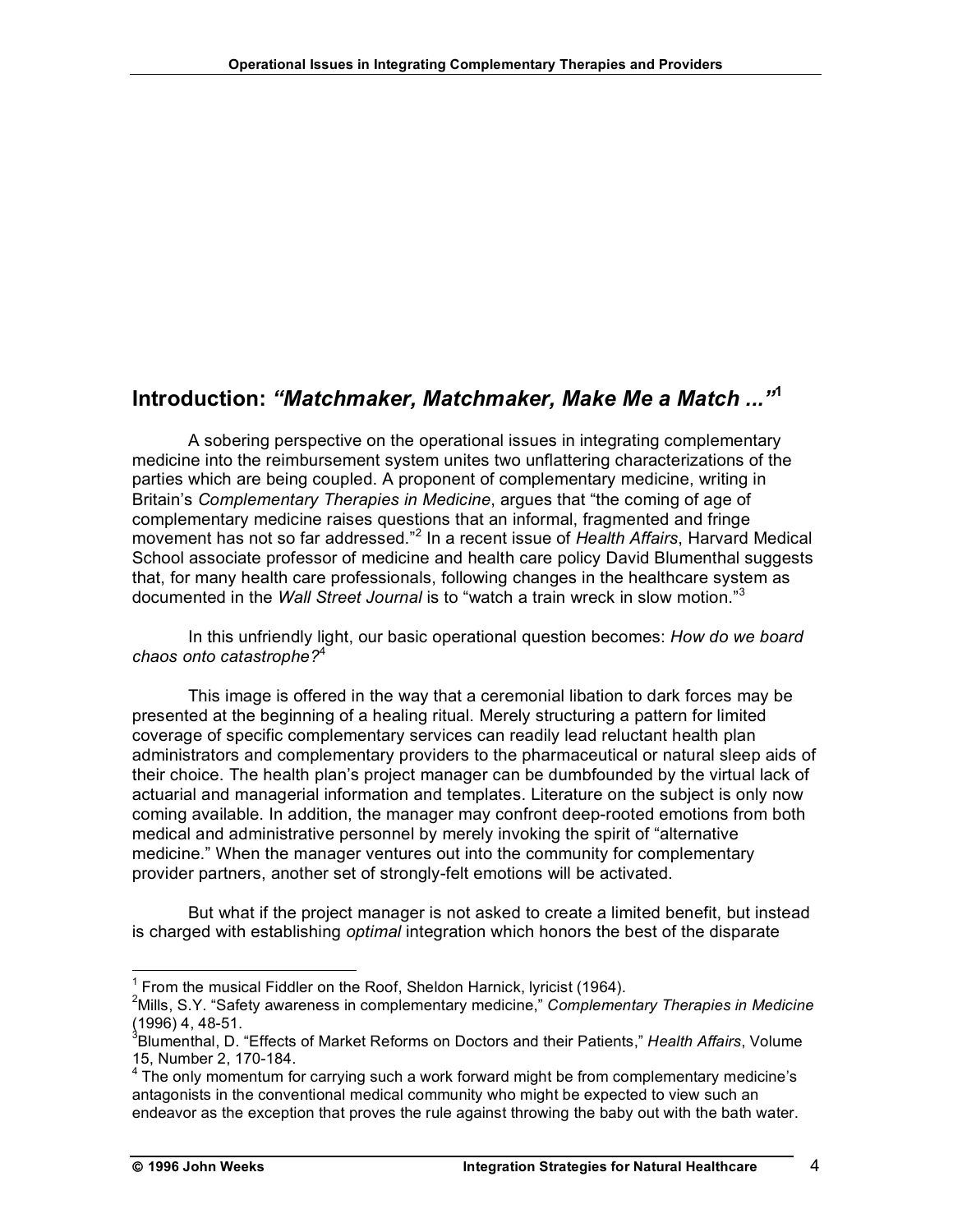# **Introduction:** *"Matchmaker, Matchmaker, Make Me a Match ..."***<sup>1</sup>**

A sobering perspective on the operational issues in integrating complementary medicine into the reimbursement system unites two unflattering characterizations of the parties which are being coupled. A proponent of complementary medicine, writing in Britain's *Complementary Therapies in Medicine*, argues that "the coming of age of complementary medicine raises questions that an informal, fragmented and fringe movement has not so far addressed." <sup>2</sup> In a recent issue of *Health Affairs*, Harvard Medical School associate professor of medicine and health care policy David Blumenthal suggests that, for many health care professionals, following changes in the healthcare system as documented in the *Wall Street Journal* is to "watch a train wreck in slow motion." 3

In this unfriendly light, our basic operational question becomes: *How do we board chaos onto catastrophe?*<sup>4</sup>

This image is offered in the way that a ceremonial libation to dark forces may be presented at the beginning of a healing ritual. Merely structuring a pattern for limited coverage of specific complementary services can readily lead reluctant health plan administrators and complementary providers to the pharmaceutical or natural sleep aids of their choice. The health plan's project manager can be dumbfounded by the virtual lack of actuarial and managerial information and templates. Literature on the subject is only now coming available. In addition, the manager may confront deep-rooted emotions from both medical and administrative personnel by merely invoking the spirit of "alternative medicine." When the manager ventures out into the community for complementary provider partners, another set of strongly-felt emotions will be activated.

But what if the project manager is not asked to create a limited benefit, but instead is charged with establishing *optimal* integration which honors the best of the disparate

 $1$  From the musical Fiddler on the Roof, Sheldon Harnick, lyricist (1964).

Mills, S.Y. "Safety awareness in complementary medicine," *Complementary Therapies in Medicine* (1996) 4, 48-51. <sup>3</sup>

<sup>&</sup>lt;sup>3</sup>Blumenthal, D. "Effects of Market Reforms on Doctors and their Patients," *Health Affairs*, Volume<br>15. Number 2, 170-184.

<sup>15,</sup> Number 2, 170-184. A The carrying such a work forward might be from complementary medicine's antagonists in the conventional medical community who might be expected to view such an endeavor as the exception that proves the rule against throwing the baby out with the bath water.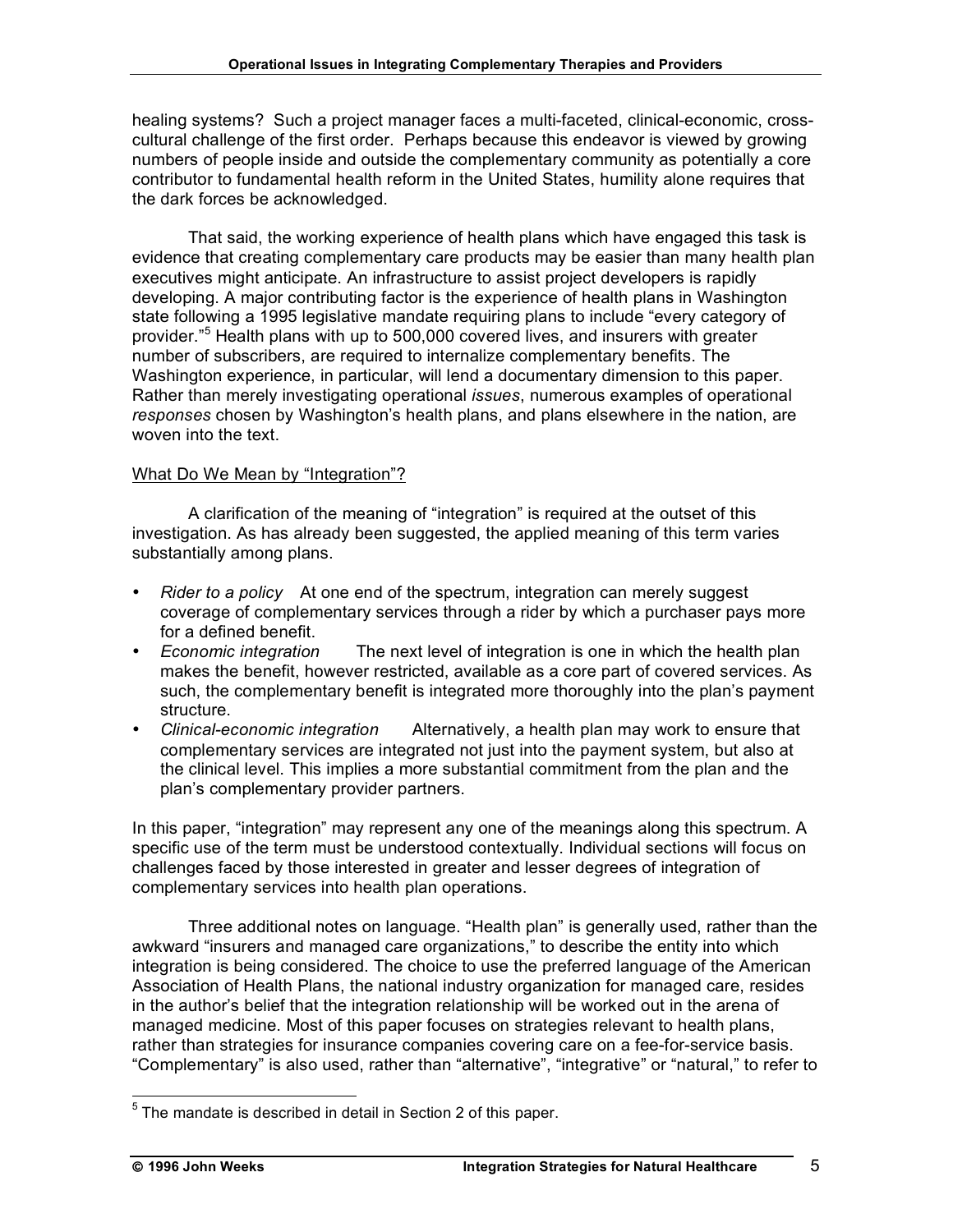healing systems? Such a project manager faces a multi-faceted, clinical-economic, crosscultural challenge of the first order. Perhaps because this endeavor is viewed by growing numbers of people inside and outside the complementary community as potentially a core contributor to fundamental health reform in the United States, humility alone requires that the dark forces be acknowledged.

That said, the working experience of health plans which have engaged this task is evidence that creating complementary care products may be easier than many health plan executives might anticipate. An infrastructure to assist project developers is rapidly developing. A major contributing factor is the experience of health plans in Washington state following a 1995 legislative mandate requiring plans to include "every category of provider." <sup>5</sup> Health plans with up to 500,000 covered lives, and insurers with greater number of subscribers, are required to internalize complementary benefits. The Washington experience, in particular, will lend a documentary dimension to this paper. Rather than merely investigating operational *issues*, numerous examples of operational *responses* chosen by Washington's health plans, and plans elsewhere in the nation, are woven into the text.

# What Do We Mean by "Integration"?

A clarification of the meaning of "integration" is required at the outset of this investigation. As has already been suggested, the applied meaning of this term varies substantially among plans.

- *Rider to a policy* At one end of the spectrum, integration can merely suggest coverage of complementary services through a rider by which a purchaser pays more for a defined benefit.
- *Economic integration* The next level of integration is one in which the health plan makes the benefit, however restricted, available as a core part of covered services. As such, the complementary benefit is integrated more thoroughly into the plan's payment structure.
- *Clinical-economic integration* Alternatively, a health plan may work to ensure that complementary services are integrated not just into the payment system, but also at the clinical level. This implies a more substantial commitment from the plan and the plan's complementary provider partners.

In this paper, "integration" may represent any one of the meanings along this spectrum. A specific use of the term must be understood contextually. Individual sections will focus on challenges faced by those interested in greater and lesser degrees of integration of complementary services into health plan operations.

Three additional notes on language. "Health plan" is generally used, rather than the awkward "insurers and managed care organizations," to describe the entity into which integration is being considered. The choice to use the preferred language of the American Association of Health Plans, the national industry organization for managed care, resides in the author's belief that the integration relationship will be worked out in the arena of managed medicine. Most of this paper focuses on strategies relevant to health plans, rather than strategies for insurance companies covering care on a fee-for-service basis. "Complementary" is also used, rather than "alternative", "integrative" or "natural," to refer to

 $5$  The mandate is described in detail in Section 2 of this paper.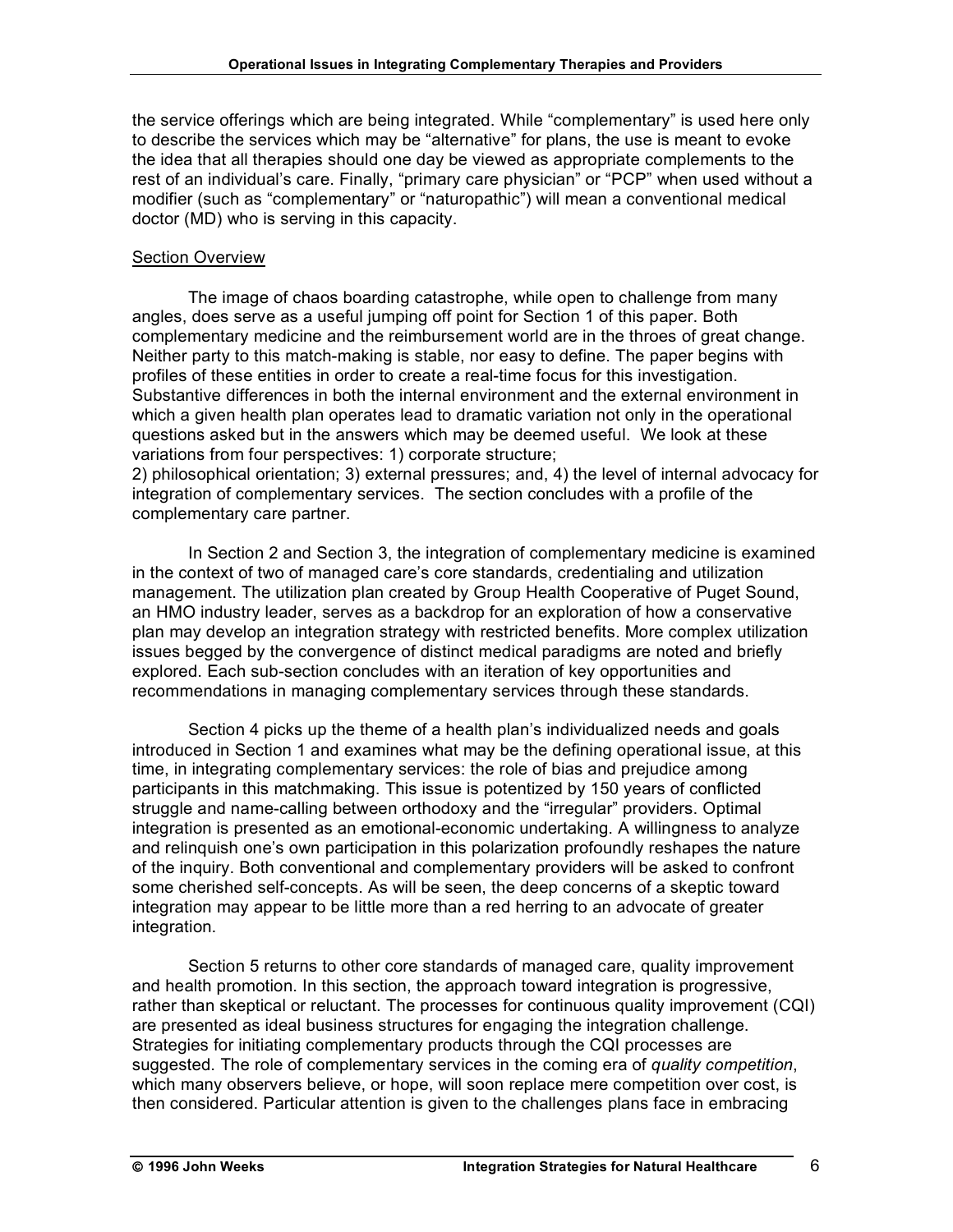the service offerings which are being integrated. While "complementary" is used here only to describe the services which may be "alternative" for plans, the use is meant to evoke the idea that all therapies should one day be viewed as appropriate complements to the rest of an individual's care. Finally, "primary care physician" or "PCP" when used without a modifier (such as "complementary" or "naturopathic") will mean a conventional medical doctor (MD) who is serving in this capacity.

# **Section Overview**

The image of chaos boarding catastrophe, while open to challenge from many angles, does serve as a useful jumping off point for Section 1 of this paper. Both complementary medicine and the reimbursement world are in the throes of great change. Neither party to this match-making is stable, nor easy to define. The paper begins with profiles of these entities in order to create a real-time focus for this investigation. Substantive differences in both the internal environment and the external environment in which a given health plan operates lead to dramatic variation not only in the operational questions asked but in the answers which may be deemed useful. We look at these variations from four perspectives: 1) corporate structure;

2) philosophical orientation; 3) external pressures; and, 4) the level of internal advocacy for integration of complementary services. The section concludes with a profile of the complementary care partner.

In Section 2 and Section 3, the integration of complementary medicine is examined in the context of two of managed care's core standards, credentialing and utilization management. The utilization plan created by Group Health Cooperative of Puget Sound, an HMO industry leader, serves as a backdrop for an exploration of how a conservative plan may develop an integration strategy with restricted benefits. More complex utilization issues begged by the convergence of distinct medical paradigms are noted and briefly explored. Each sub-section concludes with an iteration of key opportunities and recommendations in managing complementary services through these standards.

Section 4 picks up the theme of a health plan's individualized needs and goals introduced in Section 1 and examines what may be the defining operational issue, at this time, in integrating complementary services: the role of bias and prejudice among participants in this matchmaking. This issue is potentized by 150 years of conflicted struggle and name-calling between orthodoxy and the "irregular" providers. Optimal integration is presented as an emotional-economic undertaking. A willingness to analyze and relinquish one's own participation in this polarization profoundly reshapes the nature of the inquiry. Both conventional and complementary providers will be asked to confront some cherished self-concepts. As will be seen, the deep concerns of a skeptic toward integration may appear to be little more than a red herring to an advocate of greater integration.

Section 5 returns to other core standards of managed care, quality improvement and health promotion. In this section, the approach toward integration is progressive, rather than skeptical or reluctant. The processes for continuous quality improvement (CQI) are presented as ideal business structures for engaging the integration challenge. Strategies for initiating complementary products through the CQI processes are suggested. The role of complementary services in the coming era of *quality competition*, which many observers believe, or hope, will soon replace mere competition over cost, is then considered. Particular attention is given to the challenges plans face in embracing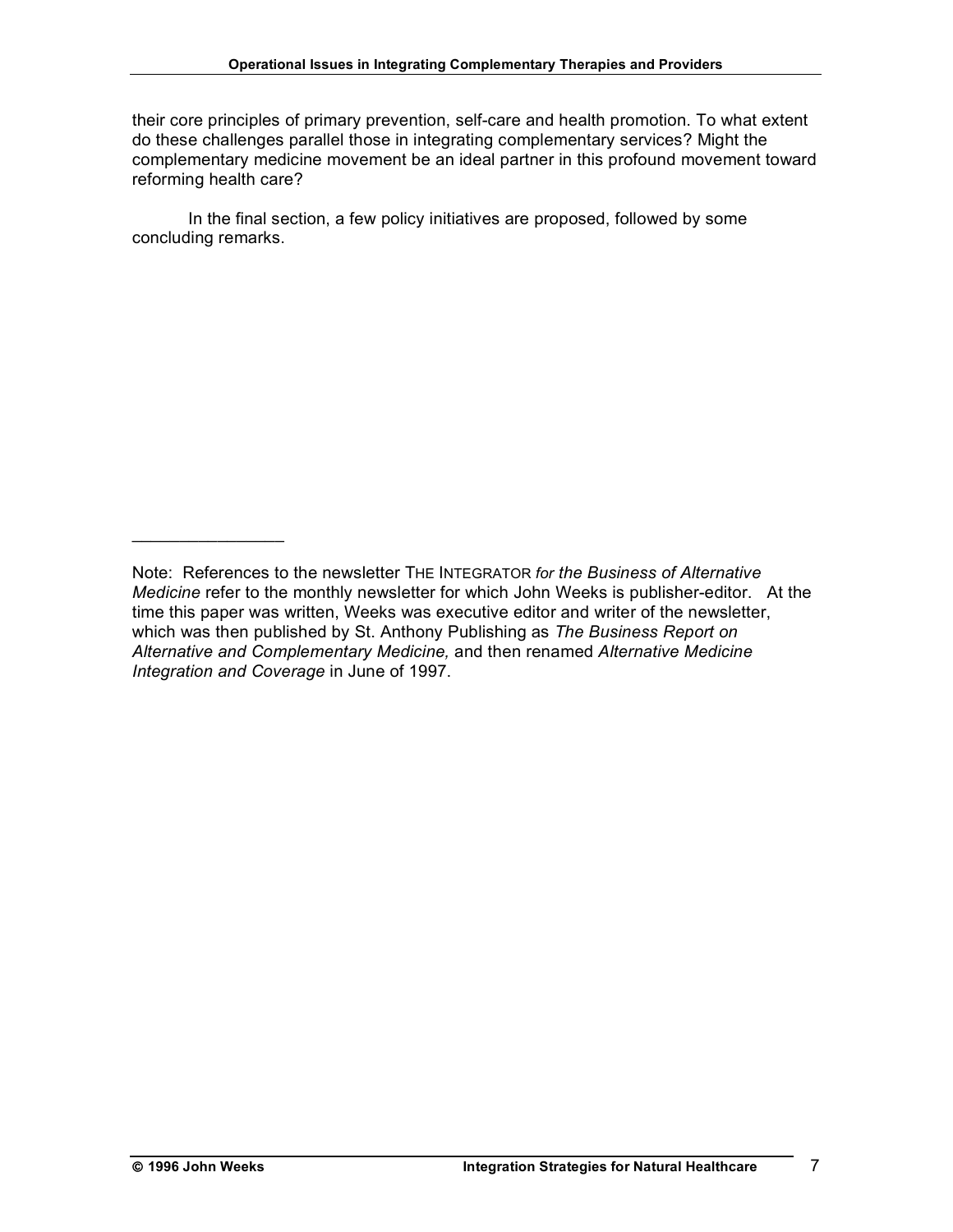their core principles of primary prevention, self-care and health promotion. To what extent do these challenges parallel those in integrating complementary services? Might the complementary medicine movement be an ideal partner in this profound movement toward reforming health care?

In the final section, a few policy initiatives are proposed, followed by some concluding remarks.

 $\overline{\phantom{a}}$  , which is a set of the set of the set of the set of the set of the set of the set of the set of the set of the set of the set of the set of the set of the set of the set of the set of the set of the set of th

Note: References to the newsletter THE INTEGRATOR *for the Business of Alternative Medicine* refer to the monthly newsletter for which John Weeks is publisher-editor. At the time this paper was written, Weeks was executive editor and writer of the newsletter, which was then published by St. Anthony Publishing as *The Business Report on Alternative and Complementary Medicine,* and then renamed *Alternative Medicine Integration and Coverage* in June of 1997.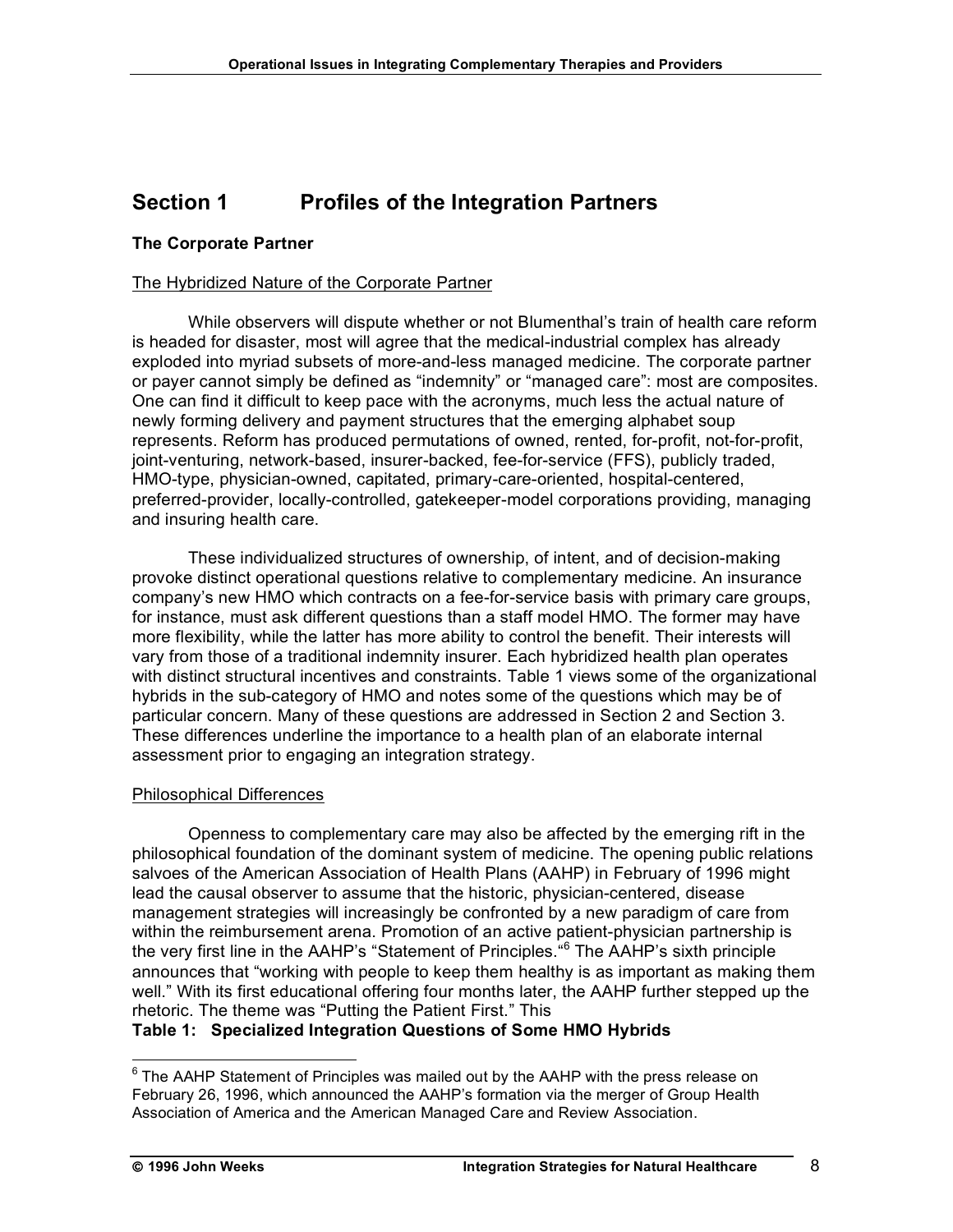# **Section 1 Profiles of the Integration Partners**

#### **The Corporate Partner**

#### The Hybridized Nature of the Corporate Partner

While observers will dispute whether or not Blumenthal's train of health care reform is headed for disaster, most will agree that the medical-industrial complex has already exploded into myriad subsets of more-and-less managed medicine. The corporate partner or payer cannot simply be defined as "indemnity" or "managed care": most are composites. One can find it difficult to keep pace with the acronyms, much less the actual nature of newly forming delivery and payment structures that the emerging alphabet soup represents. Reform has produced permutations of owned, rented, for-profit, not-for-profit, joint-venturing, network-based, insurer-backed, fee-for-service (FFS), publicly traded, HMO-type, physician-owned, capitated, primary-care-oriented, hospital-centered, preferred-provider, locally-controlled, gatekeeper-model corporations providing, managing and insuring health care.

These individualized structures of ownership, of intent, and of decision-making provoke distinct operational questions relative to complementary medicine. An insurance company's new HMO which contracts on a fee-for-service basis with primary care groups, for instance, must ask different questions than a staff model HMO. The former may have more flexibility, while the latter has more ability to control the benefit. Their interests will vary from those of a traditional indemnity insurer. Each hybridized health plan operates with distinct structural incentives and constraints. Table 1 views some of the organizational hybrids in the sub-category of HMO and notes some of the questions which may be of particular concern. Many of these questions are addressed in Section 2 and Section 3. These differences underline the importance to a health plan of an elaborate internal assessment prior to engaging an integration strategy.

#### Philosophical Differences

Openness to complementary care may also be affected by the emerging rift in the philosophical foundation of the dominant system of medicine. The opening public relations salvoes of the American Association of Health Plans (AAHP) in February of 1996 might lead the causal observer to assume that the historic, physician-centered, disease management strategies will increasingly be confronted by a new paradigm of care from within the reimbursement arena. Promotion of an active patient-physician partnership is the very first line in the AAHP's "Statement of Principles." <sup>6</sup> The AAHP's sixth principle announces that "working with people to keep them healthy is as important as making them well." With its first educational offering four months later, the AAHP further stepped up the rhetoric. The theme was "Putting the Patient First." This

**Table 1: Specialized Integration Questions of Some HMO Hybrids**

 $6$  The AAHP Statement of Principles was mailed out by the AAHP with the press release on February 26, 1996, which announced the AAHP's formation via the merger of Group Health Association of America and the American Managed Care and Review Association.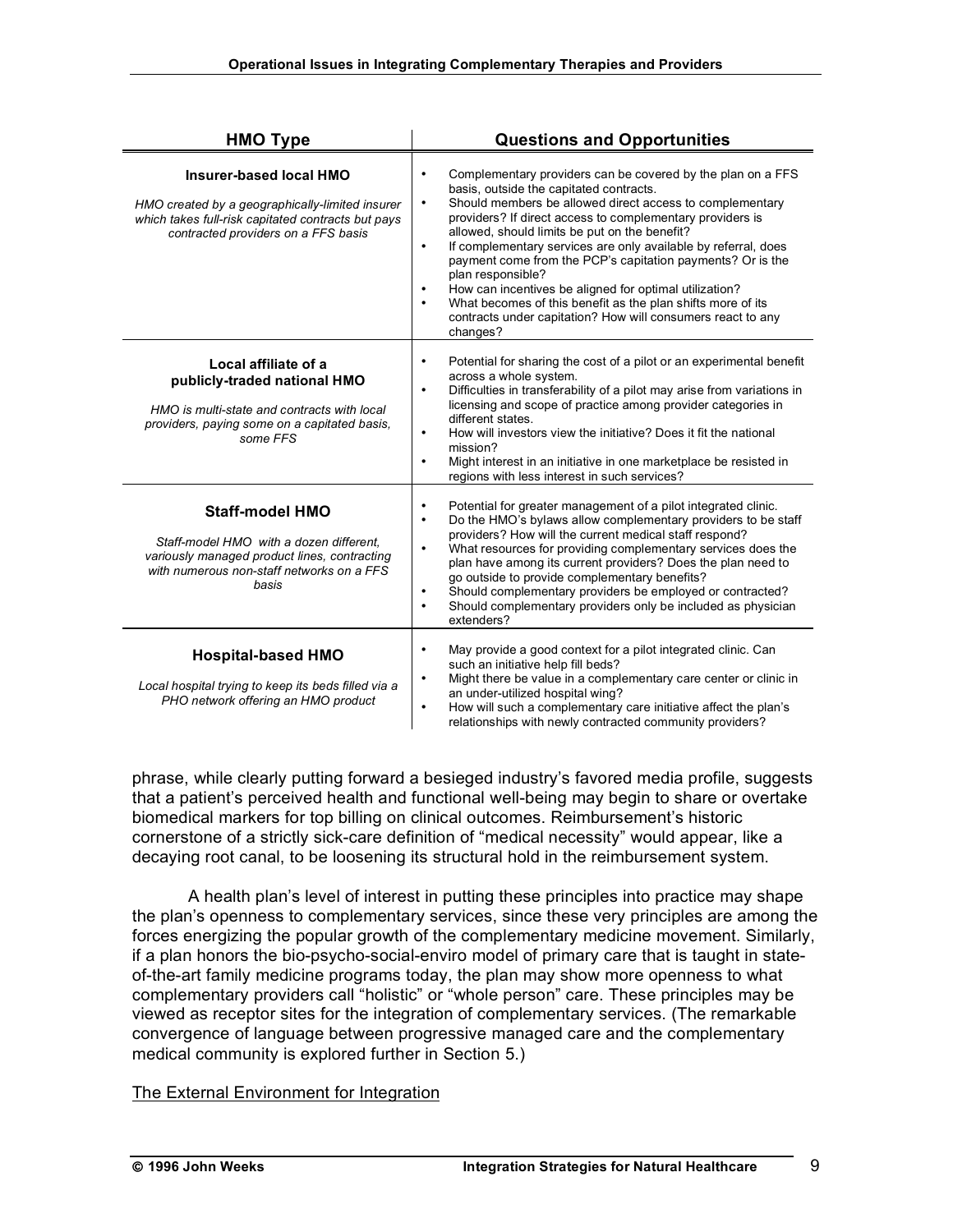| <b>HMO Type</b>                                                                                                                                                                | <b>Questions and Opportunities</b>                                                                                                                                                                                                                                                                                                                                                                                                                                                                                                                                                                                                                                                                 |
|--------------------------------------------------------------------------------------------------------------------------------------------------------------------------------|----------------------------------------------------------------------------------------------------------------------------------------------------------------------------------------------------------------------------------------------------------------------------------------------------------------------------------------------------------------------------------------------------------------------------------------------------------------------------------------------------------------------------------------------------------------------------------------------------------------------------------------------------------------------------------------------------|
| <b>Insurer-based local HMO</b><br>HMO created by a geographically-limited insurer<br>which takes full-risk capitated contracts but pays<br>contracted providers on a FFS basis | Complementary providers can be covered by the plan on a FFS<br>$\bullet$<br>basis, outside the capitated contracts.<br>Should members be allowed direct access to complementary<br>$\bullet$<br>providers? If direct access to complementary providers is<br>allowed, should limits be put on the benefit?<br>If complementary services are only available by referral, does<br>$\bullet$<br>payment come from the PCP's capitation payments? Or is the<br>plan responsible?<br>How can incentives be aligned for optimal utilization?<br>٠<br>What becomes of this benefit as the plan shifts more of its<br>$\bullet$<br>contracts under capitation? How will consumers react to any<br>changes? |
| Local affiliate of a<br>publicly-traded national HMO<br>HMO is multi-state and contracts with local<br>providers, paying some on a capitated basis,<br>some FFS                | Potential for sharing the cost of a pilot or an experimental benefit<br>$\bullet$<br>across a whole system.<br>Difficulties in transferability of a pilot may arise from variations in<br>$\bullet$<br>licensing and scope of practice among provider categories in<br>different states.<br>How will investors view the initiative? Does it fit the national<br>$\bullet$<br>mission?<br>Might interest in an initiative in one marketplace be resisted in<br>$\bullet$<br>regions with less interest in such services?                                                                                                                                                                            |
| <b>Staff-model HMO</b><br>Staff-model HMO with a dozen different.<br>variously managed product lines, contracting<br>with numerous non-staff networks on a FFS<br>basis        | Potential for greater management of a pilot integrated clinic.<br>$\bullet$<br>Do the HMO's bylaws allow complementary providers to be staff<br>$\bullet$<br>providers? How will the current medical staff respond?<br>What resources for providing complementary services does the<br>$\bullet$<br>plan have among its current providers? Does the plan need to<br>go outside to provide complementary benefits?<br>Should complementary providers be employed or contracted?<br>$\bullet$<br>Should complementary providers only be included as physician<br>$\bullet$<br>extenders?                                                                                                             |
| <b>Hospital-based HMO</b><br>Local hospital trying to keep its beds filled via a<br>PHO network offering an HMO product                                                        | May provide a good context for a pilot integrated clinic. Can<br>$\bullet$<br>such an initiative help fill beds?<br>Might there be value in a complementary care center or clinic in<br>$\bullet$<br>an under-utilized hospital wing?<br>How will such a complementary care initiative affect the plan's<br>$\bullet$<br>relationships with newly contracted community providers?                                                                                                                                                                                                                                                                                                                  |

phrase, while clearly putting forward a besieged industry's favored media profile, suggests that a patient's perceived health and functional well-being may begin to share or overtake biomedical markers for top billing on clinical outcomes. Reimbursement's historic cornerstone of a strictly sick-care definition of "medical necessity" would appear, like a decaying root canal, to be loosening its structural hold in the reimbursement system.

A health plan's level of interest in putting these principles into practice may shape the plan's openness to complementary services, since these very principles are among the forces energizing the popular growth of the complementary medicine movement. Similarly, if a plan honors the bio-psycho-social-enviro model of primary care that is taught in stateof-the-art family medicine programs today, the plan may show more openness to what complementary providers call "holistic" or "whole person" care. These principles may be viewed as receptor sites for the integration of complementary services. (The remarkable convergence of language between progressive managed care and the complementary medical community is explored further in Section 5.)

#### The External Environment for Integration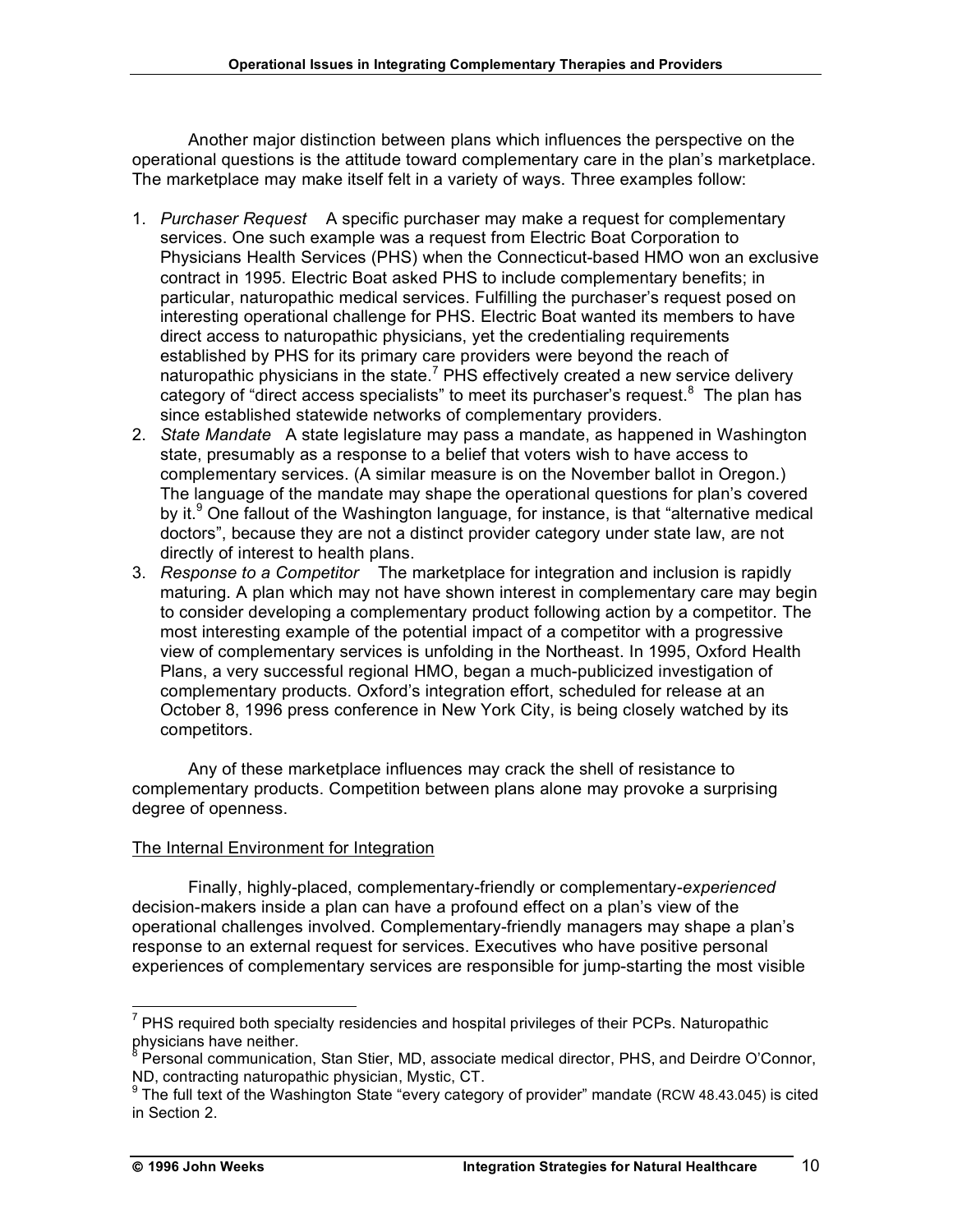Another major distinction between plans which influences the perspective on the operational questions is the attitude toward complementary care in the plan's marketplace. The marketplace may make itself felt in a variety of ways. Three examples follow:

- 1. *Purchaser Request* A specific purchaser may make a request for complementary services. One such example was a request from Electric Boat Corporation to Physicians Health Services (PHS) when the Connecticut-based HMO won an exclusive contract in 1995. Electric Boat asked PHS to include complementary benefits; in particular, naturopathic medical services. Fulfilling the purchaser's request posed on interesting operational challenge for PHS. Electric Boat wanted its members to have direct access to naturopathic physicians, yet the credentialing requirements established by PHS for its primary care providers were beyond the reach of naturopathic physicians in the state.<sup>7</sup> PHS effectively created a new service delivery category of "direct access specialists" to meet its purchaser's request.<sup>8</sup> The plan has since established statewide networks of complementary providers.
- 2. *State Mandate* A state legislature may pass a mandate, as happened in Washington state, presumably as a response to a belief that voters wish to have access to complementary services. (A similar measure is on the November ballot in Oregon.) The language of the mandate may shape the operational questions for plan's covered by it.<sup>9</sup> One fallout of the Washington language, for instance, is that "alternative medical doctors", because they are not a distinct provider category under state law, are not directly of interest to health plans.
- 3. *Response to a Competitor* The marketplace for integration and inclusion is rapidly maturing. A plan which may not have shown interest in complementary care may begin to consider developing a complementary product following action by a competitor. The most interesting example of the potential impact of a competitor with a progressive view of complementary services is unfolding in the Northeast. In 1995, Oxford Health Plans, a very successful regional HMO, began a much-publicized investigation of complementary products. Oxford's integration effort, scheduled for release at an October 8, 1996 press conference in New York City, is being closely watched by its competitors.

Any of these marketplace influences may crack the shell of resistance to complementary products. Competition between plans alone may provoke a surprising degree of openness.

# The Internal Environment for Integration

Finally, highly-placed, complementary-friendly or complementary-*experienced* decision-makers inside a plan can have a profound effect on a plan's view of the operational challenges involved. Complementary-friendly managers may shape a plan's response to an external request for services. Executives who have positive personal experiences of complementary services are responsible for jump-starting the most visible

 $7$  PHS required both specialty residencies and hospital privileges of their PCPs. Naturopathic

physicians have neither.<br><sup>8</sup> Personal communication, Stan Stier, MD, associate medical director, PHS, and Deirdre O'Connor,<br>ND, contracting naturopathic physician, Mystic, CT.<br><sup>9</sup> The full text of the Wookington Of the int

The full text of the Washington State "every category of provider" mandate (RCW 48.43.045) is cited in Section 2.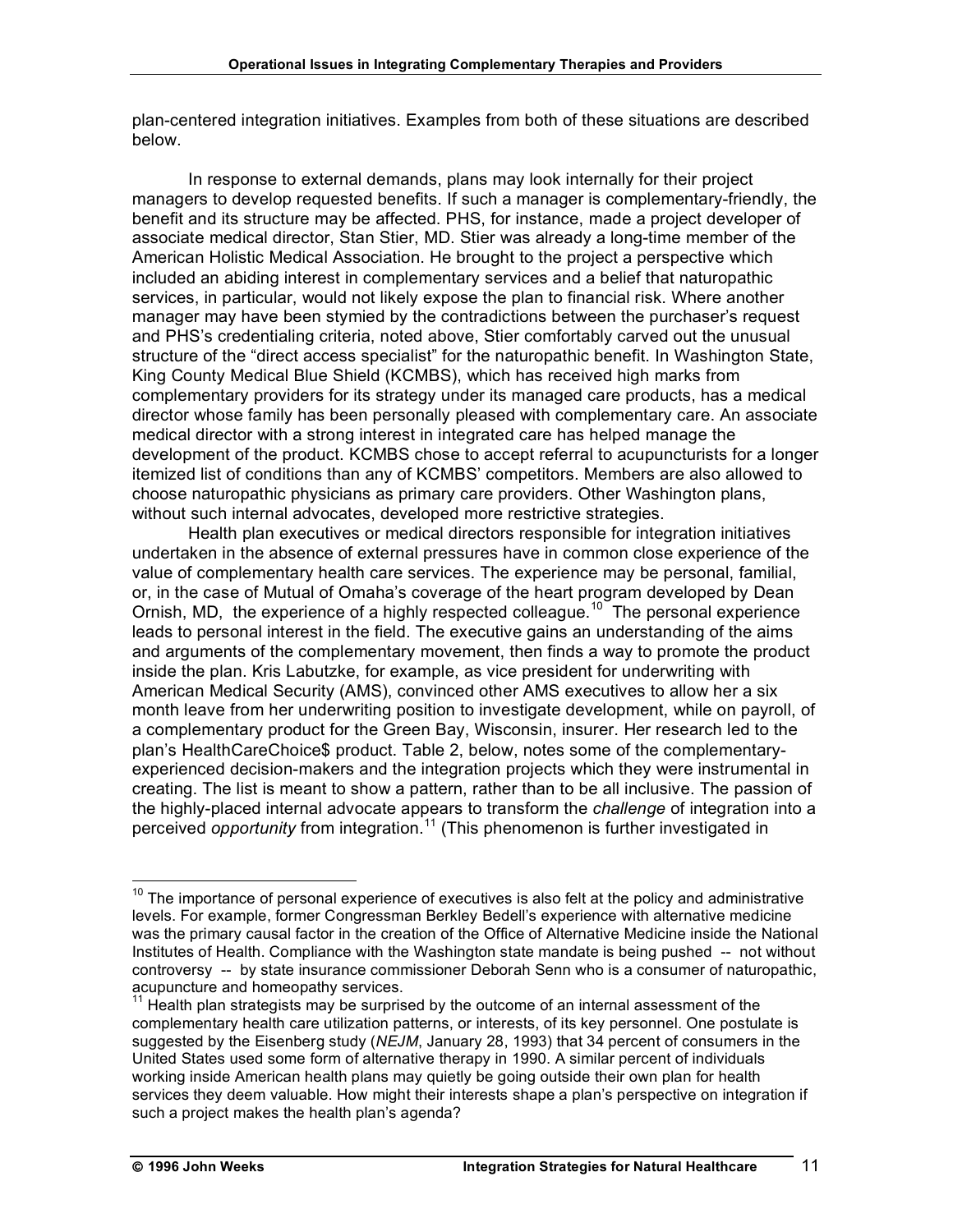plan-centered integration initiatives. Examples from both of these situations are described below.

In response to external demands, plans may look internally for their project managers to develop requested benefits. If such a manager is complementary-friendly, the benefit and its structure may be affected. PHS, for instance, made a project developer of associate medical director, Stan Stier, MD. Stier was already a long-time member of the American Holistic Medical Association. He brought to the project a perspective which included an abiding interest in complementary services and a belief that naturopathic services, in particular, would not likely expose the plan to financial risk. Where another manager may have been stymied by the contradictions between the purchaser's request and PHS's credentialing criteria, noted above, Stier comfortably carved out the unusual structure of the "direct access specialist" for the naturopathic benefit. In Washington State, King County Medical Blue Shield (KCMBS), which has received high marks from complementary providers for its strategy under its managed care products, has a medical director whose family has been personally pleased with complementary care. An associate medical director with a strong interest in integrated care has helped manage the development of the product. KCMBS chose to accept referral to acupuncturists for a longer itemized list of conditions than any of KCMBS' competitors. Members are also allowed to choose naturopathic physicians as primary care providers. Other Washington plans, without such internal advocates, developed more restrictive strategies.

Health plan executives or medical directors responsible for integration initiatives undertaken in the absence of external pressures have in common close experience of the value of complementary health care services. The experience may be personal, familial, or, in the case of Mutual of Omaha's coverage of the heart program developed by Dean Ornish, MD, the experience of a highly respected colleague.<sup>10</sup> The personal experience leads to personal interest in the field. The executive gains an understanding of the aims and arguments of the complementary movement, then finds a way to promote the product inside the plan. Kris Labutzke, for example, as vice president for underwriting with American Medical Security (AMS), convinced other AMS executives to allow her a six month leave from her underwriting position to investigate development, while on payroll, of a complementary product for the Green Bay, Wisconsin, insurer. Her research led to the plan's HealthCareChoice\$ product. Table 2, below, notes some of the complementaryexperienced decision-makers and the integration projects which they were instrumental in creating. The list is meant to show a pattern, rather than to be all inclusive. The passion of the highly-placed internal advocate appears to transform the *challenge* of integration into a perceived *opportunity* from integration.<sup>11</sup> (This phenomenon is further investigated in

 $10$  The importance of personal experience of executives is also felt at the policy and administrative levels. For example, former Congressman Berkley Bedell's experience with alternative medicine was the primary causal factor in the creation of the Office of Alternative Medicine inside the National Institutes of Health. Compliance with the Washington state mandate is being pushed -- not without controversy -- by state insurance commissioner Deborah Senn who is a consumer of naturopathic, acupuncture and homeopathy services.<br><sup>11</sup> Health plan strategists may be surprised by the outcome of an internal assessment of the

complementary health care utilization patterns, or interests, of its key personnel. One postulate is suggested by the Eisenberg study (*NEJM*, January 28, 1993) that 34 percent of consumers in the United States used some form of alternative therapy in 1990. A similar percent of individuals working inside American health plans may quietly be going outside their own plan for health services they deem valuable. How might their interests shape a plan's perspective on integration if such a project makes the health plan's agenda?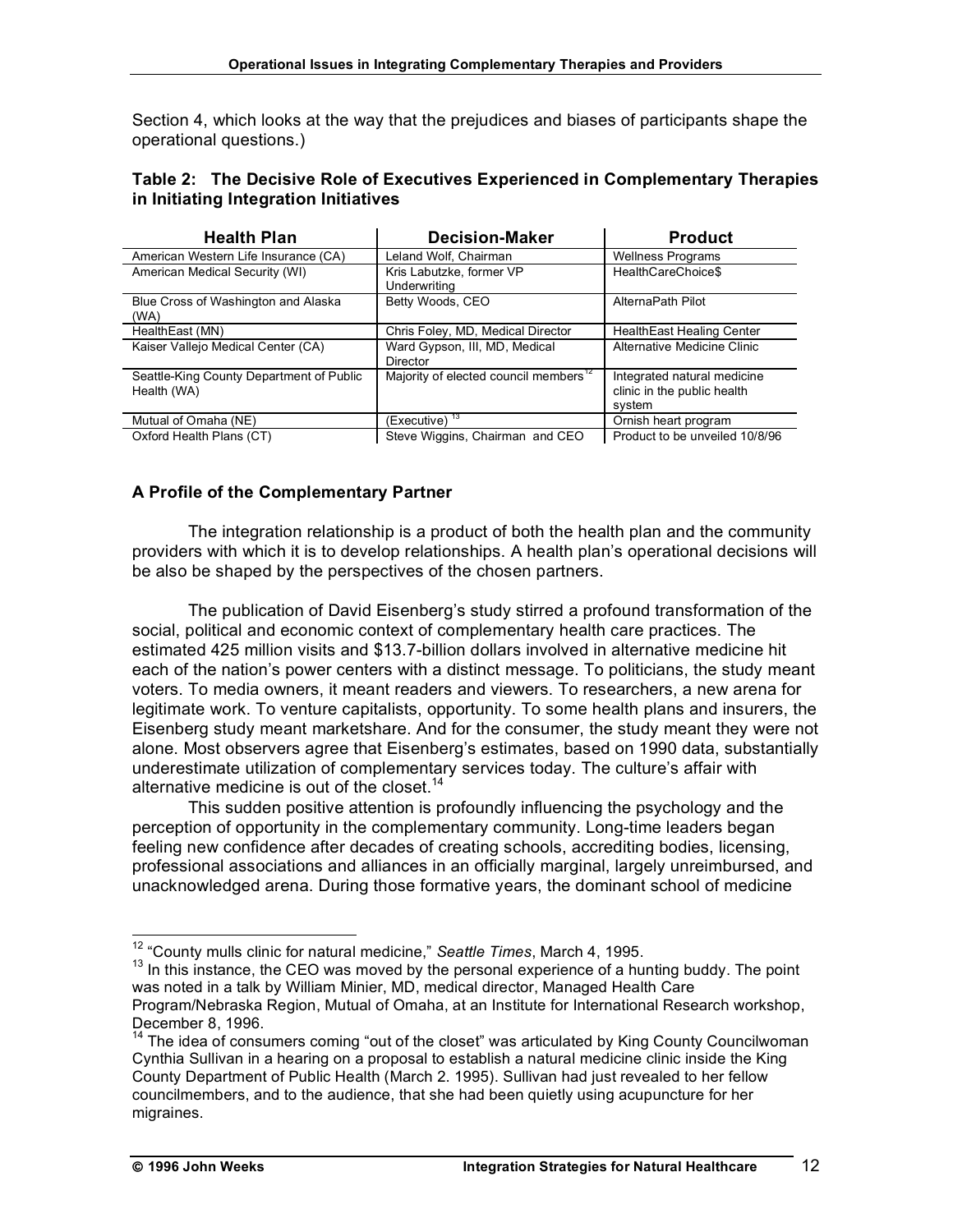Section 4, which looks at the way that the prejudices and biases of participants shape the operational questions.)

|                                       | Table 2: The Decisive Role of Executives Experienced in Complementary Therapies |  |
|---------------------------------------|---------------------------------------------------------------------------------|--|
| in Initiating Integration Initiatives |                                                                                 |  |

| <b>Health Plan</b>                                      | <b>Decision-Maker</b>                             | <b>Product</b>                                                       |
|---------------------------------------------------------|---------------------------------------------------|----------------------------------------------------------------------|
| American Western Life Insurance (CA)                    | Leland Wolf, Chairman                             | <b>Wellness Programs</b>                                             |
| American Medical Security (WI)                          | Kris Labutzke, former VP<br>Underwriting          | HealthCareChoice\$                                                   |
| Blue Cross of Washington and Alaska<br>(WA)             | Betty Woods, CEO                                  | AlternaPath Pilot                                                    |
| HealthEast (MN)                                         | Chris Foley, MD, Medical Director                 | <b>HealthEast Healing Center</b>                                     |
| Kaiser Vallejo Medical Center (CA)                      | Ward Gypson, III, MD, Medical<br>Director         | Alternative Medicine Clinic                                          |
| Seattle-King County Department of Public<br>Health (WA) | Majority of elected council members <sup>12</sup> | Integrated natural medicine<br>clinic in the public health<br>system |
| Mutual of Omaha (NE)                                    | $(Execute)^{13}$                                  | Ornish heart program                                                 |
| Oxford Health Plans (CT)                                | Steve Wiggins, Chairman and CEO                   | Product to be unveiled 10/8/96                                       |

# **A Profile of the Complementary Partner**

The integration relationship is a product of both the health plan and the community providers with which it is to develop relationships. A health plan's operational decisions will be also be shaped by the perspectives of the chosen partners.

The publication of David Eisenberg's study stirred a profound transformation of the social, political and economic context of complementary health care practices. The estimated 425 million visits and \$13.7-billion dollars involved in alternative medicine hit each of the nation's power centers with a distinct message. To politicians, the study meant voters. To media owners, it meant readers and viewers. To researchers, a new arena for legitimate work. To venture capitalists, opportunity. To some health plans and insurers, the Eisenberg study meant marketshare. And for the consumer, the study meant they were not alone. Most observers agree that Eisenberg's estimates, based on 1990 data, substantially underestimate utilization of complementary services today. The culture's affair with alternative medicine is out of the closet.<sup>14</sup>

This sudden positive attention is profoundly influencing the psychology and the perception of opportunity in the complementary community. Long-time leaders began feeling new confidence after decades of creating schools, accrediting bodies, licensing, professional associations and alliances in an officially marginal, largely unreimbursed, and unacknowledged arena. During those formative years, the dominant school of medicine

<sup>&</sup>lt;sup>12</sup> "County mulls clinic for natural medicine," *Seattle Times*, March 4, 1995.<br><sup>13</sup> In this instance, the CEO was moved by the personal experience of a hunting buddy. The point was noted in a talk by William Minier, MD, medical director, Managed Health Care Program/Nebraska Region, Mutual of Omaha, at an Institute for International Research workshop,

December 8, 1996.<br><sup>14</sup> The idea of consumers coming "out of the closet" was articulated by King County Councilwoman Cynthia Sullivan in a hearing on a proposal to establish a natural medicine clinic inside the King County Department of Public Health (March 2. 1995). Sullivan had just revealed to her fellow councilmembers, and to the audience, that she had been quietly using acupuncture for her migraines.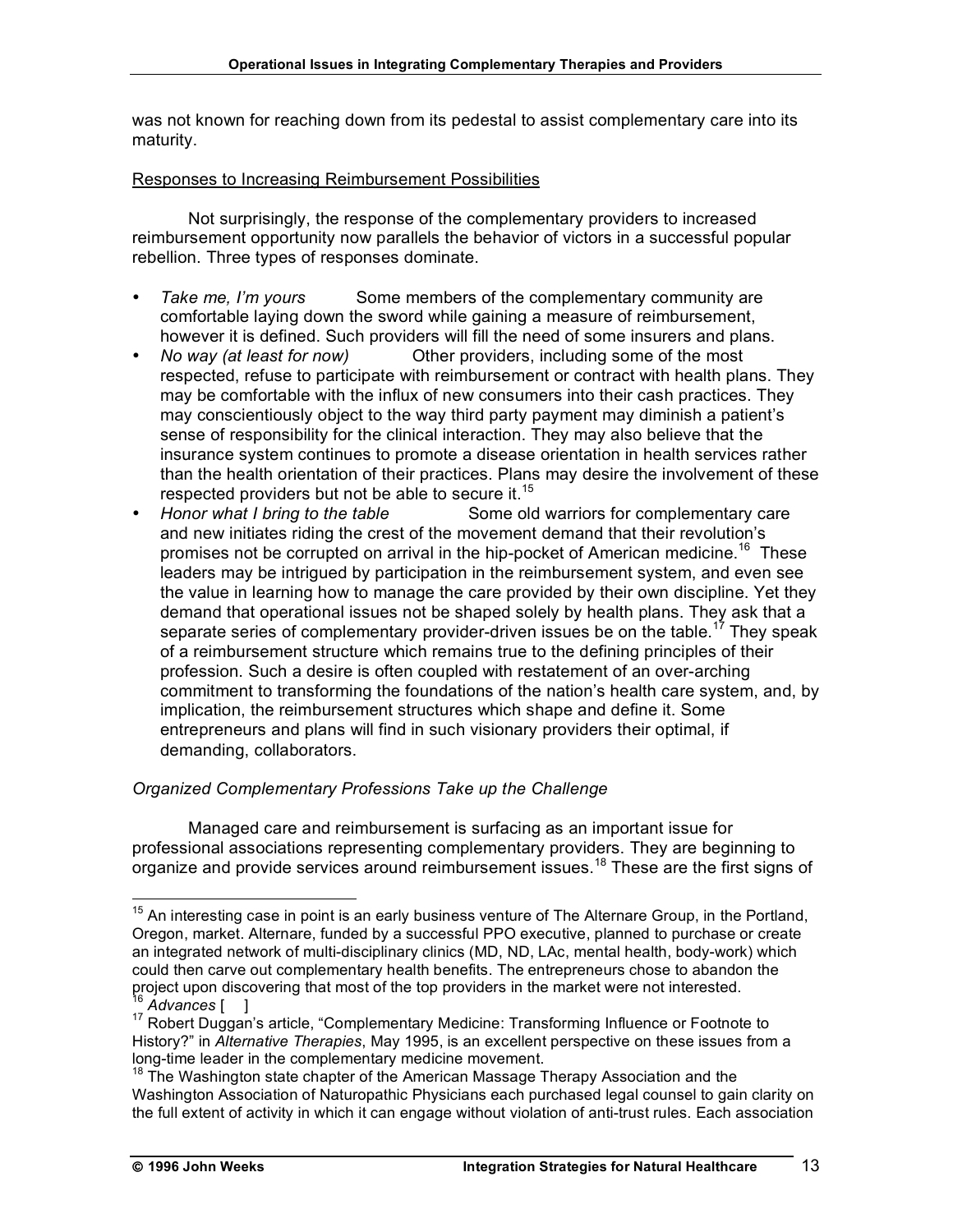was not known for reaching down from its pedestal to assist complementary care into its maturity.

#### Responses to Increasing Reimbursement Possibilities

Not surprisingly, the response of the complementary providers to increased reimbursement opportunity now parallels the behavior of victors in a successful popular rebellion. Three types of responses dominate.

- *Take me, I'm yours* Some members of the complementary community are comfortable laying down the sword while gaining a measure of reimbursement, however it is defined. Such providers will fill the need of some insurers and plans.
- *No way (at least for now)* Other providers, including some of the most respected, refuse to participate with reimbursement or contract with health plans. They may be comfortable with the influx of new consumers into their cash practices. They may conscientiously object to the way third party payment may diminish a patient's sense of responsibility for the clinical interaction. They may also believe that the insurance system continues to promote a disease orientation in health services rather than the health orientation of their practices. Plans may desire the involvement of these respected providers but not be able to secure it.<sup>15</sup>
- *Honor what I bring to the table* Some old warriors for complementary care and new initiates riding the crest of the movement demand that their revolution's promises not be corrupted on arrival in the hip-pocket of American medicine.<sup>16</sup> These leaders may be intrigued by participation in the reimbursement system, and even see the value in learning how to manage the care provided by their own discipline. Yet they demand that operational issues not be shaped solely by health plans. They ask that a separate series of complementary provider-driven issues be on the table.<sup>17</sup> They speak of a reimbursement structure which remains true to the defining principles of their profession. Such a desire is often coupled with restatement of an over-arching commitment to transforming the foundations of the nation's health care system, and, by implication, the reimbursement structures which shape and define it. Some entrepreneurs and plans will find in such visionary providers their optimal, if demanding, collaborators.

# *Organized Complementary Professions Take up the Challenge*

Managed care and reimbursement is surfacing as an important issue for professional associations representing complementary providers. They are beginning to organize and provide services around reimbursement issues.<sup>18</sup> These are the first signs of

 $15$  An interesting case in point is an early business venture of The Alternare Group, in the Portland, Oregon, market. Alternare, funded by a successful PPO executive, planned to purchase or create an integrated network of multi-disciplinary clinics (MD, ND, LAc, mental health, body-work) which could then carve out complementary health benefits. The entrepreneurs chose to abandon the project upon discovering that most of the top providers in the market were not interested.

<sup>&</sup>lt;sup>16</sup> Advances [ ]<br><sup>17</sup> Robert Duggan's article, "Complementary Medicine: Transforming Influence or Footnote to History?" in *Alternative Therapies*, May 1995, is an excellent perspective on these issues from a

 $18$  The Washington state chapter of the American Massage Therapy Association and the Washington Association of Naturopathic Physicians each purchased legal counsel to gain clarity on the full extent of activity in which it can engage without violation of anti-trust rules. Each association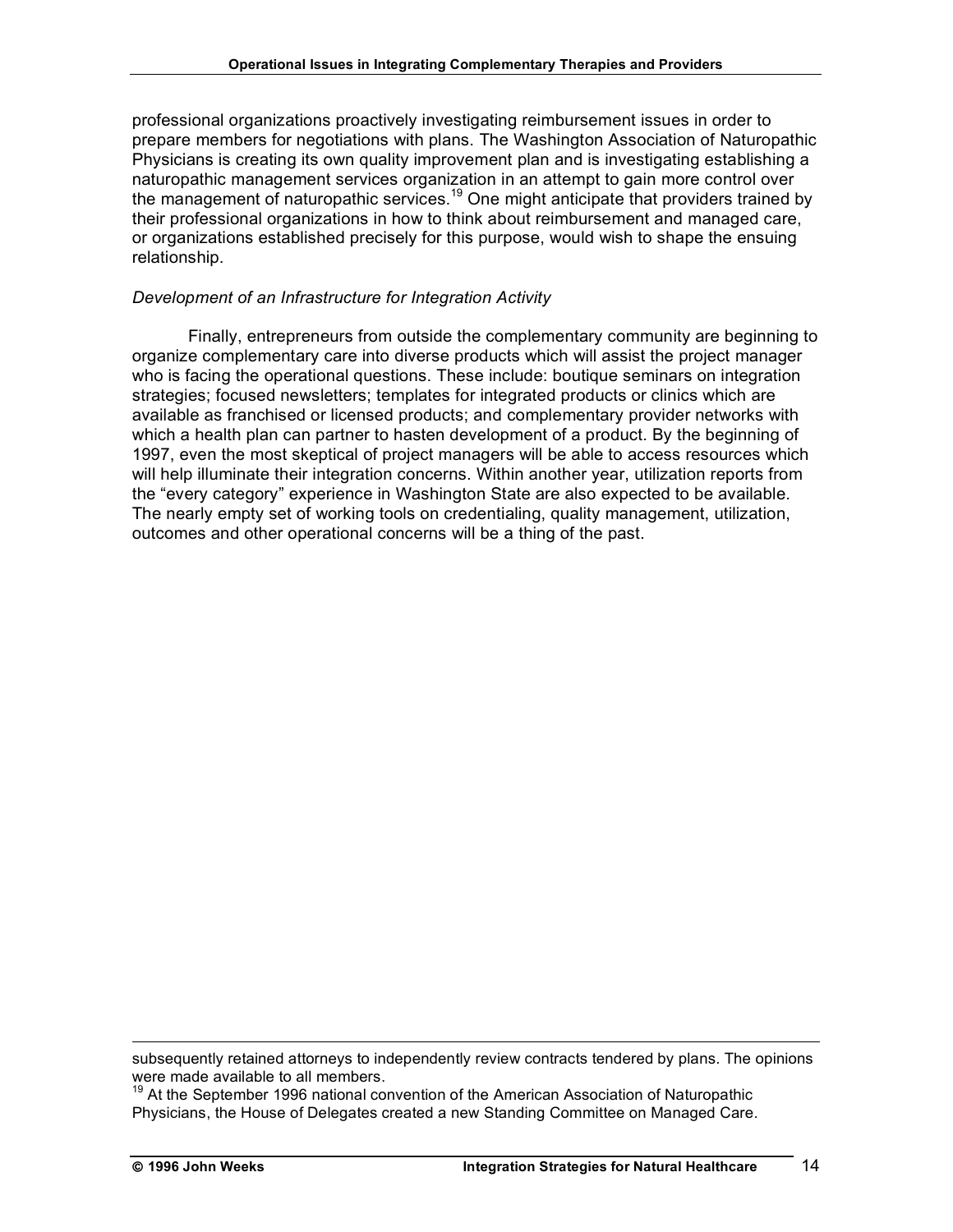professional organizations proactively investigating reimbursement issues in order to prepare members for negotiations with plans. The Washington Association of Naturopathic Physicians is creating its own quality improvement plan and is investigating establishing a naturopathic management services organization in an attempt to gain more control over the management of naturopathic services.<sup>19</sup> One might anticipate that providers trained by their professional organizations in how to think about reimbursement and managed care, or organizations established precisely for this purpose, would wish to shape the ensuing relationship.

# *Development of an Infrastructure for Integration Activity*

Finally, entrepreneurs from outside the complementary community are beginning to organize complementary care into diverse products which will assist the project manager who is facing the operational questions. These include: boutique seminars on integration strategies; focused newsletters; templates for integrated products or clinics which are available as franchised or licensed products; and complementary provider networks with which a health plan can partner to hasten development of a product. By the beginning of 1997, even the most skeptical of project managers will be able to access resources which will help illuminate their integration concerns. Within another year, utilization reports from the "every category" experience in Washington State are also expected to be available. The nearly empty set of working tools on credentialing, quality management, utilization, outcomes and other operational concerns will be a thing of the past.

 $\overline{a}$ 

subsequently retained attorneys to independently review contracts tendered by plans. The opinions<br>were made available to all members.<br><sup>19</sup> At the Sontamber 1006 astistant and containing the sontaining of the Sontamber 1906

At the September 1996 national convention of the American Association of Naturopathic Physicians, the House of Delegates created a new Standing Committee on Managed Care.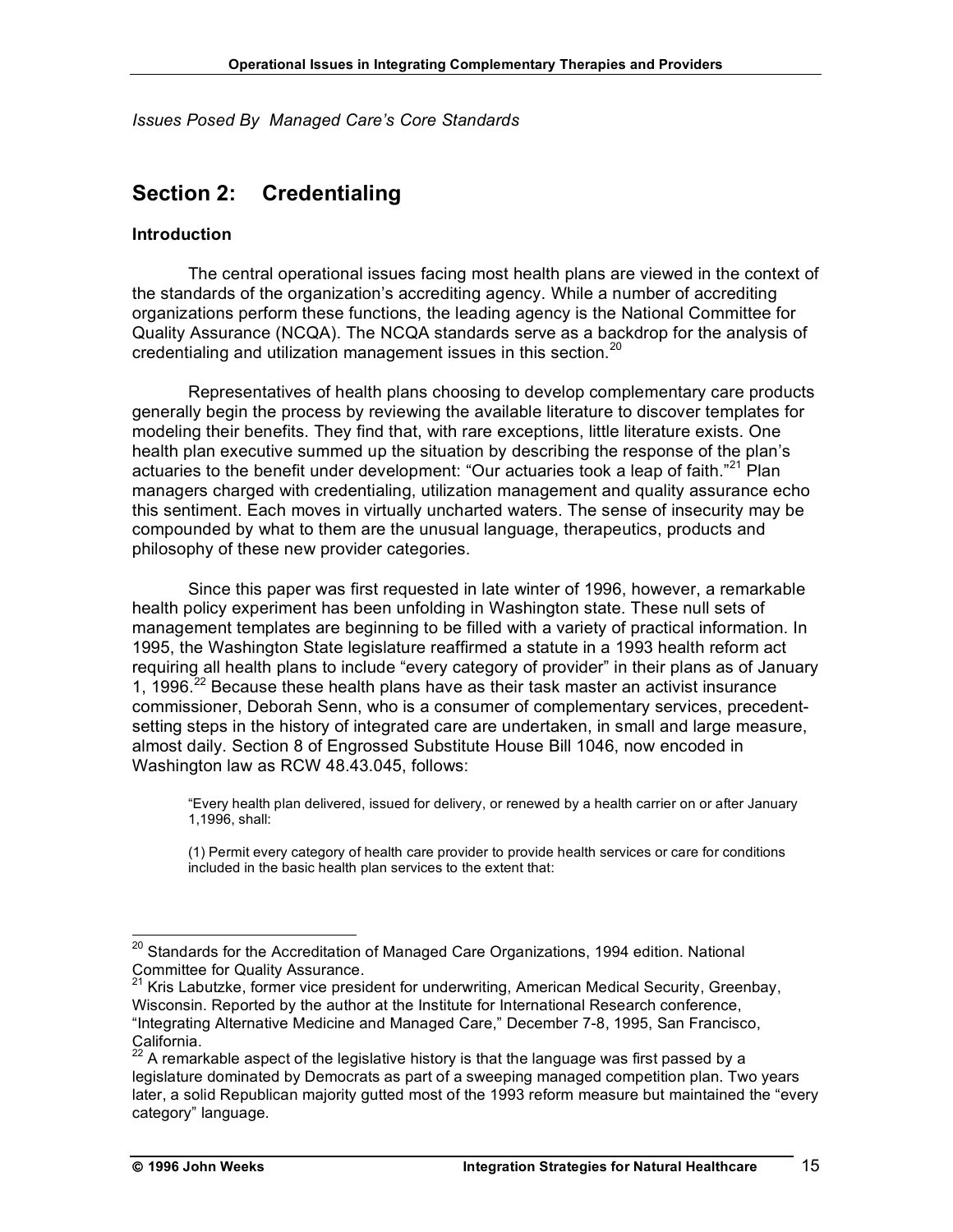*Issues Posed By Managed Care's Core Standards*

# **Section 2: Credentialing**

#### **Introduction**

The central operational issues facing most health plans are viewed in the context of the standards of the organization's accrediting agency. While a number of accrediting organizations perform these functions, the leading agency is the National Committee for Quality Assurance (NCQA). The NCQA standards serve as a backdrop for the analysis of credentialing and utilization management issues in this section.<sup>20</sup>

Representatives of health plans choosing to develop complementary care products generally begin the process by reviewing the available literature to discover templates for modeling their benefits. They find that, with rare exceptions, little literature exists. One health plan executive summed up the situation by describing the response of the plan's actuaries to the benefit under development: "Our actuaries took a leap of faith."<sup>21</sup> Plan managers charged with credentialing, utilization management and quality assurance echo this sentiment. Each moves in virtually uncharted waters. The sense of insecurity may be compounded by what to them are the unusual language, therapeutics, products and philosophy of these new provider categories.

Since this paper was first requested in late winter of 1996, however, a remarkable health policy experiment has been unfolding in Washington state. These null sets of management templates are beginning to be filled with a variety of practical information. In 1995, the Washington State legislature reaffirmed a statute in a 1993 health reform act requiring all health plans to include "every category of provider" in their plans as of January 1, 1996.<sup>22</sup> Because these health plans have as their task master an activist insurance commissioner, Deborah Senn, who is a consumer of complementary services, precedentsetting steps in the history of integrated care are undertaken, in small and large measure, almost daily. Section 8 of Engrossed Substitute House Bill 1046, now encoded in Washington law as RCW 48.43.045, follows:

"Every health plan delivered, issued for delivery, or renewed by a health carrier on or after January 1,1996, shall:

(1) Permit every category of health care provider to provide health services or care for conditions included in the basic health plan services to the extent that:

<sup>&</sup>lt;sup>20</sup> Standards for the Accreditation of Managed Care Organizations, 1994 edition. National Committee for Quality Assurance.

Kris Labutzke, former vice president for underwriting, American Medical Security, Greenbay, Wisconsin. Reported by the author at the Institute for International Research conference, "Integrating Alternative Medicine and Managed Care," December 7-8, 1995, San Francisco,

 $22$  A remarkable aspect of the legislative history is that the language was first passed by a legislature dominated by Democrats as part of a sweeping managed competition plan. Two years later, a solid Republican majority gutted most of the 1993 reform measure but maintained the "every category" language.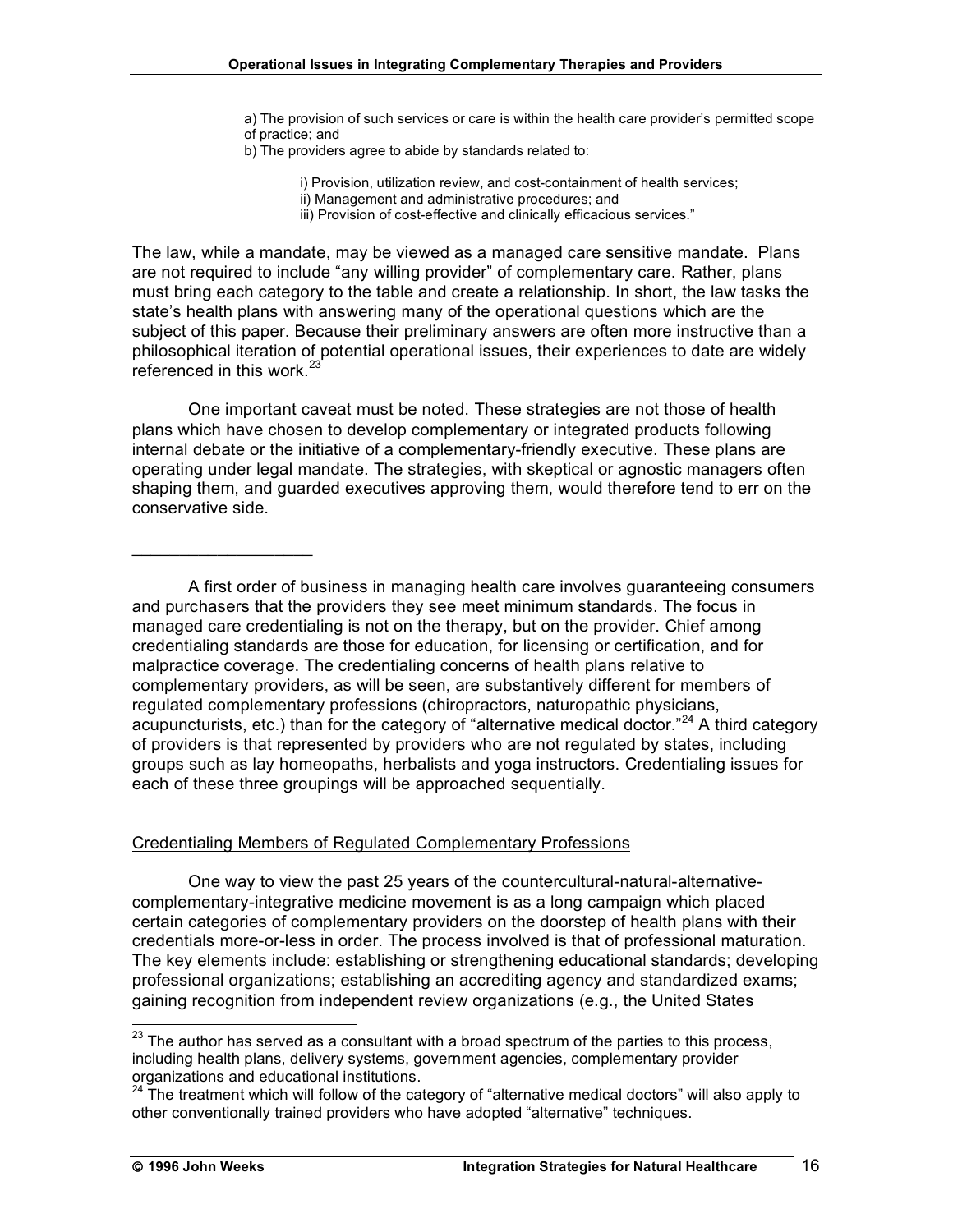a) The provision of such services or care is within the health care provider's permitted scope of practice; and

b) The providers agree to abide by standards related to:

i) Provision, utilization review, and cost-containment of health services; ii) Management and administrative procedures; and iii) Provision of cost-effective and clinically efficacious services."

The law, while a mandate, may be viewed as a managed care sensitive mandate. Plans are not required to include "any willing provider" of complementary care. Rather, plans must bring each category to the table and create a relationship. In short, the law tasks the state's health plans with answering many of the operational questions which are the subject of this paper. Because their preliminary answers are often more instructive than a philosophical iteration of potential operational issues, their experiences to date are widely referenced in this work.<sup>23</sup>

One important caveat must be noted. These strategies are not those of health plans which have chosen to develop complementary or integrated products following internal debate or the initiative of a complementary-friendly executive. These plans are operating under legal mandate. The strategies, with skeptical or agnostic managers often shaping them, and guarded executives approving them, would therefore tend to err on the conservative side.

A first order of business in managing health care involves guaranteeing consumers and purchasers that the providers they see meet minimum standards. The focus in managed care credentialing is not on the therapy, but on the provider. Chief among credentialing standards are those for education, for licensing or certification, and for malpractice coverage. The credentialing concerns of health plans relative to complementary providers, as will be seen, are substantively different for members of regulated complementary professions (chiropractors, naturopathic physicians, acupuncturists, etc.) than for the category of "alternative medical doctor."<sup>24</sup> A third category of providers is that represented by providers who are not regulated by states, including groups such as lay homeopaths, herbalists and yoga instructors. Credentialing issues for each of these three groupings will be approached sequentially.

#### Credentialing Members of Regulated Complementary Professions

One way to view the past 25 years of the countercultural-natural-alternativecomplementary-integrative medicine movement is as a long campaign which placed certain categories of complementary providers on the doorstep of health plans with their credentials more-or-less in order. The process involved is that of professional maturation. The key elements include: establishing or strengthening educational standards; developing professional organizations; establishing an accrediting agency and standardized exams; gaining recognition from independent review organizations (e.g., the United States

\_\_\_\_\_\_\_\_\_\_\_\_\_\_\_\_\_\_\_

 $23$  The author has served as a consultant with a broad spectrum of the parties to this process, including health plans, delivery systems, government agencies, complementary provider<br>organizations and educational institutions.<br><sup>24</sup> The tractriced which we will all the set of the set of the set of the set of the set of

The treatment which will follow of the category of "alternative medical doctors" will also apply to other conventionally trained providers who have adopted "alternative" techniques.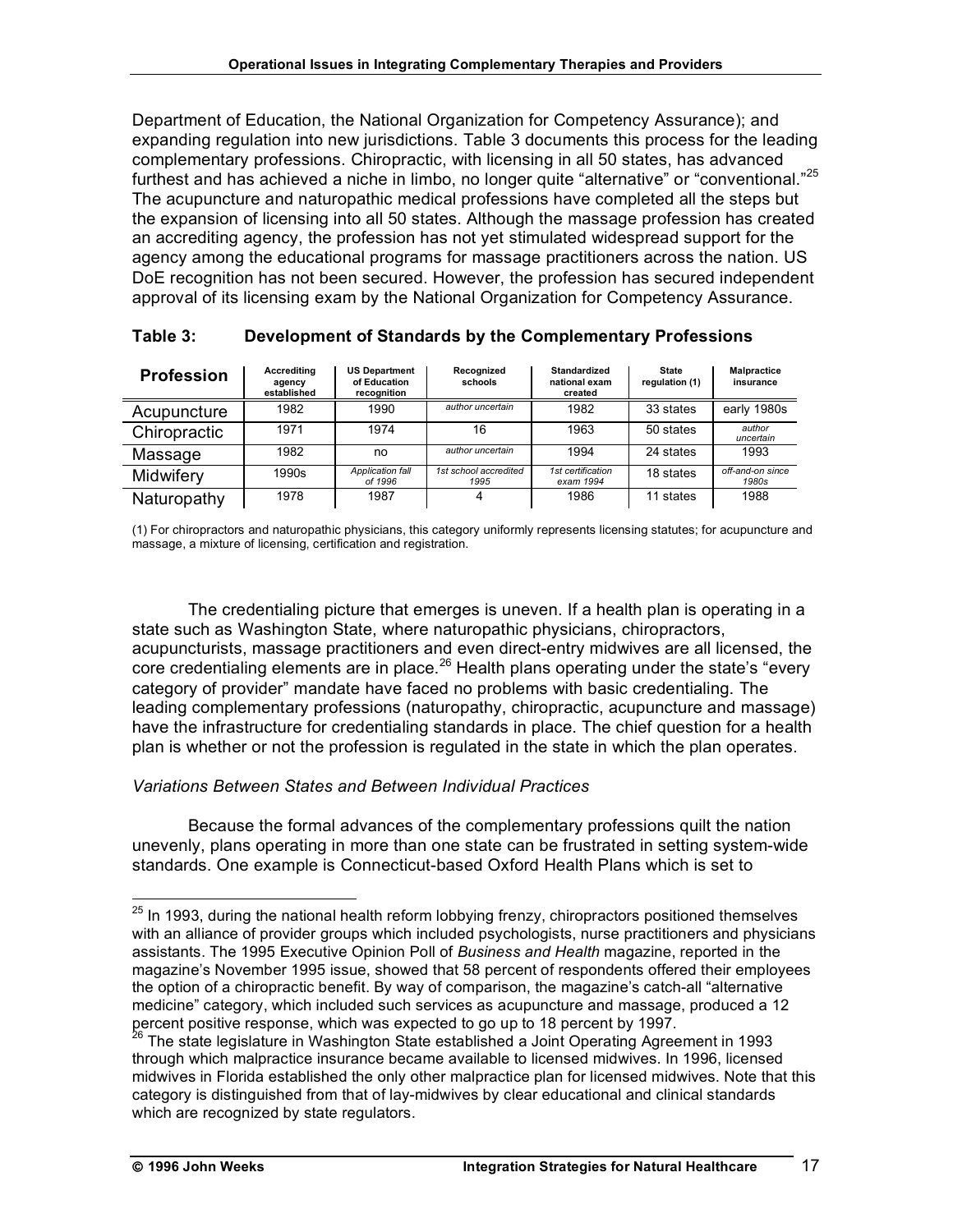Department of Education, the National Organization for Competency Assurance); and expanding regulation into new jurisdictions. Table 3 documents this process for the leading complementary professions. Chiropractic, with licensing in all 50 states, has advanced furthest and has achieved a niche in limbo, no longer quite "alternative" or "conventional."<sup>25</sup> The acupuncture and naturopathic medical professions have completed all the steps but the expansion of licensing into all 50 states. Although the massage profession has created an accrediting agency, the profession has not yet stimulated widespread support for the agency among the educational programs for massage practitioners across the nation. US DoE recognition has not been secured. However, the profession has secured independent approval of its licensing exam by the National Organization for Competency Assurance.

| <b>Profession</b> | <b>Accrediting</b><br>agency<br>established | <b>US Department</b><br>of Education<br>recognition | Recognized<br>schools         | Standardized<br>national exam<br>created | <b>State</b><br>regulation (1) | <b>Malpractice</b><br>insurance |
|-------------------|---------------------------------------------|-----------------------------------------------------|-------------------------------|------------------------------------------|--------------------------------|---------------------------------|
| Acupuncture       | 1982                                        | 1990                                                | author uncertain              | 1982                                     | 33 states                      | early 1980s                     |
| Chiropractic      | 1971                                        | 1974                                                | 16                            | 1963                                     | 50 states                      | author<br>uncertain             |
| Massage           | 1982                                        | no                                                  | author uncertain              | 1994                                     | 24 states                      | 1993                            |
| Midwifery         | 1990s                                       | Application fall<br>of 1996                         | 1st school accredited<br>1995 | 1st certification<br>exam 1994           | 18 states                      | off-and-on since<br>1980s       |
| Naturopathy       | 1978                                        | 1987                                                |                               | 1986                                     | 11 states                      | 1988                            |

**Table 3: Development of Standards by the Complementary Professions**

(1) For chiropractors and naturopathic physicians, this category uniformly represents licensing statutes; for acupuncture and massage, a mixture of licensing, certification and registration.

The credentialing picture that emerges is uneven. If a health plan is operating in a state such as Washington State, where naturopathic physicians, chiropractors, acupuncturists, massage practitioners and even direct-entry midwives are all licensed, the core credentialing elements are in place.<sup>26</sup> Health plans operating under the state's "every" category of provider" mandate have faced no problems with basic credentialing. The leading complementary professions (naturopathy, chiropractic, acupuncture and massage) have the infrastructure for credentialing standards in place. The chief question for a health plan is whether or not the profession is regulated in the state in which the plan operates.

# *Variations Between States and Between Individual Practices*

Because the formal advances of the complementary professions quilt the nation unevenly, plans operating in more than one state can be frustrated in setting system-wide standards. One example is Connecticut-based Oxford Health Plans which is set to

 $25$  In 1993, during the national health reform lobbying frenzy, chiropractors positioned themselves with an alliance of provider groups which included psychologists, nurse practitioners and physicians assistants. The 1995 Executive Opinion Poll of *Business and Health* magazine, reported in the magazine's November 1995 issue, showed that 58 percent of respondents offered their employees the option of a chiropractic benefit. By way of comparison, the magazine's catch-all "alternative medicine" category, which included such services as acupuncture and massage, produced a 12 percent positive response, which was expected to go up to 18 percent by 1997.<br><sup>26</sup> The state legislature in Washington State established a Joint Operating Agreement in 1993

through which malpractice insurance became available to licensed midwives. In 1996, licensed midwives in Florida established the only other malpractice plan for licensed midwives. Note that this category is distinguished from that of lay-midwives by clear educational and clinical standards which are recognized by state regulators.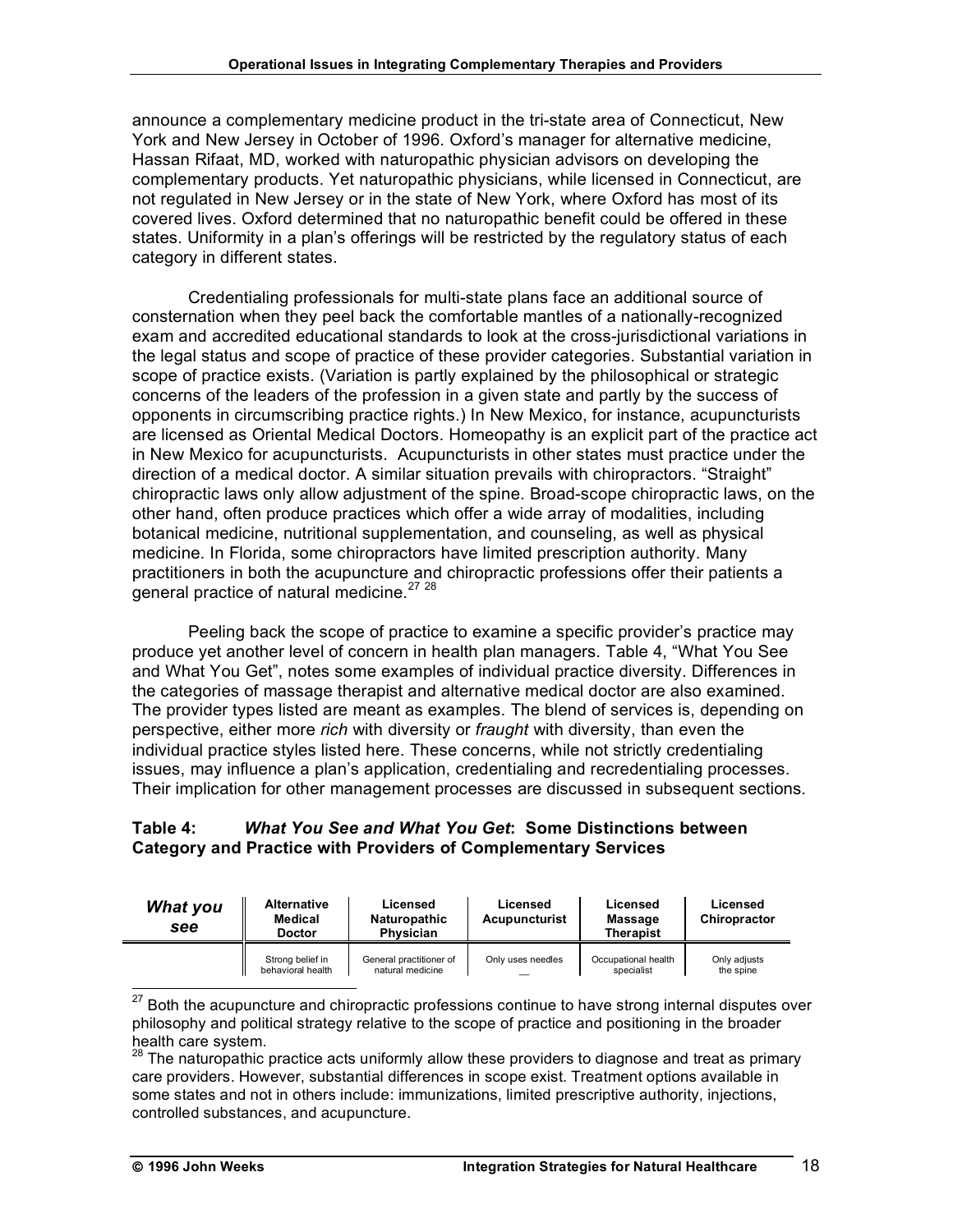announce a complementary medicine product in the tri-state area of Connecticut, New York and New Jersey in October of 1996. Oxford's manager for alternative medicine, Hassan Rifaat, MD, worked with naturopathic physician advisors on developing the complementary products. Yet naturopathic physicians, while licensed in Connecticut, are not regulated in New Jersey or in the state of New York, where Oxford has most of its covered lives. Oxford determined that no naturopathic benefit could be offered in these states. Uniformity in a plan's offerings will be restricted by the regulatory status of each category in different states.

Credentialing professionals for multi-state plans face an additional source of consternation when they peel back the comfortable mantles of a nationally-recognized exam and accredited educational standards to look at the cross-jurisdictional variations in the legal status and scope of practice of these provider categories. Substantial variation in scope of practice exists. (Variation is partly explained by the philosophical or strategic concerns of the leaders of the profession in a given state and partly by the success of opponents in circumscribing practice rights.) In New Mexico, for instance, acupuncturists are licensed as Oriental Medical Doctors. Homeopathy is an explicit part of the practice act in New Mexico for acupuncturists. Acupuncturists in other states must practice under the direction of a medical doctor. A similar situation prevails with chiropractors. "Straight" chiropractic laws only allow adjustment of the spine. Broad-scope chiropractic laws, on the other hand, often produce practices which offer a wide array of modalities, including botanical medicine, nutritional supplementation, and counseling, as well as physical medicine. In Florida, some chiropractors have limited prescription authority. Many practitioners in both the acupuncture and chiropractic professions offer their patients a general practice of natural medicine.<sup>27</sup> 28

Peeling back the scope of practice to examine a specific provider's practice may produce yet another level of concern in health plan managers. Table 4, "What You See and What You Get", notes some examples of individual practice diversity. Differences in the categories of massage therapist and alternative medical doctor are also examined. The provider types listed are meant as examples. The blend of services is, depending on perspective, either more *rich* with diversity or *fraught* with diversity, than even the individual practice styles listed here. These concerns, while not strictly credentialing issues, may influence a plan's application, credentialing and recredentialing processes. Their implication for other management processes are discussed in subsequent sections.

# **Table 4:** *What You See and What You Get***: Some Distinctions between Category and Practice with Providers of Complementary Services**

| What you<br>see | <b>Alternative</b><br>Medical<br><b>Doctor</b> | Licensed<br>Naturopathic<br><b>Physician</b> | Licensed<br>Acupuncturist | Licensed<br>Massage<br><b>Therapist</b> | Licensed<br>Chiropractor  |
|-----------------|------------------------------------------------|----------------------------------------------|---------------------------|-----------------------------------------|---------------------------|
|                 | Strong belief in<br>behavioral health          | General practitioner of<br>natural medicine  | Only uses needles         | Occupational health<br>specialist       | Only adjusts<br>the spine |

 $27$  Both the acupuncture and chiropractic professions continue to have strong internal disputes over philosophy and political strategy relative to the scope of practice and positioning in the broader health care system.<br><sup>28</sup> The naturopathic practice acts uniformly allow these providers to diagnose and treat as primary

care providers. However, substantial differences in scope exist. Treatment options available in some states and not in others include: immunizations, limited prescriptive authority, injections, controlled substances, and acupuncture.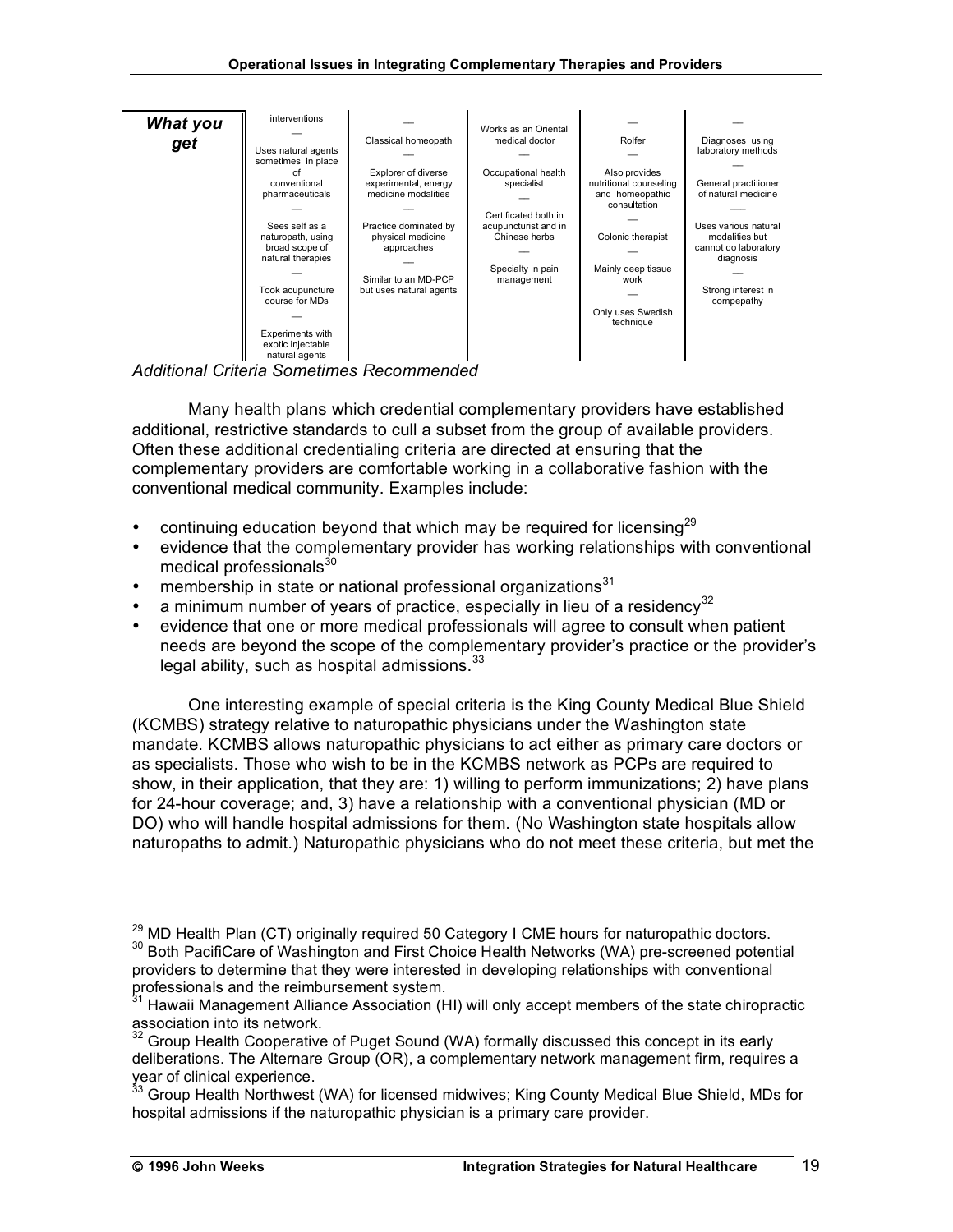

Many health plans which credential complementary providers have established additional, restrictive standards to cull a subset from the group of available providers. Often these additional credentialing criteria are directed at ensuring that the complementary providers are comfortable working in a collaborative fashion with the conventional medical community. Examples include:

- continuing education beyond that which may be required for licensing<sup>29</sup>
- evidence that the complementary provider has working relationships with conventional medical professionals $30<sup>30</sup>$
- membership in state or national professional organizations $31$
- a minimum number of years of practice, especially in lieu of a residency<sup>32</sup>
- evidence that one or more medical professionals will agree to consult when patient needs are beyond the scope of the complementary provider's practice or the provider's legal ability, such as hospital admissions.<sup>33</sup>

One interesting example of special criteria is the King County Medical Blue Shield (KCMBS) strategy relative to naturopathic physicians under the Washington state mandate. KCMBS allows naturopathic physicians to act either as primary care doctors or as specialists. Those who wish to be in the KCMBS network as PCPs are required to show, in their application, that they are: 1) willing to perform immunizations; 2) have plans for 24-hour coverage; and, 3) have a relationship with a conventional physician (MD or DO) who will handle hospital admissions for them. (No Washington state hospitals allow naturopaths to admit.) Naturopathic physicians who do not meet these criteria, but met the

<sup>&</sup>lt;sup>29</sup> MD Health Plan (CT) originally required 50 Category I CME hours for naturopathic doctors.<br><sup>30</sup> Both PacifiCare of Washington and First Choice Health Networks (WA) pre-screened potential

providers to determine that they were interested in developing relationships with conventional

professionals and the reimbursement system.<br><sup>31</sup> Hawaii Management Alliance Association (HI) will only accept members of the state chiropractic association into its network.<br><sup>32</sup> Group Health Cooperative of Puget Sound (WA) formally discussed this concept in its early

deliberations. The Alternare Group (OR), a complementary network management firm, requires a<br>year of clinical experience.<br><sup>33</sup> Croup Haalth Narth and 0000 C

Group Health Northwest (WA) for licensed midwives; King County Medical Blue Shield, MDs for hospital admissions if the naturopathic physician is a primary care provider.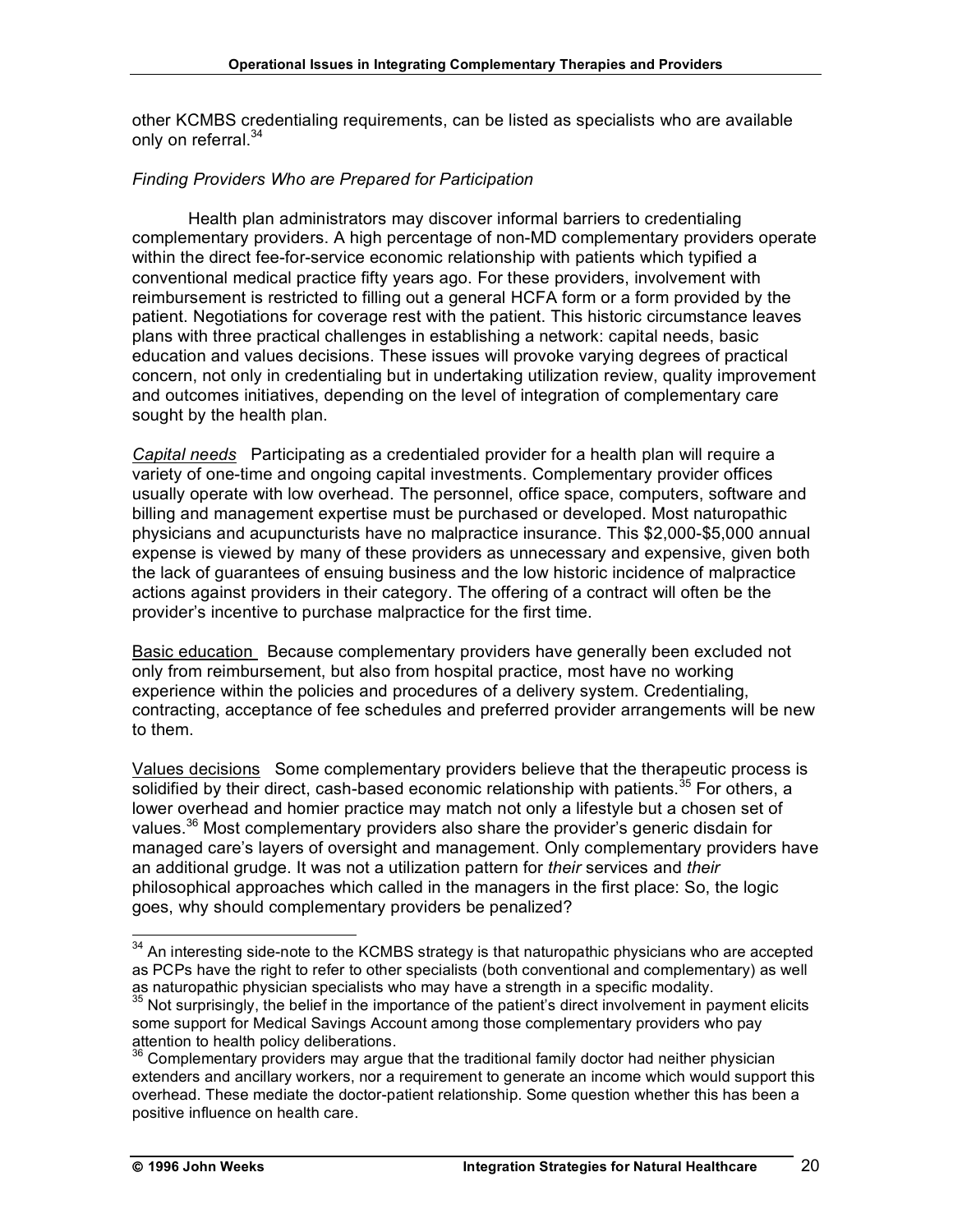other KCMBS credentialing requirements, can be listed as specialists who are available only on referral.<sup>34</sup>

# *Finding Providers Who are Prepared for Participation*

Health plan administrators may discover informal barriers to credentialing complementary providers. A high percentage of non-MD complementary providers operate within the direct fee-for-service economic relationship with patients which typified a conventional medical practice fifty years ago. For these providers, involvement with reimbursement is restricted to filling out a general HCFA form or a form provided by the patient. Negotiations for coverage rest with the patient. This historic circumstance leaves plans with three practical challenges in establishing a network: capital needs, basic education and values decisions. These issues will provoke varying degrees of practical concern, not only in credentialing but in undertaking utilization review, quality improvement and outcomes initiatives, depending on the level of integration of complementary care sought by the health plan.

*Capital needs* Participating as a credentialed provider for a health plan will require a variety of one-time and ongoing capital investments. Complementary provider offices usually operate with low overhead. The personnel, office space, computers, software and billing and management expertise must be purchased or developed. Most naturopathic physicians and acupuncturists have no malpractice insurance. This \$2,000-\$5,000 annual expense is viewed by many of these providers as unnecessary and expensive, given both the lack of guarantees of ensuing business and the low historic incidence of malpractice actions against providers in their category. The offering of a contract will often be the provider's incentive to purchase malpractice for the first time.

Basic education Because complementary providers have generally been excluded not only from reimbursement, but also from hospital practice, most have no working experience within the policies and procedures of a delivery system. Credentialing, contracting, acceptance of fee schedules and preferred provider arrangements will be new to them.

Values decisions Some complementary providers believe that the therapeutic process is solidified by their direct, cash-based economic relationship with patients.<sup>35</sup> For others, a lower overhead and homier practice may match not only a lifestyle but a chosen set of values.<sup>36</sup> Most complementary providers also share the provider's generic disdain for managed care's layers of oversight and management. Only complementary providers have an additional grudge. It was not a utilization pattern for *their* services and *their* philosophical approaches which called in the managers in the first place: So, the logic goes, why should complementary providers be penalized?

 $34$  An interesting side-note to the KCMBS strategy is that naturopathic physicians who are accepted as PCPs have the right to refer to other specialists (both conventional and complementary) as well as naturopathic physician specialists who may have a strength in a specific modality.

 $35$  Not surprisingly, the belief in the importance of the patient's direct involvement in payment elicits some support for Medical Savings Account among those complementary providers who pay attention to health policy deliberations.<br><sup>36</sup> Complementary providers may argue that the traditional family doctor had neither physician

extenders and ancillary workers, nor a requirement to generate an income which would support this overhead. These mediate the doctor-patient relationship. Some question whether this has been a positive influence on health care.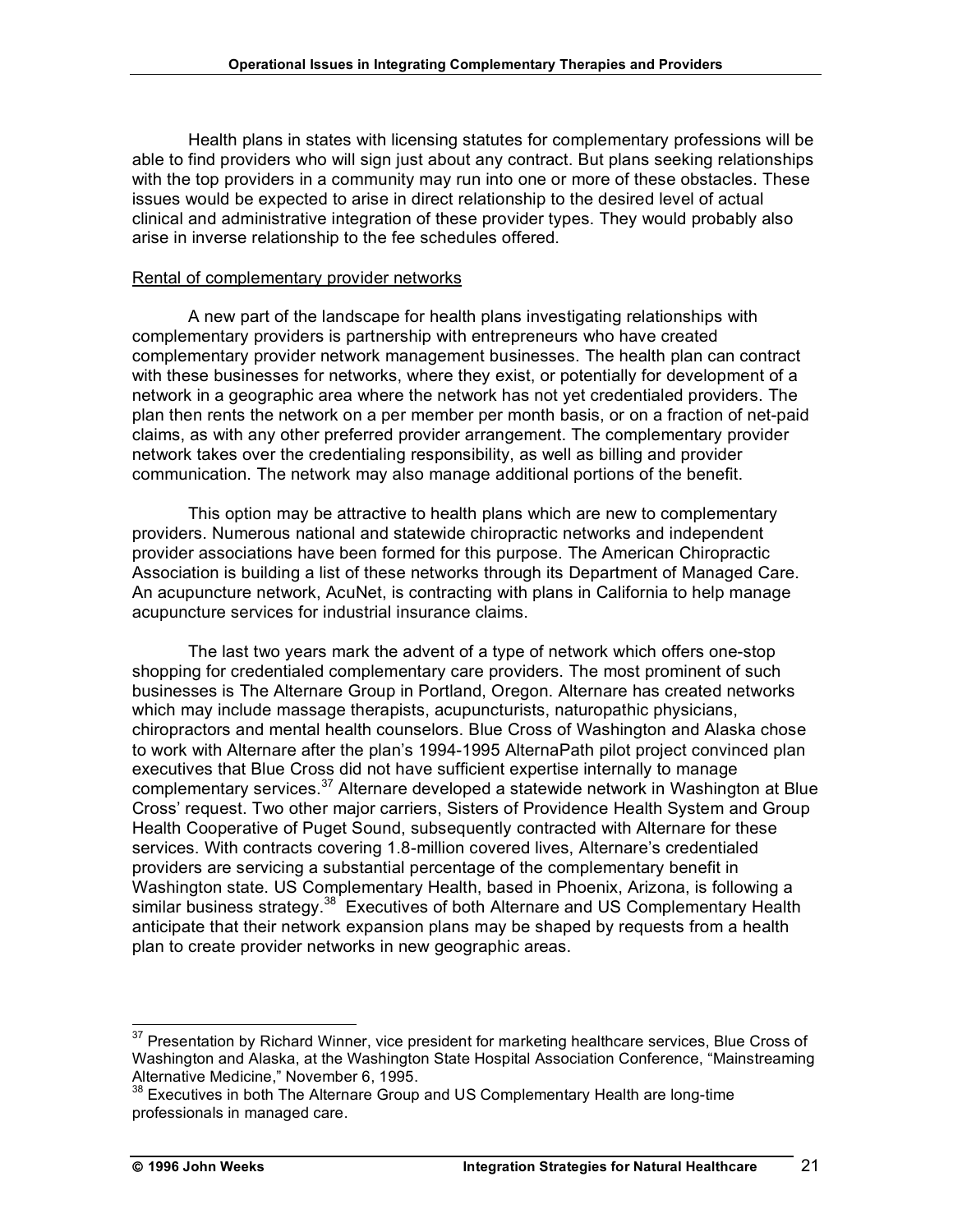Health plans in states with licensing statutes for complementary professions will be able to find providers who will sign just about any contract. But plans seeking relationships with the top providers in a community may run into one or more of these obstacles. These issues would be expected to arise in direct relationship to the desired level of actual clinical and administrative integration of these provider types. They would probably also arise in inverse relationship to the fee schedules offered.

#### Rental of complementary provider networks

A new part of the landscape for health plans investigating relationships with complementary providers is partnership with entrepreneurs who have created complementary provider network management businesses. The health plan can contract with these businesses for networks, where they exist, or potentially for development of a network in a geographic area where the network has not yet credentialed providers. The plan then rents the network on a per member per month basis, or on a fraction of net-paid claims, as with any other preferred provider arrangement. The complementary provider network takes over the credentialing responsibility, as well as billing and provider communication. The network may also manage additional portions of the benefit.

This option may be attractive to health plans which are new to complementary providers. Numerous national and statewide chiropractic networks and independent provider associations have been formed for this purpose. The American Chiropractic Association is building a list of these networks through its Department of Managed Care. An acupuncture network, AcuNet, is contracting with plans in California to help manage acupuncture services for industrial insurance claims.

The last two years mark the advent of a type of network which offers one-stop shopping for credentialed complementary care providers. The most prominent of such businesses is The Alternare Group in Portland, Oregon. Alternare has created networks which may include massage therapists, acupuncturists, naturopathic physicians, chiropractors and mental health counselors. Blue Cross of Washington and Alaska chose to work with Alternare after the plan's 1994-1995 AlternaPath pilot project convinced plan executives that Blue Cross did not have sufficient expertise internally to manage complementary services.<sup>37</sup> Alternare developed a statewide network in Washington at Blue Cross' request. Two other major carriers, Sisters of Providence Health System and Group Health Cooperative of Puget Sound, subsequently contracted with Alternare for these services. With contracts covering 1.8-million covered lives, Alternare's credentialed providers are servicing a substantial percentage of the complementary benefit in Washington state. US Complementary Health, based in Phoenix, Arizona, is following a similar business strategy.<sup>38</sup> Executives of both Alternare and US Complementary Health anticipate that their network expansion plans may be shaped by requests from a health plan to create provider networks in new geographic areas.

<sup>&</sup>lt;sup>37</sup> Presentation by Richard Winner, vice president for marketing healthcare services, Blue Cross of Washington and Alaska, at the Washington State Hospital Association Conference, "Mainstreaming<br>Alternative Medicine," November 6, 1995.<br><sup>38</sup> Executives in both The Alternate Croup and US Complementary Uselfrom Line (1996).

Executives in both The Alternare Group and US Complementary Health are long-time professionals in managed care.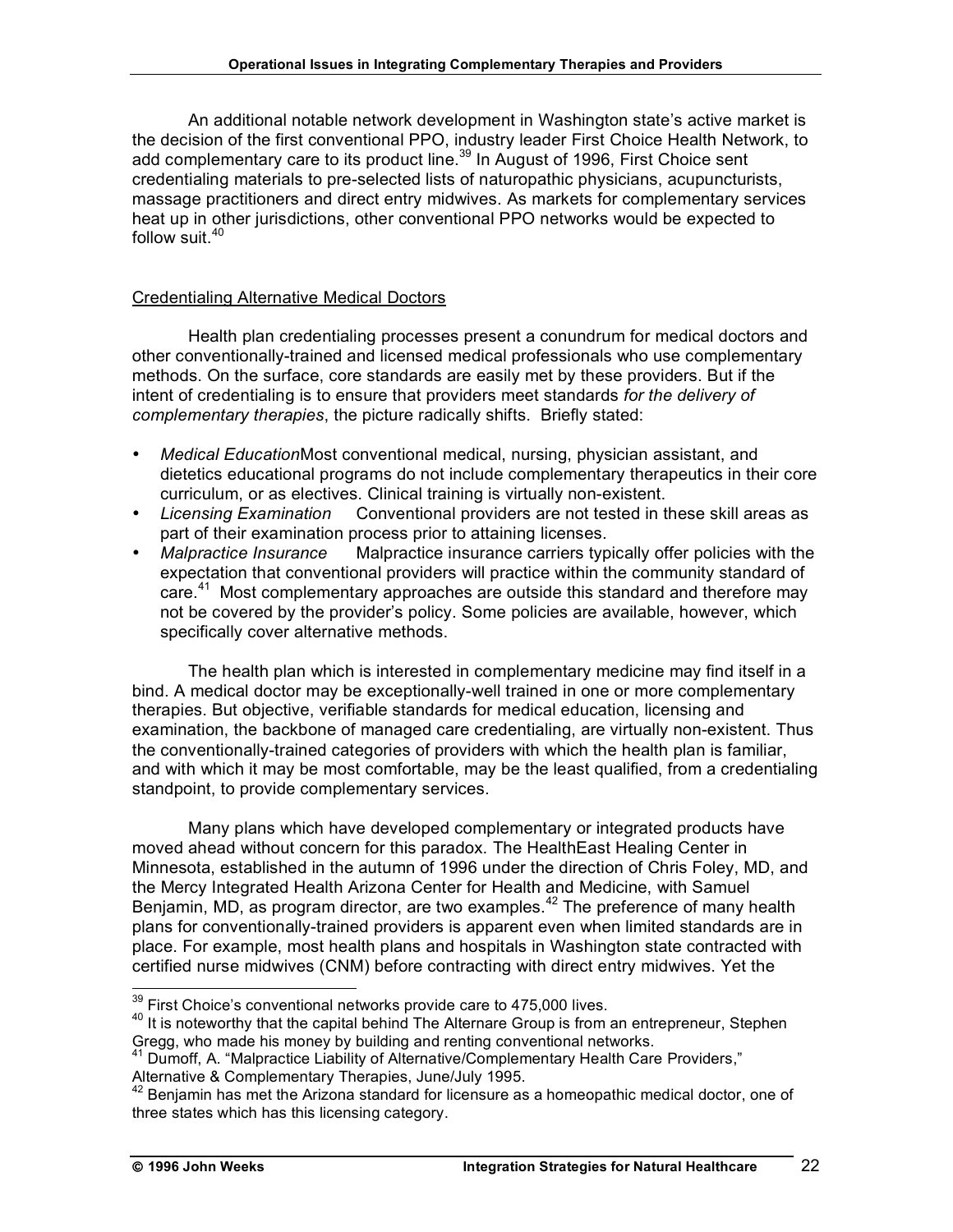An additional notable network development in Washington state's active market is the decision of the first conventional PPO, industry leader First Choice Health Network, to add complementary care to its product line. $39$  In August of 1996, First Choice sent credentialing materials to pre-selected lists of naturopathic physicians, acupuncturists, massage practitioners and direct entry midwives. As markets for complementary services heat up in other jurisdictions, other conventional PPO networks would be expected to follow suit. 40

# Credentialing Alternative Medical Doctors

Health plan credentialing processes present a conundrum for medical doctors and other conventionally-trained and licensed medical professionals who use complementary methods. On the surface, core standards are easily met by these providers. But if the intent of credentialing is to ensure that providers meet standards *for the delivery of complementary therapies*, the picture radically shifts. Briefly stated:

- *Medical Education*Most conventional medical, nursing, physician assistant, and dietetics educational programs do not include complementary therapeutics in their core curriculum, or as electives. Clinical training is virtually non-existent.
- *Licensing Examination* Conventional providers are not tested in these skill areas as part of their examination process prior to attaining licenses.
- *Malpractice Insurance* Malpractice insurance carriers typically offer policies with the expectation that conventional providers will practice within the community standard of care.<sup>41</sup> Most complementary approaches are outside this standard and therefore may not be covered by the provider's policy. Some policies are available, however, which specifically cover alternative methods.

The health plan which is interested in complementary medicine may find itself in a bind. A medical doctor may be exceptionally-well trained in one or more complementary therapies. But objective, verifiable standards for medical education, licensing and examination, the backbone of managed care credentialing, are virtually non-existent. Thus the conventionally-trained categories of providers with which the health plan is familiar, and with which it may be most comfortable, may be the least qualified, from a credentialing standpoint, to provide complementary services.

Many plans which have developed complementary or integrated products have moved ahead without concern for this paradox. The HealthEast Healing Center in Minnesota, established in the autumn of 1996 under the direction of Chris Foley, MD, and the Mercy Integrated Health Arizona Center for Health and Medicine, with Samuel Benjamin, MD, as program director, are two examples.<sup>42</sup> The preference of many health plans for conventionally-trained providers is apparent even when limited standards are in place. For example, most health plans and hospitals in Washington state contracted with certified nurse midwives (CNM) before contracting with direct entry midwives. Yet the

 $39$  First Choice's conventional networks provide care to 475,000 lives.<br><sup>40</sup> It is noteworthy that the capital behind The Alternare Group is from an entrepreneur, Stephen

Gregg, who made his money by building and renting conventional networks.<br><sup>41</sup> Dumoff, A. "Malpractice Liability of Alternative/Complementary Health Care Providers,"<br>Alternative & Complementary Therapies, June/July 1995.<br><sup>4</sup>

Benjamin has met the Arizona standard for licensure as a homeopathic medical doctor, one of three states which has this licensing category.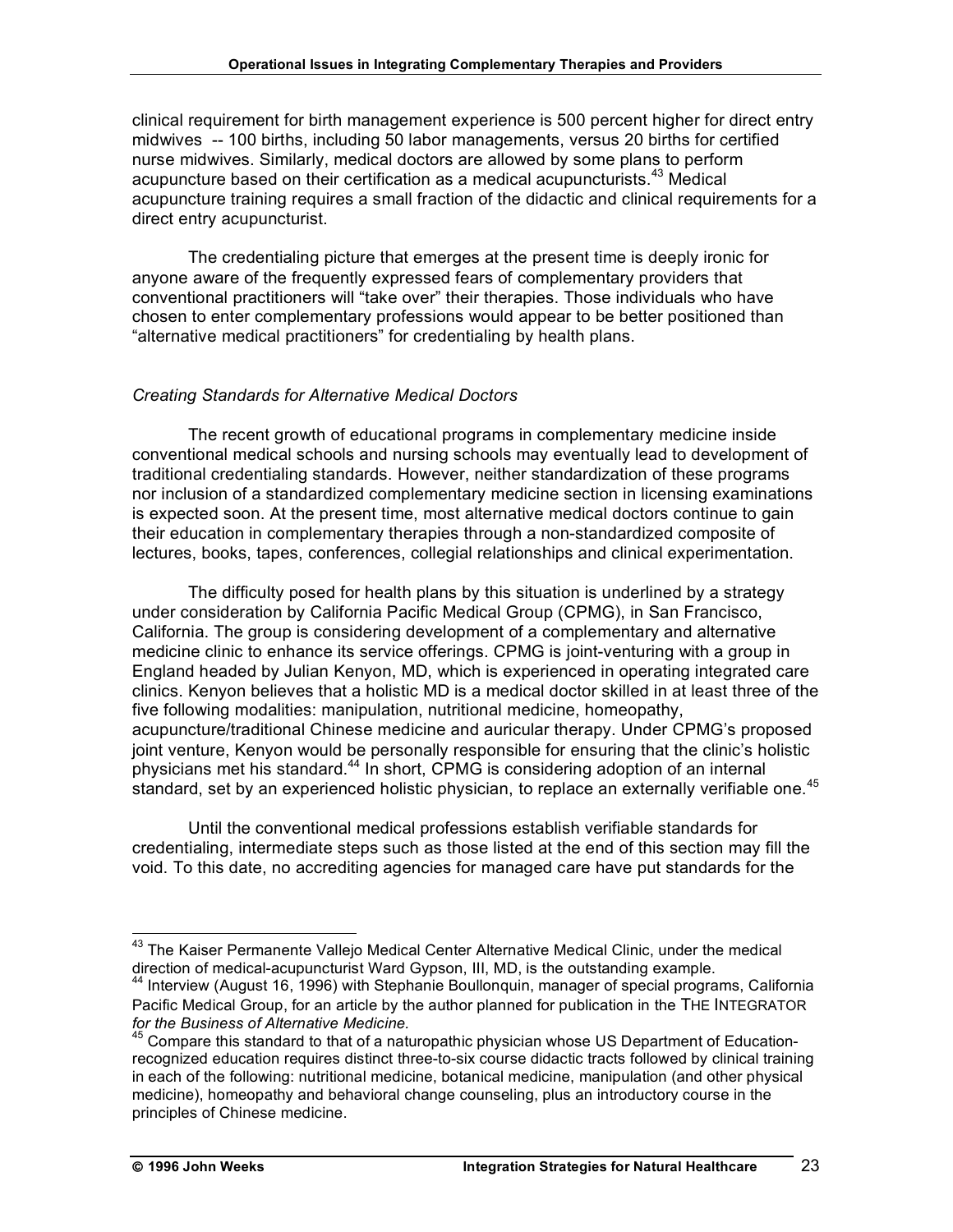clinical requirement for birth management experience is 500 percent higher for direct entry midwives -- 100 births, including 50 labor managements, versus 20 births for certified nurse midwives. Similarly, medical doctors are allowed by some plans to perform acupuncture based on their certification as a medical acupuncturists.<sup>43</sup> Medical acupuncture training requires a small fraction of the didactic and clinical requirements for a direct entry acupuncturist.

The credentialing picture that emerges at the present time is deeply ironic for anyone aware of the frequently expressed fears of complementary providers that conventional practitioners will "take over" their therapies. Those individuals who have chosen to enter complementary professions would appear to be better positioned than "alternative medical practitioners" for credentialing by health plans.

# *Creating Standards for Alternative Medical Doctors*

The recent growth of educational programs in complementary medicine inside conventional medical schools and nursing schools may eventually lead to development of traditional credentialing standards. However, neither standardization of these programs nor inclusion of a standardized complementary medicine section in licensing examinations is expected soon. At the present time, most alternative medical doctors continue to gain their education in complementary therapies through a non-standardized composite of lectures, books, tapes, conferences, collegial relationships and clinical experimentation.

The difficulty posed for health plans by this situation is underlined by a strategy under consideration by California Pacific Medical Group (CPMG), in San Francisco, California. The group is considering development of a complementary and alternative medicine clinic to enhance its service offerings. CPMG is joint-venturing with a group in England headed by Julian Kenyon, MD, which is experienced in operating integrated care clinics. Kenyon believes that a holistic MD is a medical doctor skilled in at least three of the five following modalities: manipulation, nutritional medicine, homeopathy, acupuncture/traditional Chinese medicine and auricular therapy. Under CPMG's proposed joint venture, Kenyon would be personally responsible for ensuring that the clinic's holistic physicians met his standard.<sup>44</sup> In short, CPMG is considering adoption of an internal standard, set by an experienced holistic physician, to replace an externally verifiable one.<sup>45</sup>

Until the conventional medical professions establish verifiable standards for credentialing, intermediate steps such as those listed at the end of this section may fill the void. To this date, no accrediting agencies for managed care have put standards for the

 $43$  The Kaiser Permanente Vallejo Medical Center Alternative Medical Clinic, under the medical direction of medical-acupuncturist Ward Gypson, III, MD, is the outstanding example.

<sup>&</sup>lt;sup>44</sup> Interview (August 16, 1996) with Stephanie Boullonquin, manager of special programs, California Pacific Medical Group, for an article by the author planned for publication in the THE INTEGRATOR *for the Business of Alternative Medicine.*<br><sup>45</sup> Compare this standard to that of a naturopathic physician whose US Department of Education-

recognized education requires distinct three-to-six course didactic tracts followed by clinical training in each of the following: nutritional medicine, botanical medicine, manipulation (and other physical medicine), homeopathy and behavioral change counseling, plus an introductory course in the principles of Chinese medicine.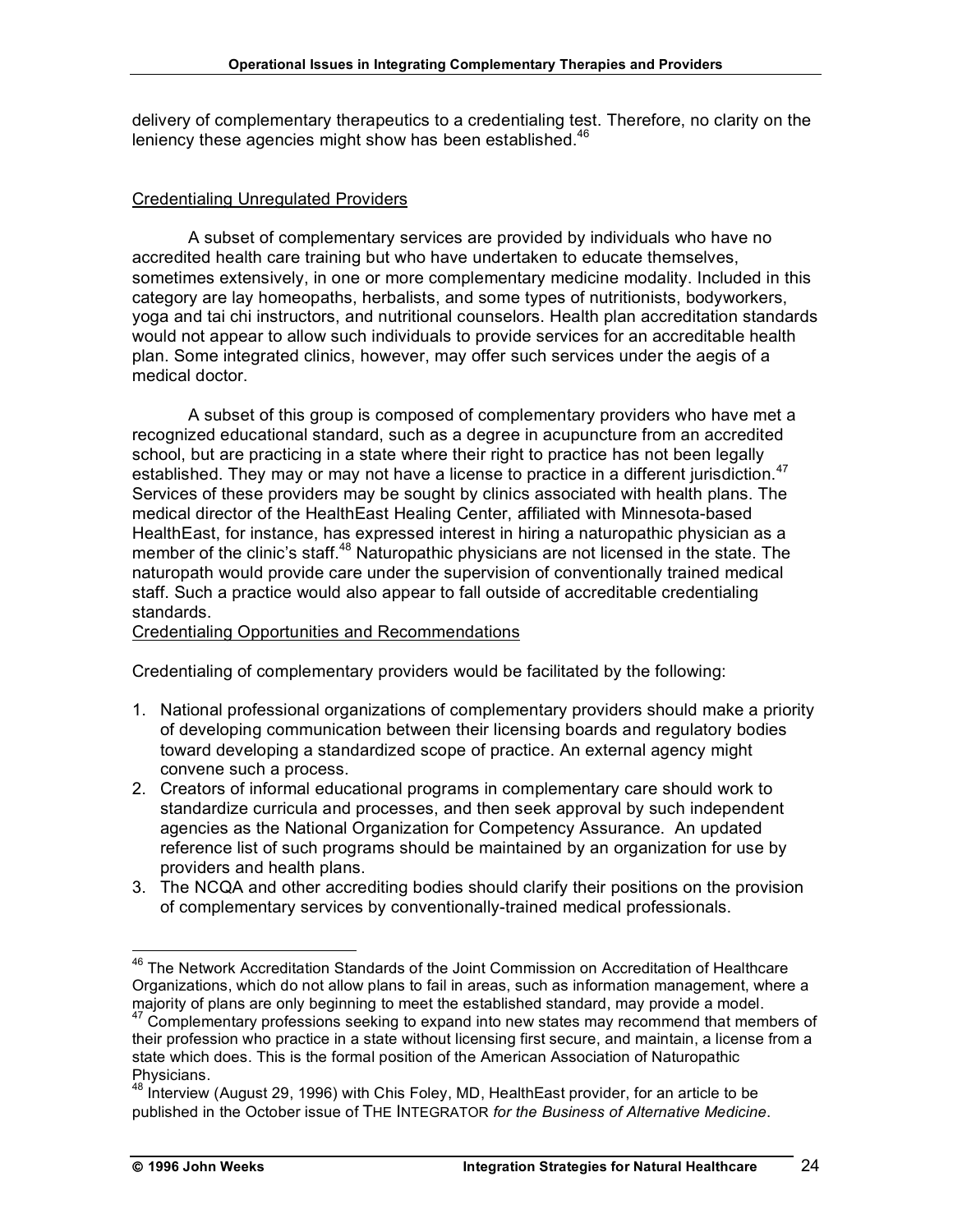delivery of complementary therapeutics to a credentialing test. Therefore, no clarity on the leniency these agencies might show has been established.<sup>46</sup>

# Credentialing Unregulated Providers

A subset of complementary services are provided by individuals who have no accredited health care training but who have undertaken to educate themselves, sometimes extensively, in one or more complementary medicine modality. Included in this category are lay homeopaths, herbalists, and some types of nutritionists, bodyworkers, yoga and tai chi instructors, and nutritional counselors. Health plan accreditation standards would not appear to allow such individuals to provide services for an accreditable health plan. Some integrated clinics, however, may offer such services under the aegis of a medical doctor.

A subset of this group is composed of complementary providers who have met a recognized educational standard, such as a degree in acupuncture from an accredited school, but are practicing in a state where their right to practice has not been legally established. They may or may not have a license to practice in a different jurisdiction.<sup>47</sup> Services of these providers may be sought by clinics associated with health plans. The medical director of the HealthEast Healing Center, affiliated with Minnesota-based HealthEast, for instance, has expressed interest in hiring a naturopathic physician as a member of the clinic's staff.<sup>48</sup> Naturopathic physicians are not licensed in the state. The naturopath would provide care under the supervision of conventionally trained medical staff. Such a practice would also appear to fall outside of accreditable credentialing standards.

# Credentialing Opportunities and Recommendations

Credentialing of complementary providers would be facilitated by the following:

- 1. National professional organizations of complementary providers should make a priority of developing communication between their licensing boards and regulatory bodies toward developing a standardized scope of practice. An external agency might convene such a process.
- 2. Creators of informal educational programs in complementary care should work to standardize curricula and processes, and then seek approval by such independent agencies as the National Organization for Competency Assurance. An updated reference list of such programs should be maintained by an organization for use by providers and health plans.
- 3. The NCQA and other accrediting bodies should clarify their positions on the provision of complementary services by conventionally-trained medical professionals.

<sup>&</sup>lt;sup>46</sup> The Network Accreditation Standards of the Joint Commission on Accreditation of Healthcare Organizations, which do not allow plans to fail in areas, such as information management, where a majority of plans are only beginning to meet the established standard, may provide a model.

 $47$  Complementary professions seeking to expand into new states may recommend that members of their profession who practice in a state without licensing first secure, and maintain, a license from a state which does. This is the formal position of the American Association of Naturopathic

Physicians.<br><sup>48</sup> Interview (August 29, 1996) with Chis Foley, MD, HealthEast provider, for an article to be published in the October issue of THE INTEGRATOR *for the Business of Alternative Medicine*.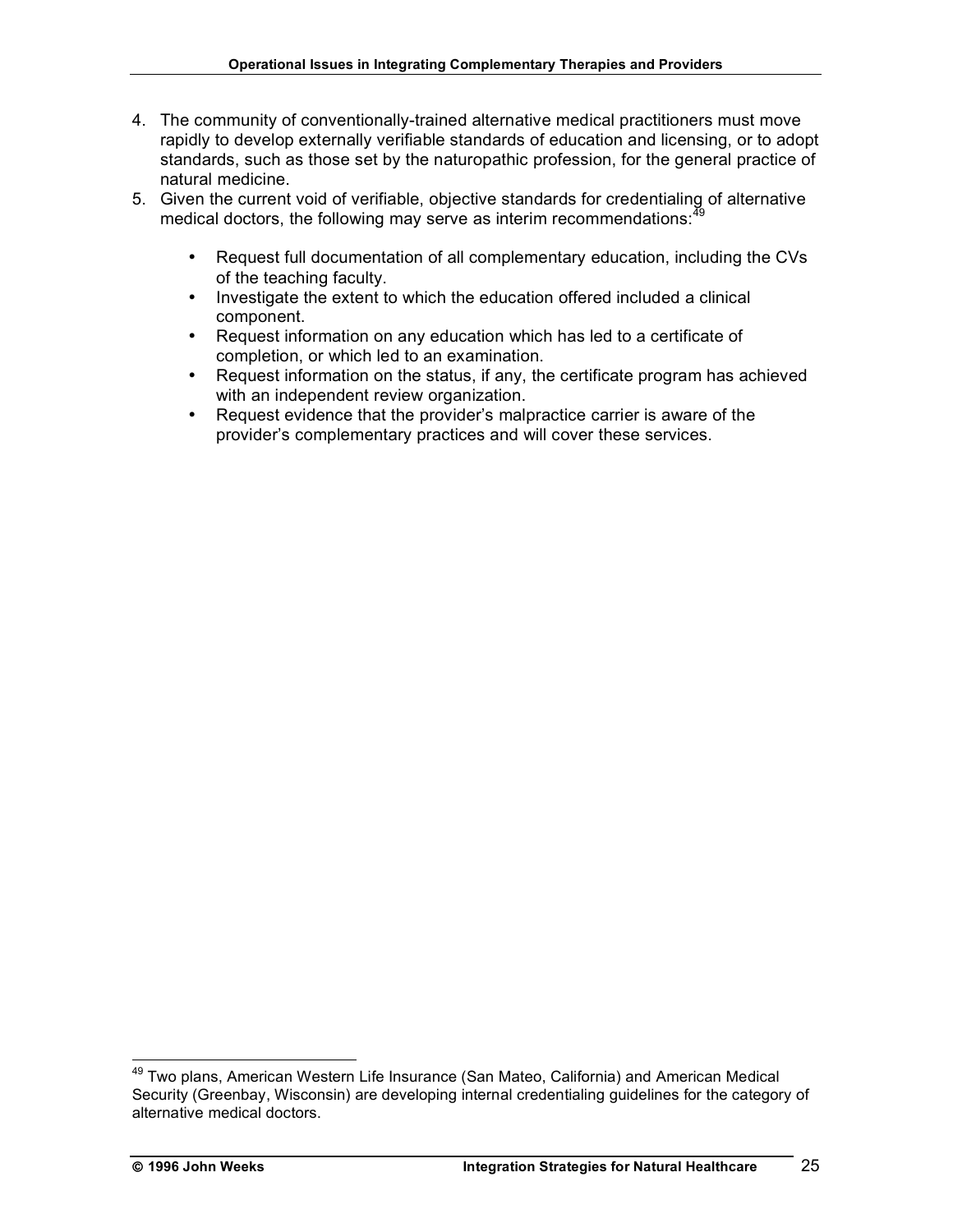- 4. The community of conventionally-trained alternative medical practitioners must move rapidly to develop externally verifiable standards of education and licensing, or to adopt standards, such as those set by the naturopathic profession, for the general practice of natural medicine.
- 5. Given the current void of verifiable, objective standards for credentialing of alternative medical doctors, the following may serve as interim recommendations:<sup>49</sup>
	- Request full documentation of all complementary education, including the CVs of the teaching faculty.
	- Investigate the extent to which the education offered included a clinical component.
	- Request information on any education which has led to a certificate of completion, or which led to an examination.
	- Request information on the status, if any, the certificate program has achieved with an independent review organization.
	- Request evidence that the provider's malpractice carrier is aware of the provider's complementary practices and will cover these services.

<sup>&</sup>lt;sup>49</sup> Two plans, American Western Life Insurance (San Mateo, California) and American Medical Security (Greenbay, Wisconsin) are developing internal credentialing guidelines for the category of alternative medical doctors.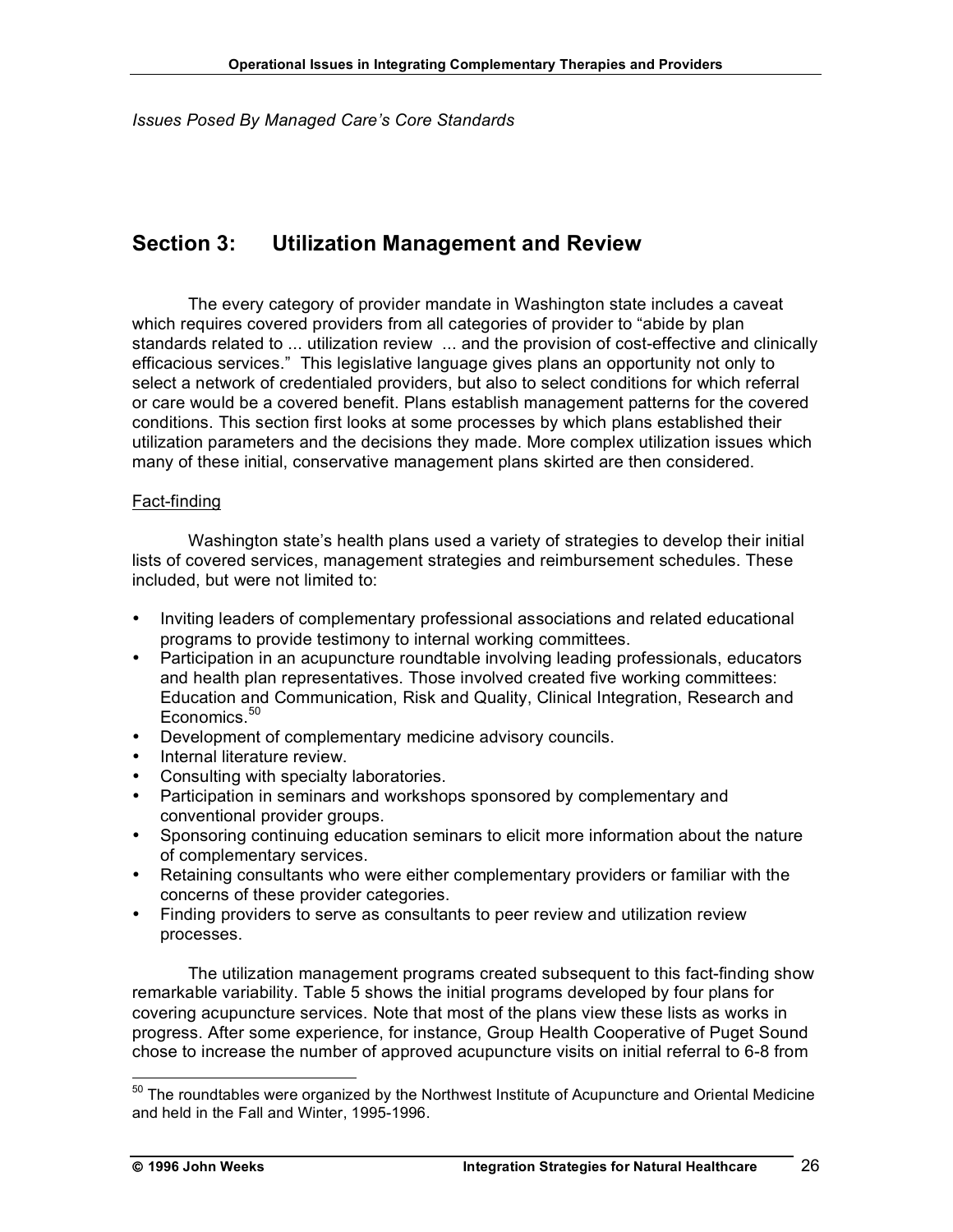*Issues Posed By Managed Care's Core Standards*

# **Section 3: Utilization Management and Review**

The every category of provider mandate in Washington state includes a caveat which requires covered providers from all categories of provider to "abide by plan standards related to ... utilization review ... and the provision of cost-effective and clinically efficacious services." This legislative language gives plans an opportunity not only to select a network of credentialed providers, but also to select conditions for which referral or care would be a covered benefit. Plans establish management patterns for the covered conditions. This section first looks at some processes by which plans established their utilization parameters and the decisions they made. More complex utilization issues which many of these initial, conservative management plans skirted are then considered.

#### Fact-finding

Washington state's health plans used a variety of strategies to develop their initial lists of covered services, management strategies and reimbursement schedules. These included, but were not limited to:

- Inviting leaders of complementary professional associations and related educational programs to provide testimony to internal working committees.
- Participation in an acupuncture roundtable involving leading professionals, educators and health plan representatives. Those involved created five working committees: Education and Communication, Risk and Quality, Clinical Integration, Research and Economics.<sup>50</sup>
- Development of complementary medicine advisory councils.
- Internal literature review.
- Consulting with specialty laboratories.
- Participation in seminars and workshops sponsored by complementary and conventional provider groups.
- Sponsoring continuing education seminars to elicit more information about the nature of complementary services.
- Retaining consultants who were either complementary providers or familiar with the concerns of these provider categories.
- Finding providers to serve as consultants to peer review and utilization review processes.

The utilization management programs created subsequent to this fact-finding show remarkable variability. Table 5 shows the initial programs developed by four plans for covering acupuncture services. Note that most of the plans view these lists as works in progress. After some experience, for instance, Group Health Cooperative of Puget Sound chose to increase the number of approved acupuncture visits on initial referral to 6-8 from

 $50$  The roundtables were organized by the Northwest Institute of Acupuncture and Oriental Medicine and held in the Fall and Winter, 1995-1996.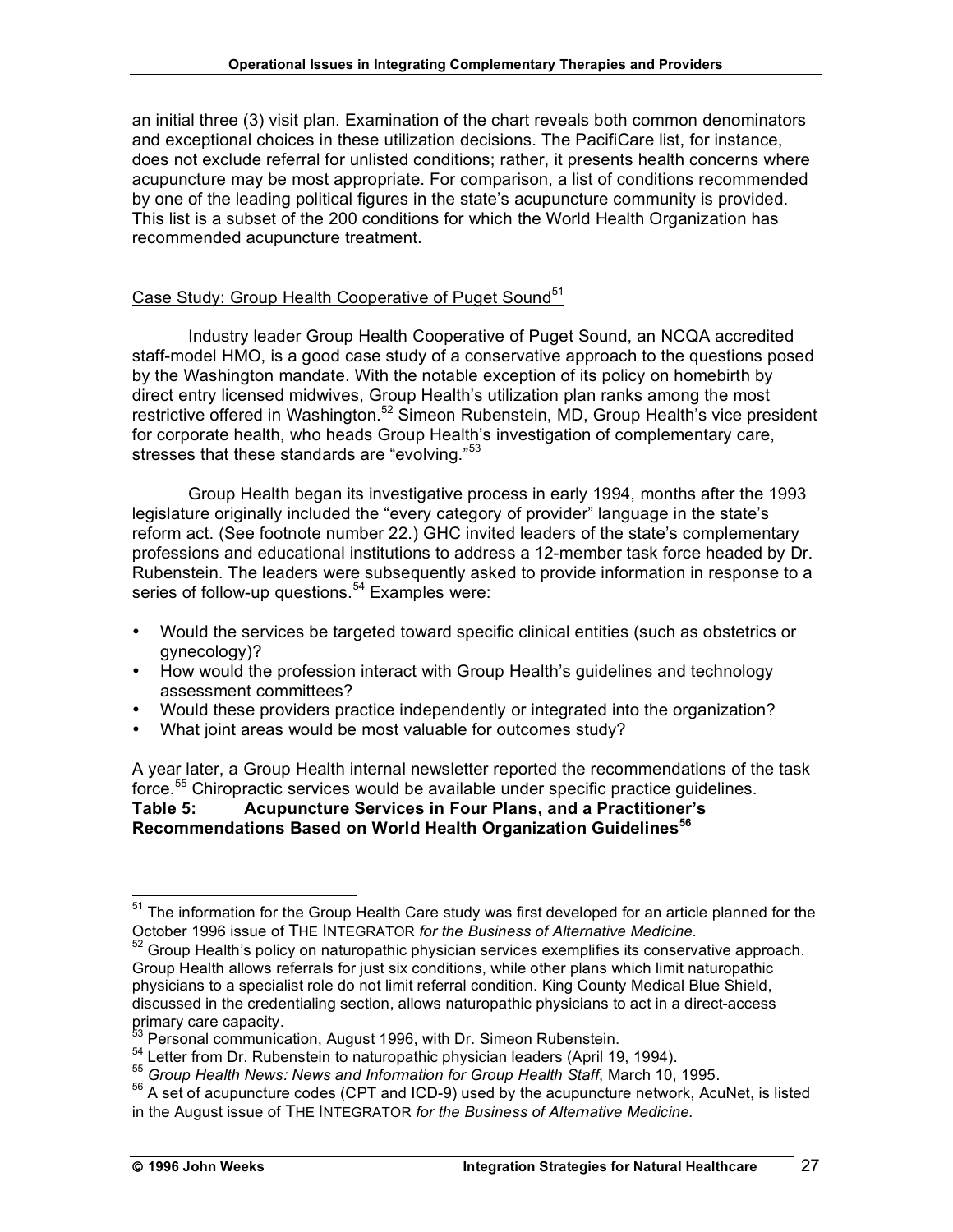an initial three (3) visit plan. Examination of the chart reveals both common denominators and exceptional choices in these utilization decisions. The PacifiCare list, for instance, does not exclude referral for unlisted conditions; rather, it presents health concerns where acupuncture may be most appropriate. For comparison, a list of conditions recommended by one of the leading political figures in the state's acupuncture community is provided. This list is a subset of the 200 conditions for which the World Health Organization has recommended acupuncture treatment.

# Case Study: Group Health Cooperative of Puget Sound<sup>51</sup>

Industry leader Group Health Cooperative of Puget Sound, an NCQA accredited staff-model HMO, is a good case study of a conservative approach to the questions posed by the Washington mandate. With the notable exception of its policy on homebirth by direct entry licensed midwives, Group Health's utilization plan ranks among the most restrictive offered in Washington.<sup>52</sup> Simeon Rubenstein, MD, Group Health's vice president for corporate health, who heads Group Health's investigation of complementary care, stresses that these standards are "evolving."<sup>53</sup>

Group Health began its investigative process in early 1994, months after the 1993 legislature originally included the "every category of provider" language in the state's reform act. (See footnote number 22.) GHC invited leaders of the state's complementary professions and educational institutions to address a 12-member task force headed by Dr. Rubenstein. The leaders were subsequently asked to provide information in response to a series of follow-up questions.<sup>54</sup> Examples were:

- Would the services be targeted toward specific clinical entities (such as obstetrics or gynecology)?
- How would the profession interact with Group Health's guidelines and technology assessment committees?
- Would these providers practice independently or integrated into the organization?
- What joint areas would be most valuable for outcomes study?

A year later, a Group Health internal newsletter reported the recommendations of the task force.<sup>55</sup> Chiropractic services would be available under specific practice guidelines. **Table 5: Acupuncture Services in Four Plans, and a Practitioner's Recommendations Based on World Health Organization Guidelines<sup>56</sup>**

<sup>&</sup>lt;sup>51</sup> The information for the Group Health Care study was first developed for an article planned for the October <sup>1996</sup> issue of THE INTEGRATOR *for the Business of Alternative Medicine.* <sup>52</sup> Group Health's policy on naturopathic physician services exemplifies its conservative approach.

Group Health allows referrals for just six conditions, while other plans which limit naturopathic physicians to a specialist role do not limit referral condition. King County Medical Blue Shield, discussed in the credentialing section, allows naturopathic physicians to act in a direct-access primary care capacity.

<sup>&</sup>lt;sup>53</sup> Personal communication, August 1996, with Dr. Simeon Rubenstein.<br>
<sup>54</sup> Letter from Dr. Rubenstein to naturopathic physician leaders (April 19, 1994).<br>
<sup>55</sup> Group Health News: News and Information for Group Health Sta in the August issue of THE INTEGRATOR *for the Business of Alternative Medicine.*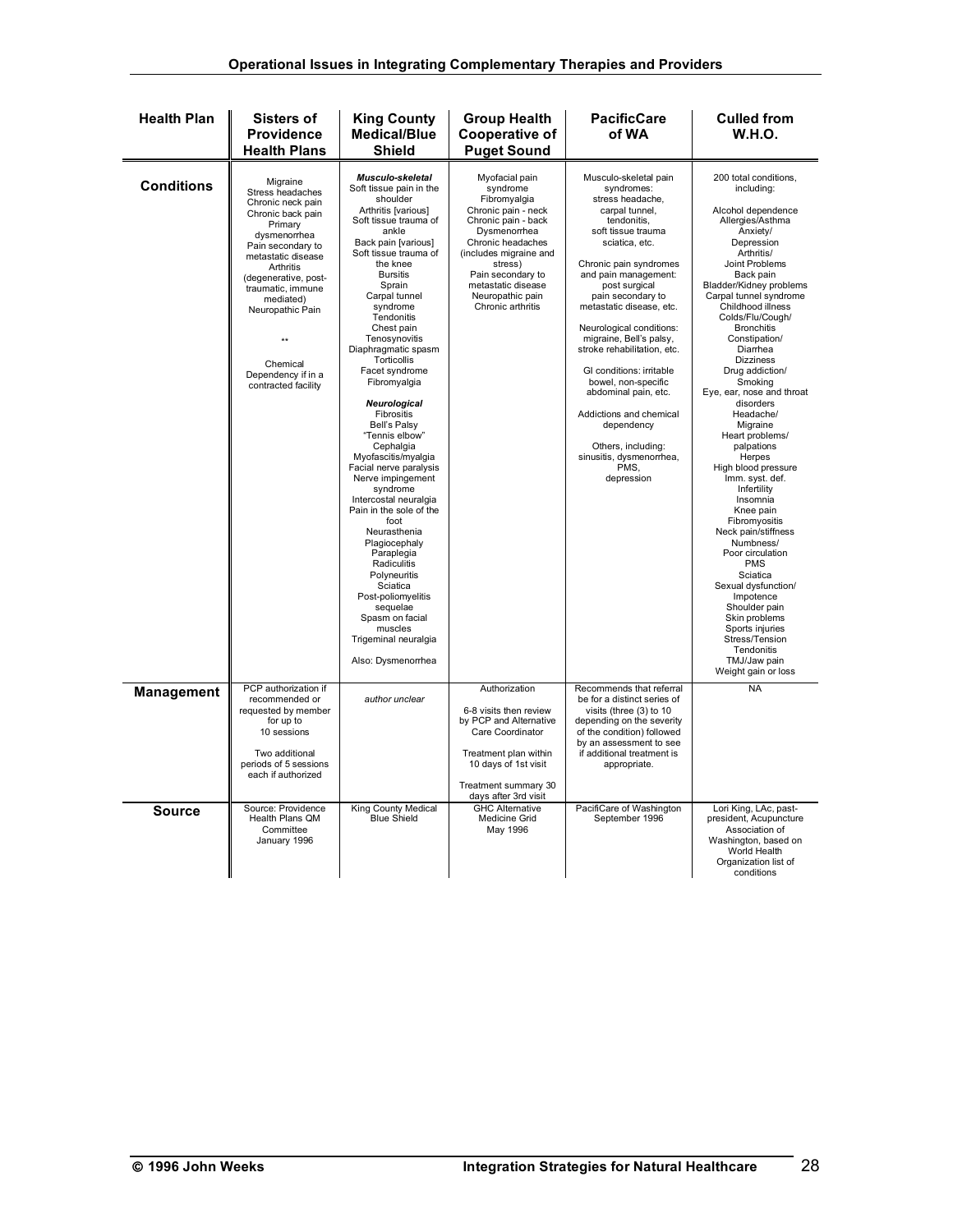| <b>Health Plan</b> | Sisters of<br><b>Providence</b><br><b>Health Plans</b>                                                                                                                                                                                                                                           | <b>King County</b><br><b>Medical/Blue</b><br><b>Shield</b>                                                                                                                                                                                                                                                                                                                                                                                                                                                                                                                                                                                                                                                                                                                                     | <b>Group Health</b><br><b>Cooperative of</b><br><b>Puget Sound</b>                                                                                                                                                                                     | <b>PacificCare</b><br>of WA                                                                                                                                                                                                                                                                                                                                                                                                                                                                                                            | <b>Culled from</b><br><b>W.H.O.</b>                                                                                                                                                                                                                                                                                                                                                                                                                                                                                                                                                                                                                                                                                                                                                                                       |
|--------------------|--------------------------------------------------------------------------------------------------------------------------------------------------------------------------------------------------------------------------------------------------------------------------------------------------|------------------------------------------------------------------------------------------------------------------------------------------------------------------------------------------------------------------------------------------------------------------------------------------------------------------------------------------------------------------------------------------------------------------------------------------------------------------------------------------------------------------------------------------------------------------------------------------------------------------------------------------------------------------------------------------------------------------------------------------------------------------------------------------------|--------------------------------------------------------------------------------------------------------------------------------------------------------------------------------------------------------------------------------------------------------|----------------------------------------------------------------------------------------------------------------------------------------------------------------------------------------------------------------------------------------------------------------------------------------------------------------------------------------------------------------------------------------------------------------------------------------------------------------------------------------------------------------------------------------|---------------------------------------------------------------------------------------------------------------------------------------------------------------------------------------------------------------------------------------------------------------------------------------------------------------------------------------------------------------------------------------------------------------------------------------------------------------------------------------------------------------------------------------------------------------------------------------------------------------------------------------------------------------------------------------------------------------------------------------------------------------------------------------------------------------------------|
| <b>Conditions</b>  | Migraine<br>Stress headaches<br>Chronic neck pain<br>Chronic back pain<br>Primary<br>dysmenorrhea<br>Pain secondary to<br>metastatic disease<br>Arthritis<br>(degenerative, post-<br>traumatic, immune<br>mediated)<br>Neuropathic Pain<br>Chemical<br>Dependency if in a<br>contracted facility | Musculo-skeletal<br>Soft tissue pain in the<br>shoulder<br>Arthritis [various]<br>Soft tissue trauma of<br>ankle<br>Back pain [various]<br>Soft tissue trauma of<br>the knee<br><b>Bursitis</b><br>Sprain<br>Carpal tunnel<br>syndrome<br>Tendonitis<br>Chest pain<br>Tenosynovitis<br>Diaphragmatic spasm<br>Torticollis<br>Facet svndrome<br>Fibromyalgia<br>Neurological<br>Fibrositis<br>Bell's Palsy<br>"Tennis elbow"<br>Cephalgia<br>Myofascitis/myalgia<br>Facial nerve paralysis<br>Nerve impingement<br>syndrome<br>Intercostal neuralgia<br>Pain in the sole of the<br>foot<br>Neurasthenia<br>Plagiocephaly<br>Paraplegia<br>Radiculitis<br>Polyneuritis<br>Sciatica<br>Post-poliomyelitis<br>sequelae<br>Spasm on facial<br>muscles<br>Trigeminal neuralgia<br>Also: Dysmenorrhea | Myofacial pain<br>syndrome<br>Fibromyalgia<br>Chronic pain - neck<br>Chronic pain - back<br>Dysmenorrhea<br>Chronic headaches<br>(includes migraine and<br>stress)<br>Pain secondary to<br>metastatic disease<br>Neuropathic pain<br>Chronic arthritis | Musculo-skeletal pain<br>syndromes:<br>stress headache,<br>carpal tunnel,<br>tendonitis.<br>soft tissue trauma<br>sciatica, etc.<br>Chronic pain syndromes<br>and pain management:<br>post surgical<br>pain secondary to<br>metastatic disease, etc.<br>Neurological conditions:<br>migraine, Bell's palsy,<br>stroke rehabilitation, etc.<br>GI conditions: irritable<br>bowel, non-specific<br>abdominal pain, etc.<br>Addictions and chemical<br>dependency<br>Others, including:<br>sinusitis, dysmenorrhea,<br>PMS,<br>depression | 200 total conditions,<br>including:<br>Alcohol dependence<br>Allergies/Asthma<br>Anxiety/<br>Depression<br>Arthritis/<br>Joint Problems<br>Back pain<br>Bladder/Kidney problems<br>Carpal tunnel syndrome<br>Childhood illness<br>Colds/Flu/Cough/<br><b>Bronchitis</b><br>Constipation/<br>Diarrhea<br><b>Dizziness</b><br>Drug addiction/<br>Smoking<br>Eye, ear, nose and throat<br>disorders<br>Headache/<br>Migraine<br>Heart problems/<br>palpations<br>Herpes<br>High blood pressure<br>Imm. syst. def.<br>Infertility<br>Insomnia<br>Knee pain<br>Fibromyositis<br>Neck pain/stiffness<br>Numbness/<br>Poor circulation<br><b>PMS</b><br>Sciatica<br>Sexual dysfunction/<br>Impotence<br>Shoulder pain<br>Skin problems<br>Sports iniuries<br>Stress/Tension<br>Tendonitis<br>TMJ/Jaw pain<br>Weight gain or loss |
| Management         | PCP authorization if<br>recommended or<br>requested by member<br>for up to<br>10 sessions<br>Two additional<br>periods of 5 sessions<br>each if authorized                                                                                                                                       | author unclear                                                                                                                                                                                                                                                                                                                                                                                                                                                                                                                                                                                                                                                                                                                                                                                 | Authorization<br>6-8 visits then review<br>by PCP and Alternative<br>Care Coordinator<br>Treatment plan within<br>10 days of 1st visit<br>Treatment summary 30<br>days after 3rd visit                                                                 | Recommends that referral<br>be for a distinct series of<br>visits (three (3) to 10<br>depending on the severity<br>of the condition) followed<br>by an assessment to see<br>if additional treatment is<br>appropriate.                                                                                                                                                                                                                                                                                                                 | <b>NA</b>                                                                                                                                                                                                                                                                                                                                                                                                                                                                                                                                                                                                                                                                                                                                                                                                                 |
| <b>Source</b>      | Source: Providence<br>Health Plans QM<br>Committee<br>January 1996                                                                                                                                                                                                                               | King County Medical<br><b>Blue Shield</b>                                                                                                                                                                                                                                                                                                                                                                                                                                                                                                                                                                                                                                                                                                                                                      | <b>GHC Alternative</b><br>Medicine Grid<br>May 1996                                                                                                                                                                                                    | PacifiCare of Washington<br>September 1996                                                                                                                                                                                                                                                                                                                                                                                                                                                                                             | Lori King, LAc, past-<br>president, Acupuncture<br>Association of<br>Washington, based on<br>World Health<br>Organization list of<br>conditions                                                                                                                                                                                                                                                                                                                                                                                                                                                                                                                                                                                                                                                                           |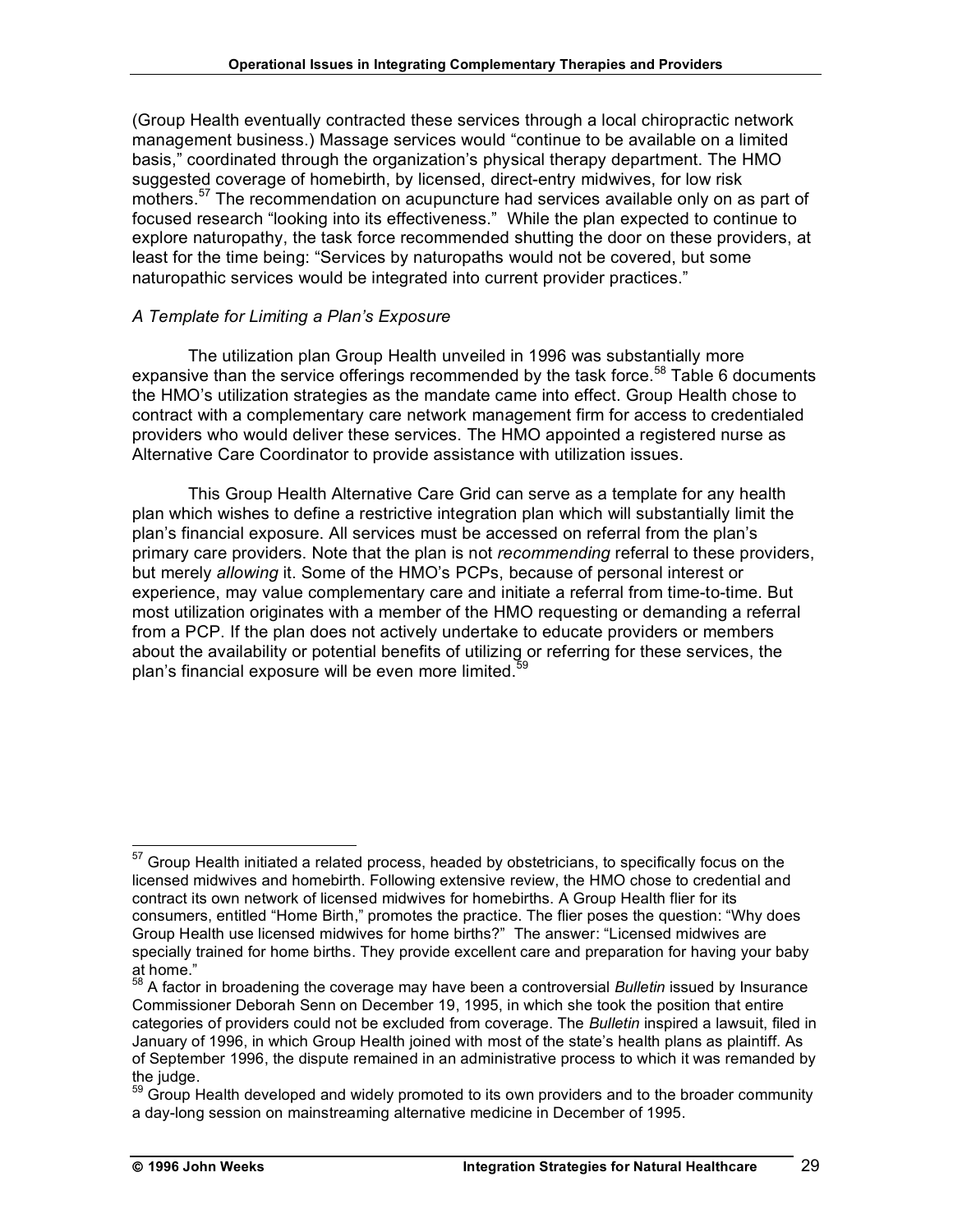(Group Health eventually contracted these services through a local chiropractic network management business.) Massage services would "continue to be available on a limited basis," coordinated through the organization's physical therapy department. The HMO suggested coverage of homebirth, by licensed, direct-entry midwives, for low risk mothers.<sup>57</sup> The recommendation on acupuncture had services available only on as part of focused research "looking into its effectiveness." While the plan expected to continue to explore naturopathy, the task force recommended shutting the door on these providers, at least for the time being: "Services by naturopaths would not be covered, but some naturopathic services would be integrated into current provider practices."

# *A Template for Limiting a Plan's Exposure*

The utilization plan Group Health unveiled in 1996 was substantially more expansive than the service offerings recommended by the task force.<sup>58</sup> Table 6 documents the HMO's utilization strategies as the mandate came into effect. Group Health chose to contract with a complementary care network management firm for access to credentialed providers who would deliver these services. The HMO appointed a registered nurse as Alternative Care Coordinator to provide assistance with utilization issues.

This Group Health Alternative Care Grid can serve as a template for any health plan which wishes to define a restrictive integration plan which will substantially limit the plan's financial exposure. All services must be accessed on referral from the plan's primary care providers. Note that the plan is not *recommending* referral to these providers, but merely *allowing* it. Some of the HMO's PCPs, because of personal interest or experience, may value complementary care and initiate a referral from time-to-time. But most utilization originates with a member of the HMO requesting or demanding a referral from a PCP. If the plan does not actively undertake to educate providers or members about the availability or potential benefits of utilizing or referring for these services, the plan's financial exposure will be even more limited.<sup>39</sup>

<sup>&</sup>lt;sup>57</sup> Group Health initiated a related process, headed by obstetricians, to specifically focus on the licensed midwives and homebirth. Following extensive review, the HMO chose to credential and contract its own network of licensed midwives for homebirths. A Group Health flier for its consumers, entitled "Home Birth," promotes the practice. The flier poses the question: "Why does Group Health use licensed midwives for home births?" The answer: "Licensed midwives are specially trained for home births. They provide excellent care and preparation for having your baby<br>at home."<br> $58.0$  factor in has adoption that are all the set of the set of the set of the set of the set of the set of th

A factor in broadening the coverage may have been a controversial *Bulletin* issued by Insurance Commissioner Deborah Senn on December 19, 1995, in which she took the position that entire categories of providers could not be excluded from coverage. The *Bulletin* inspired a lawsuit, filed in January of 1996, in which Group Health joined with most of the state's health plans as plaintiff. As of September 1996, the dispute remained in an administrative process to which it was remanded by<br>the judge.<br><sup>59</sup> Group Health developed and widely promoted to its own previders and to the best of the second

Group Health developed and widely promoted to its own providers and to the broader community a day-long session on mainstreaming alternative medicine in December of 1995.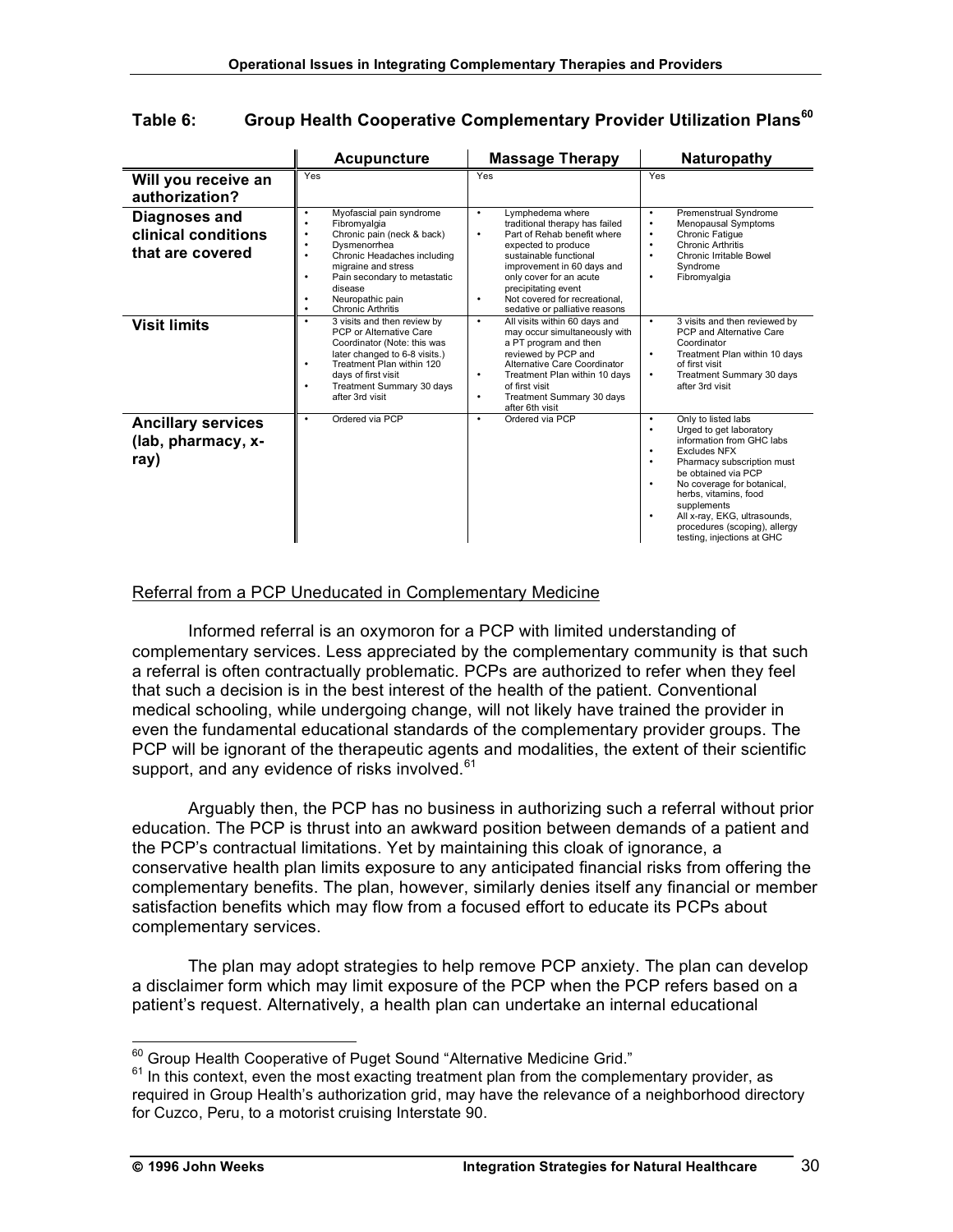| Table 6: |  | Group Health Cooperative Complementary Provider Utilization Plans <sup>60</sup> |
|----------|--|---------------------------------------------------------------------------------|
|          |  |                                                                                 |

|                                                                 | Acupuncture                                                                                                                                                                                                                                                                                                                | <b>Massage Therapy</b>                                                                                                                                                                                                                                                                                                                    | Naturopathy                                                                                                                                                                                                                                                                                                                                               |
|-----------------------------------------------------------------|----------------------------------------------------------------------------------------------------------------------------------------------------------------------------------------------------------------------------------------------------------------------------------------------------------------------------|-------------------------------------------------------------------------------------------------------------------------------------------------------------------------------------------------------------------------------------------------------------------------------------------------------------------------------------------|-----------------------------------------------------------------------------------------------------------------------------------------------------------------------------------------------------------------------------------------------------------------------------------------------------------------------------------------------------------|
| Will you receive an<br>authorization?                           | Yes                                                                                                                                                                                                                                                                                                                        | Yes                                                                                                                                                                                                                                                                                                                                       | Yes                                                                                                                                                                                                                                                                                                                                                       |
| <b>Diagnoses and</b><br>clinical conditions<br>that are covered | Myofascial pain syndrome<br>$\bullet$<br>Fibromyalgia<br>$\bullet$<br>Chronic pain (neck & back)<br>$\bullet$<br>Dysmenorrhea<br>$\bullet$<br>Chronic Headaches including<br>$\bullet$<br>migraine and stress<br>Pain secondary to metastatic<br>٠<br>disease<br>Neuropathic pain<br><b>Chronic Arthritis</b><br>$\bullet$ | Lymphedema where<br>$\bullet$<br>traditional therapy has failed<br>Part of Rehab benefit where<br>$\bullet$<br>expected to produce<br>sustainable functional<br>improvement in 60 days and<br>only cover for an acute<br>precipitating event<br>Not covered for recreational.<br>$\bullet$<br>sedative or palliative reasons<br>$\bullet$ | <b>Premenstrual Syndrome</b><br>$\bullet$<br>Menopausal Symptoms<br>$\bullet$<br>Chronic Fatigue<br>٠<br><b>Chronic Arthritis</b><br>٠<br>Chronic Irritable Bowel<br>Syndrome<br>Fibromyalgia<br>٠<br>$\bullet$                                                                                                                                           |
| <b>Visit limits</b>                                             | 3 visits and then review by<br>PCP or Alternative Care<br>Coordinator (Note: this was<br>later changed to 6-8 visits.)<br>Treatment Plan within 120<br>٠<br>days of first visit<br>Treatment Summary 30 days<br>٠<br>after 3rd visit                                                                                       | All visits within 60 days and<br>may occur simultaneously with<br>a PT program and then<br>reviewed by PCP and<br>Alternative Care Coordinator<br>Treatment Plan within 10 days<br>$\bullet$<br>of first visit<br>Treatment Summary 30 days<br>$\bullet$<br>after 6th visit                                                               | 3 visits and then reviewed by<br>PCP and Alternative Care<br>Coordinator<br>Treatment Plan within 10 days<br>$\bullet$<br>of first visit<br>Treatment Summary 30 days<br>٠<br>after 3rd visit                                                                                                                                                             |
| <b>Ancillary services</b><br>(lab, pharmacy, x-<br>ray)         | Ordered via PCP<br>$\bullet$                                                                                                                                                                                                                                                                                               | Ordered via PCP<br>$\bullet$                                                                                                                                                                                                                                                                                                              | Only to listed labs<br>$\bullet$<br>Urged to get laboratory<br>$\bullet$<br>information from GHC labs<br>Excludes NFX<br>Pharmacy subscription must<br>be obtained via PCP<br>No coverage for botanical,<br>٠<br>herbs, vitamins, food<br>supplements<br>All x-ray, EKG, ultrasounds,<br>٠<br>procedures (scoping), allergy<br>testing, injections at GHC |

#### Referral from a PCP Uneducated in Complementary Medicine

Informed referral is an oxymoron for a PCP with limited understanding of complementary services. Less appreciated by the complementary community is that such a referral is often contractually problematic. PCPs are authorized to refer when they feel that such a decision is in the best interest of the health of the patient. Conventional medical schooling, while undergoing change, will not likely have trained the provider in even the fundamental educational standards of the complementary provider groups. The PCP will be ignorant of the therapeutic agents and modalities, the extent of their scientific support, and any evidence of risks involved.<sup>61</sup>

Arguably then, the PCP has no business in authorizing such a referral without prior education. The PCP is thrust into an awkward position between demands of a patient and the PCP's contractual limitations. Yet by maintaining this cloak of ignorance, a conservative health plan limits exposure to any anticipated financial risks from offering the complementary benefits. The plan, however, similarly denies itself any financial or member satisfaction benefits which may flow from a focused effort to educate its PCPs about complementary services.

The plan may adopt strategies to help remove PCP anxiety. The plan can develop a disclaimer form which may limit exposure of the PCP when the PCP refers based on a patient's request. Alternatively, a health plan can undertake an internal educational

 $60$  Group Health Cooperative of Puget Sound "Alternative Medicine Grid."<br> $61$  In this context, even the most exacting treatment plan from the complementary provider, as required in Group Health's authorization grid, may have the relevance of a neighborhood directory for Cuzco, Peru, to a motorist cruising Interstate 90.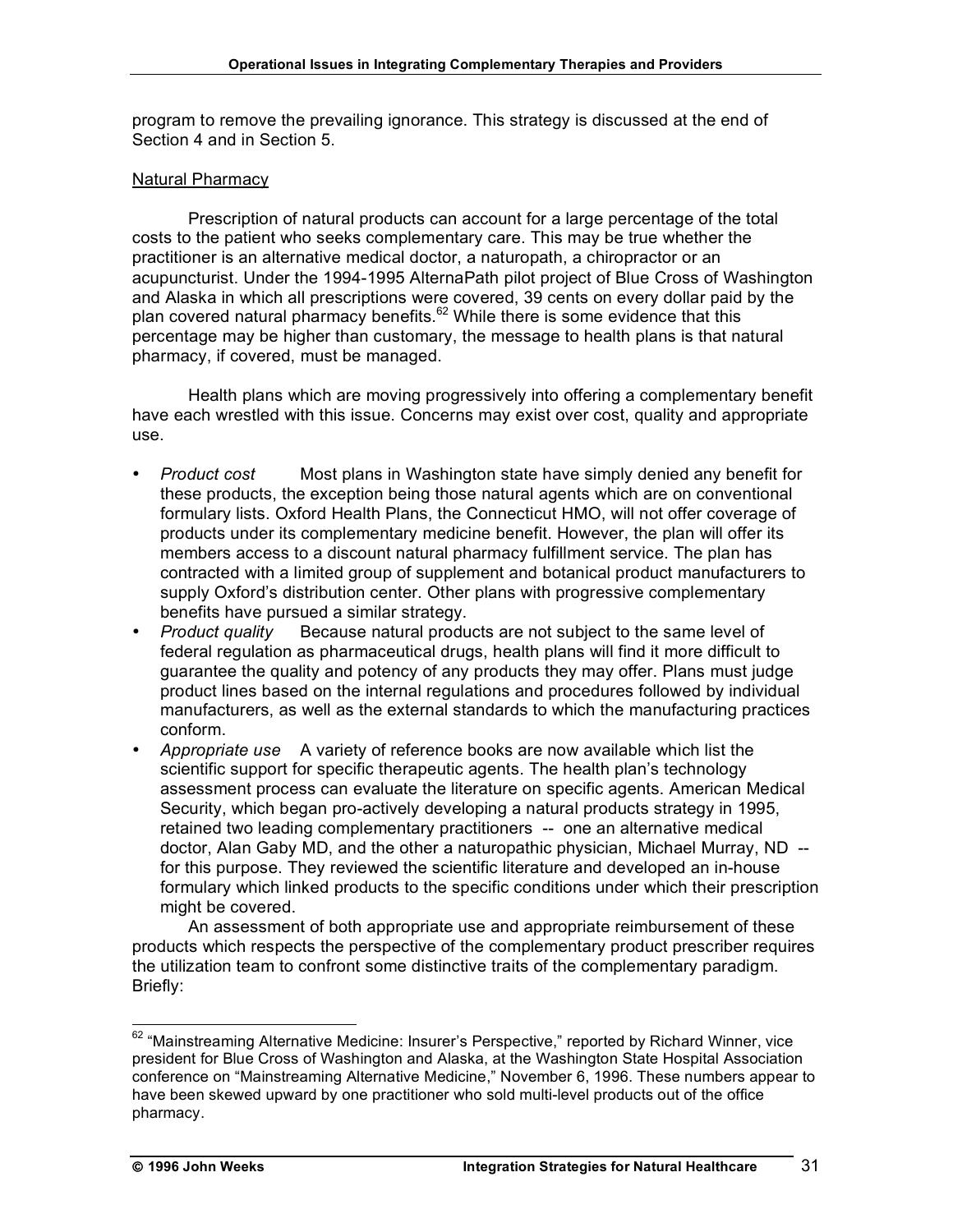program to remove the prevailing ignorance. This strategy is discussed at the end of Section 4 and in Section 5.

#### Natural Pharmacy

Prescription of natural products can account for a large percentage of the total costs to the patient who seeks complementary care. This may be true whether the practitioner is an alternative medical doctor, a naturopath, a chiropractor or an acupuncturist. Under the 1994-1995 AlternaPath pilot project of Blue Cross of Washington and Alaska in which all prescriptions were covered, 39 cents on every dollar paid by the plan covered natural pharmacy benefits.<sup>62</sup> While there is some evidence that this percentage may be higher than customary, the message to health plans is that natural pharmacy, if covered, must be managed.

Health plans which are moving progressively into offering a complementary benefit have each wrestled with this issue. Concerns may exist over cost, quality and appropriate use.

- *Product cost* Most plans in Washington state have simply denied any benefit for these products, the exception being those natural agents which are on conventional formulary lists. Oxford Health Plans, the Connecticut HMO, will not offer coverage of products under its complementary medicine benefit. However, the plan will offer its members access to a discount natural pharmacy fulfillment service. The plan has contracted with a limited group of supplement and botanical product manufacturers to supply Oxford's distribution center. Other plans with progressive complementary benefits have pursued a similar strategy.
- *Product quality* Because natural products are not subject to the same level of federal regulation as pharmaceutical drugs, health plans will find it more difficult to guarantee the quality and potency of any products they may offer. Plans must judge product lines based on the internal regulations and procedures followed by individual manufacturers, as well as the external standards to which the manufacturing practices conform.
- *Appropriate use* A variety of reference books are now available which list the scientific support for specific therapeutic agents. The health plan's technology assessment process can evaluate the literature on specific agents. American Medical Security, which began pro-actively developing a natural products strategy in 1995, retained two leading complementary practitioners -- one an alternative medical doctor, Alan Gaby MD, and the other a naturopathic physician, Michael Murray, ND - for this purpose. They reviewed the scientific literature and developed an in-house formulary which linked products to the specific conditions under which their prescription might be covered.

An assessment of both appropriate use and appropriate reimbursement of these products which respects the perspective of the complementary product prescriber requires the utilization team to confront some distinctive traits of the complementary paradigm. Briefly:

<sup>&</sup>lt;sup>62</sup> "Mainstreaming Alternative Medicine: Insurer's Perspective," reported by Richard Winner, vice president for Blue Cross of Washington and Alaska, at the Washington State Hospital Association conference on "Mainstreaming Alternative Medicine," November 6, 1996. These numbers appear to have been skewed upward by one practitioner who sold multi-level products out of the office pharmacy.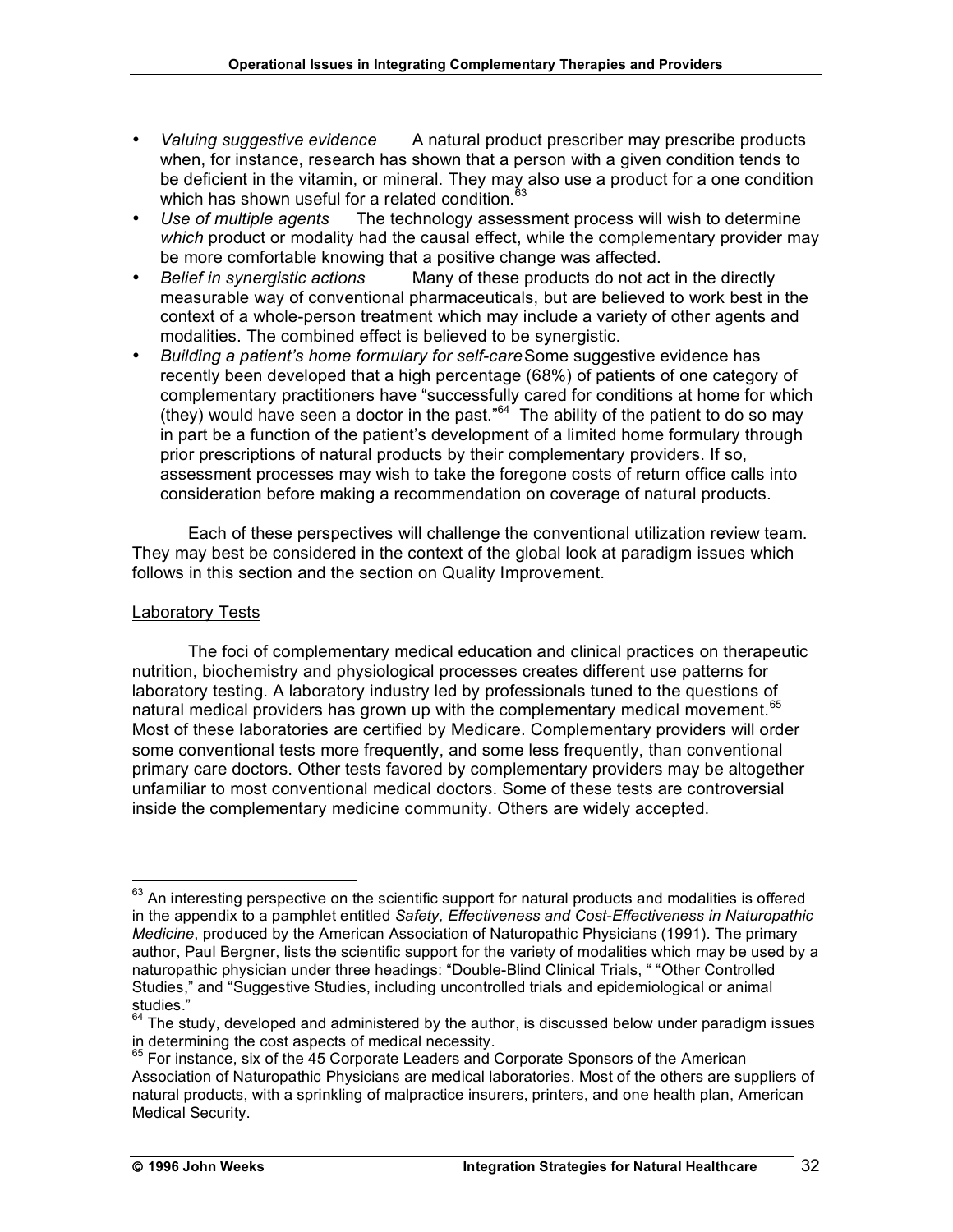- *Valuing suggestive evidence* A natural product prescriber may prescribe products when, for instance, research has shown that a person with a given condition tends to be deficient in the vitamin, or mineral. They may also use a product for a one condition which has shown useful for a related condition.<sup>63</sup>
- *Use of multiple agents* The technology assessment process will wish to determine *which* product or modality had the causal effect, while the complementary provider may be more comfortable knowing that a positive change was affected.
- *Belief in synergistic actions* Many of these products do not act in the directly measurable way of conventional pharmaceuticals, but are believed to work best in the context of a whole-person treatment which may include a variety of other agents and modalities. The combined effect is believed to be synergistic.
- *Building a patient's home formulary for self-care*Some suggestive evidence has recently been developed that a high percentage (68%) of patients of one category of complementary practitioners have "successfully cared for conditions at home for which (they) would have seen a doctor in the past." $64$  The ability of the patient to do so may in part be a function of the patient's development of a limited home formulary through prior prescriptions of natural products by their complementary providers. If so, assessment processes may wish to take the foregone costs of return office calls into consideration before making a recommendation on coverage of natural products.

Each of these perspectives will challenge the conventional utilization review team. They may best be considered in the context of the global look at paradigm issues which follows in this section and the section on Quality Improvement.

# Laboratory Tests

The foci of complementary medical education and clinical practices on therapeutic nutrition, biochemistry and physiological processes creates different use patterns for laboratory testing. A laboratory industry led by professionals tuned to the questions of natural medical providers has grown up with the complementary medical movement.<sup>65</sup> Most of these laboratories are certified by Medicare. Complementary providers will order some conventional tests more frequently, and some less frequently, than conventional primary care doctors. Other tests favored by complementary providers may be altogether unfamiliar to most conventional medical doctors. Some of these tests are controversial inside the complementary medicine community. Others are widely accepted.

 $63$  An interesting perspective on the scientific support for natural products and modalities is offered in the appendix to a pamphlet entitled *Safety, Effectiveness and Cost-Effectiveness in Naturopathic Medicine*, produced by the American Association of Naturopathic Physicians (1991). The primary author, Paul Bergner, lists the scientific support for the variety of modalities which may be used by a naturopathic physician under three headings: "Double-Blind Clinical Trials, " "Other Controlled Studies," and "Suggestive Studies, including uncontrolled trials and epidemiological or animal studies."<br><sup>64</sup> The study, developed and administered by the author, is discussed below under paradigm issues

in determining the cost aspects of medical necessity.<br><sup>65</sup> For instance, six of the 45 Corporate Leaders and Corporate Sponsors of the American

Association of Naturopathic Physicians are medical laboratories. Most of the others are suppliers of natural products, with a sprinkling of malpractice insurers, printers, and one health plan, American Medical Security.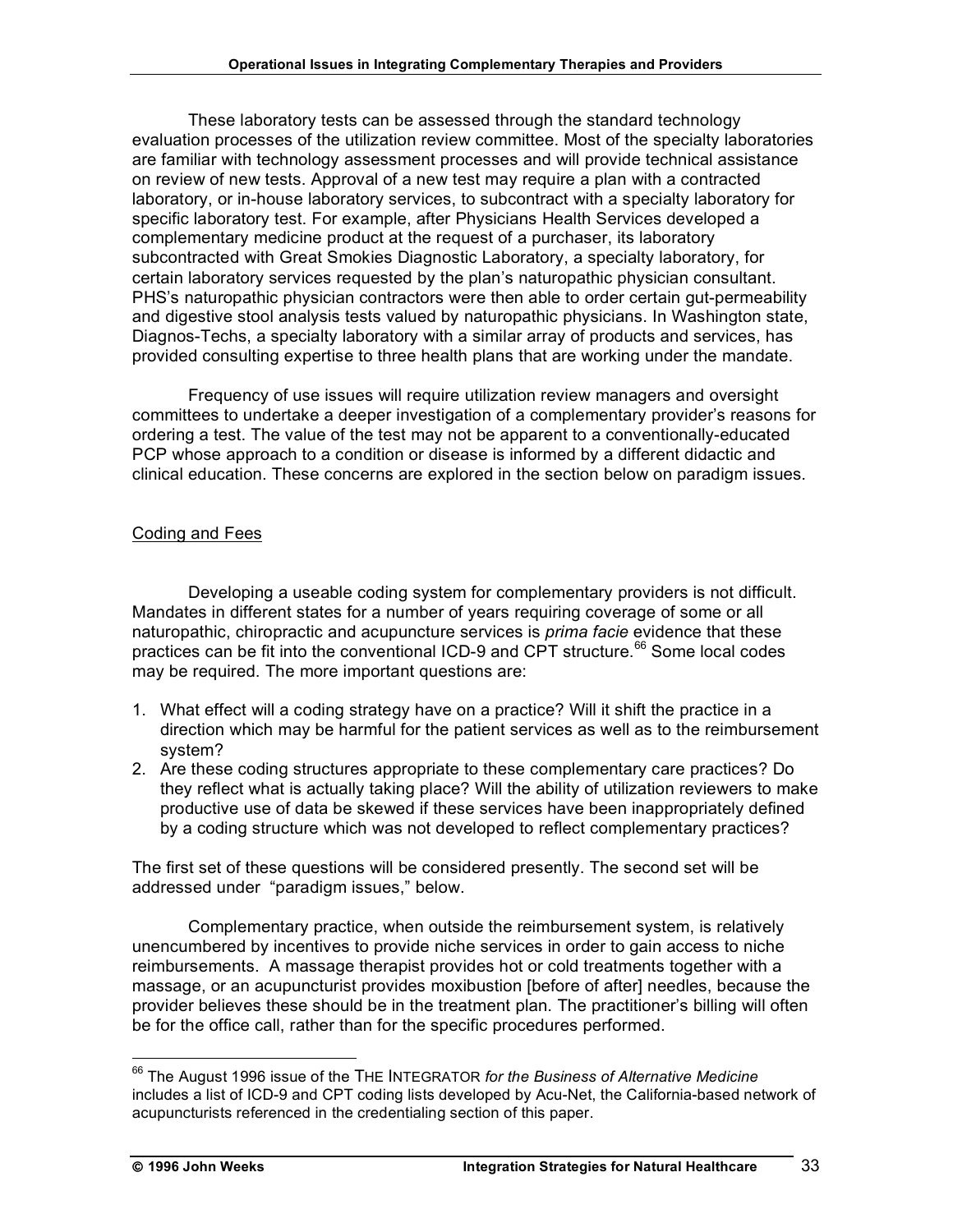These laboratory tests can be assessed through the standard technology evaluation processes of the utilization review committee. Most of the specialty laboratories are familiar with technology assessment processes and will provide technical assistance on review of new tests. Approval of a new test may require a plan with a contracted laboratory, or in-house laboratory services, to subcontract with a specialty laboratory for specific laboratory test. For example, after Physicians Health Services developed a complementary medicine product at the request of a purchaser, its laboratory subcontracted with Great Smokies Diagnostic Laboratory, a specialty laboratory, for certain laboratory services requested by the plan's naturopathic physician consultant. PHS's naturopathic physician contractors were then able to order certain gut-permeability and digestive stool analysis tests valued by naturopathic physicians. In Washington state, Diagnos-Techs, a specialty laboratory with a similar array of products and services, has provided consulting expertise to three health plans that are working under the mandate.

Frequency of use issues will require utilization review managers and oversight committees to undertake a deeper investigation of a complementary provider's reasons for ordering a test. The value of the test may not be apparent to a conventionally-educated PCP whose approach to a condition or disease is informed by a different didactic and clinical education. These concerns are explored in the section below on paradigm issues.

# Coding and Fees

Developing a useable coding system for complementary providers is not difficult. Mandates in different states for a number of years requiring coverage of some or all naturopathic, chiropractic and acupuncture services is *prima facie* evidence that these practices can be fit into the conventional ICD-9 and CPT structure.<sup>66</sup> Some local codes may be required. The more important questions are:

- 1. What effect will a coding strategy have on a practice? Will it shift the practice in a direction which may be harmful for the patient services as well as to the reimbursement system?
- 2. Are these coding structures appropriate to these complementary care practices? Do they reflect what is actually taking place? Will the ability of utilization reviewers to make productive use of data be skewed if these services have been inappropriately defined by a coding structure which was not developed to reflect complementary practices?

The first set of these questions will be considered presently. The second set will be addressed under "paradigm issues," below.

Complementary practice, when outside the reimbursement system, is relatively unencumbered by incentives to provide niche services in order to gain access to niche reimbursements. A massage therapist provides hot or cold treatments together with a massage, or an acupuncturist provides moxibustion [before of after] needles, because the provider believes these should be in the treatment plan. The practitioner's billing will often be for the office call, rather than for the specific procedures performed.

 <sup>66</sup> The August <sup>1996</sup> issue of the THE INTEGRATOR *for the Business of Alternative Medicine* includes a list of ICD-9 and CPT coding lists developed by Acu-Net, the California-based network of acupuncturists referenced in the credentialing section of this paper.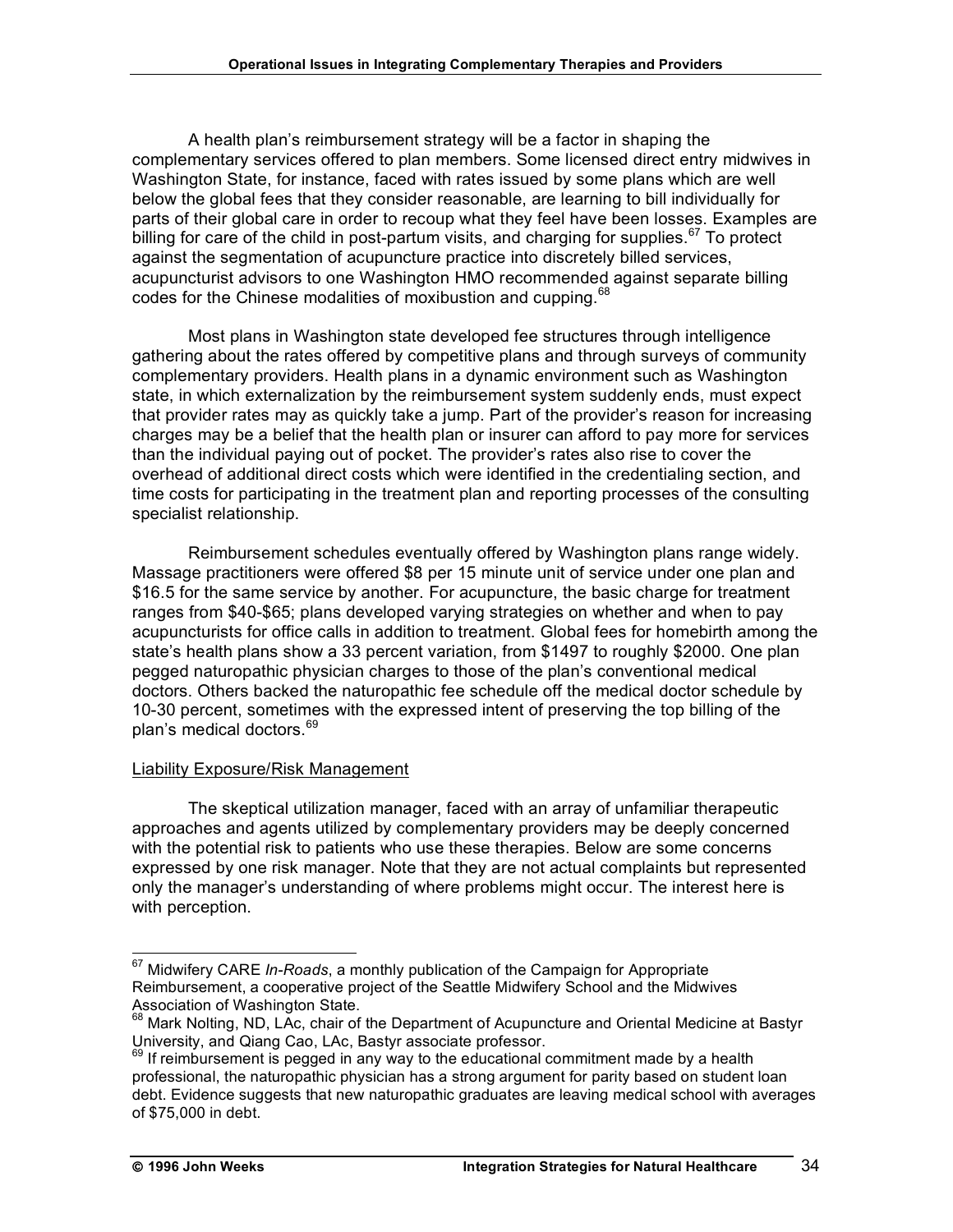A health plan's reimbursement strategy will be a factor in shaping the complementary services offered to plan members. Some licensed direct entry midwives in Washington State, for instance, faced with rates issued by some plans which are well below the global fees that they consider reasonable, are learning to bill individually for parts of their global care in order to recoup what they feel have been losses. Examples are billing for care of the child in post-partum visits, and charging for supplies.<sup>67</sup> To protect against the segmentation of acupuncture practice into discretely billed services, acupuncturist advisors to one Washington HMO recommended against separate billing codes for the Chinese modalities of moxibustion and cupping.<sup>68</sup>

Most plans in Washington state developed fee structures through intelligence gathering about the rates offered by competitive plans and through surveys of community complementary providers. Health plans in a dynamic environment such as Washington state, in which externalization by the reimbursement system suddenly ends, must expect that provider rates may as quickly take a jump. Part of the provider's reason for increasing charges may be a belief that the health plan or insurer can afford to pay more for services than the individual paying out of pocket. The provider's rates also rise to cover the overhead of additional direct costs which were identified in the credentialing section, and time costs for participating in the treatment plan and reporting processes of the consulting specialist relationship.

Reimbursement schedules eventually offered by Washington plans range widely. Massage practitioners were offered \$8 per 15 minute unit of service under one plan and \$16.5 for the same service by another. For acupuncture, the basic charge for treatment ranges from \$40-\$65; plans developed varying strategies on whether and when to pay acupuncturists for office calls in addition to treatment. Global fees for homebirth among the state's health plans show a 33 percent variation, from \$1497 to roughly \$2000. One plan pegged naturopathic physician charges to those of the plan's conventional medical doctors. Others backed the naturopathic fee schedule off the medical doctor schedule by 10-30 percent, sometimes with the expressed intent of preserving the top billing of the plan's medical doctors. 69

# Liability Exposure/Risk Management

The skeptical utilization manager, faced with an array of unfamiliar therapeutic approaches and agents utilized by complementary providers may be deeply concerned with the potential risk to patients who use these therapies. Below are some concerns expressed by one risk manager. Note that they are not actual complaints but represented only the manager's understanding of where problems might occur. The interest here is with perception.

 <sup>67</sup> Midwifery CARE *In-Roads*, <sup>a</sup> monthly publication of the Campaign for Appropriate Reimbursement, a cooperative project of the Seattle Midwifery School and the Midwives

<sup>&</sup>lt;sup>68</sup> Mark Nolting, ND, LĂc, chair of the Department of Acupuncture and Oriental Medicine at Bastyr<br>University, and Qiang Cao, LAc, Bastyr associate professor.

 $69$  If reimbursement is pegged in any way to the educational commitment made by a health professional, the naturopathic physician has a strong argument for parity based on student loan debt. Evidence suggests that new naturopathic graduates are leaving medical school with averages of \$75,000 in debt.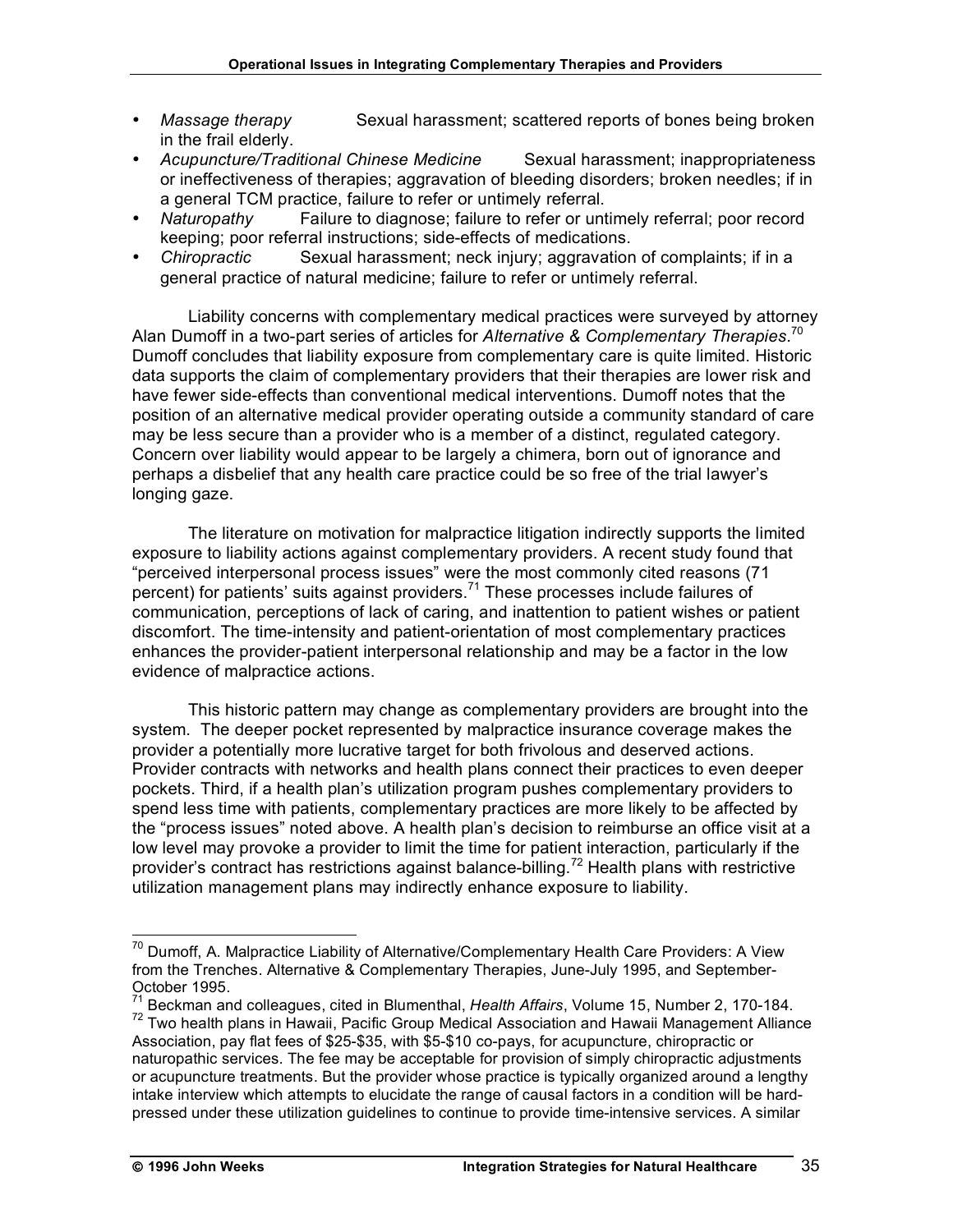- *Massage therapy* Sexual harassment; scattered reports of bones being broken in the frail elderly.
- *Acupuncture/Traditional Chinese Medicine* Sexual harassment; inappropriateness or ineffectiveness of therapies; aggravation of bleeding disorders; broken needles; if in a general TCM practice, failure to refer or untimely referral.
- *Naturopathy* Failure to diagnose; failure to refer or untimely referral; poor record keeping; poor referral instructions; side-effects of medications.
- *Chiropractic* Sexual harassment; neck injury; aggravation of complaints; if in a general practice of natural medicine; failure to refer or untimely referral.

Liability concerns with complementary medical practices were surveyed by attorney Alan Dumoff in a two-part series of articles for *Alternative & Complementary Therapies*. 70 Dumoff concludes that liability exposure from complementary care is quite limited. Historic data supports the claim of complementary providers that their therapies are lower risk and have fewer side-effects than conventional medical interventions. Dumoff notes that the position of an alternative medical provider operating outside a community standard of care may be less secure than a provider who is a member of a distinct, regulated category. Concern over liability would appear to be largely a chimera, born out of ignorance and perhaps a disbelief that any health care practice could be so free of the trial lawyer's longing gaze.

The literature on motivation for malpractice litigation indirectly supports the limited exposure to liability actions against complementary providers. A recent study found that "perceived interpersonal process issues" were the most commonly cited reasons (71 percent) for patients' suits against providers.<sup>71</sup> These processes include failures of communication, perceptions of lack of caring, and inattention to patient wishes or patient discomfort. The time-intensity and patient-orientation of most complementary practices enhances the provider-patient interpersonal relationship and may be a factor in the low evidence of malpractice actions.

This historic pattern may change as complementary providers are brought into the system. The deeper pocket represented by malpractice insurance coverage makes the provider a potentially more lucrative target for both frivolous and deserved actions. Provider contracts with networks and health plans connect their practices to even deeper pockets. Third, if a health plan's utilization program pushes complementary providers to spend less time with patients, complementary practices are more likely to be affected by the "process issues" noted above. A health plan's decision to reimburse an office visit at a low level may provoke a provider to limit the time for patient interaction, particularly if the provider's contract has restrictions against balance-billing.<sup>72</sup> Health plans with restrictive utilization management plans may indirectly enhance exposure to liability.

<sup>&</sup>lt;sup>70</sup> Dumoff, A. Malpractice Liability of Alternative/Complementary Health Care Providers: A View from the Trenches. Alternative & Complementary Therapies, June-July 1995, and September-

October 1995.<br><sup>71</sup> Beckman and colleagues, cited in Blumenthal, *Health Affairs*, Volume 15, Number 2, 170-184.<br><sup>72</sup> Two health plans in Hawaii, Pacific Group Medical Association and Hawaii Management Alliance

Association, pay flat fees of \$25-\$35, with \$5-\$10 co-pays, for acupuncture, chiropractic or naturopathic services. The fee may be acceptable for provision of simply chiropractic adjustments or acupuncture treatments. But the provider whose practice is typically organized around a lengthy intake interview which attempts to elucidate the range of causal factors in a condition will be hardpressed under these utilization guidelines to continue to provide time-intensive services. A similar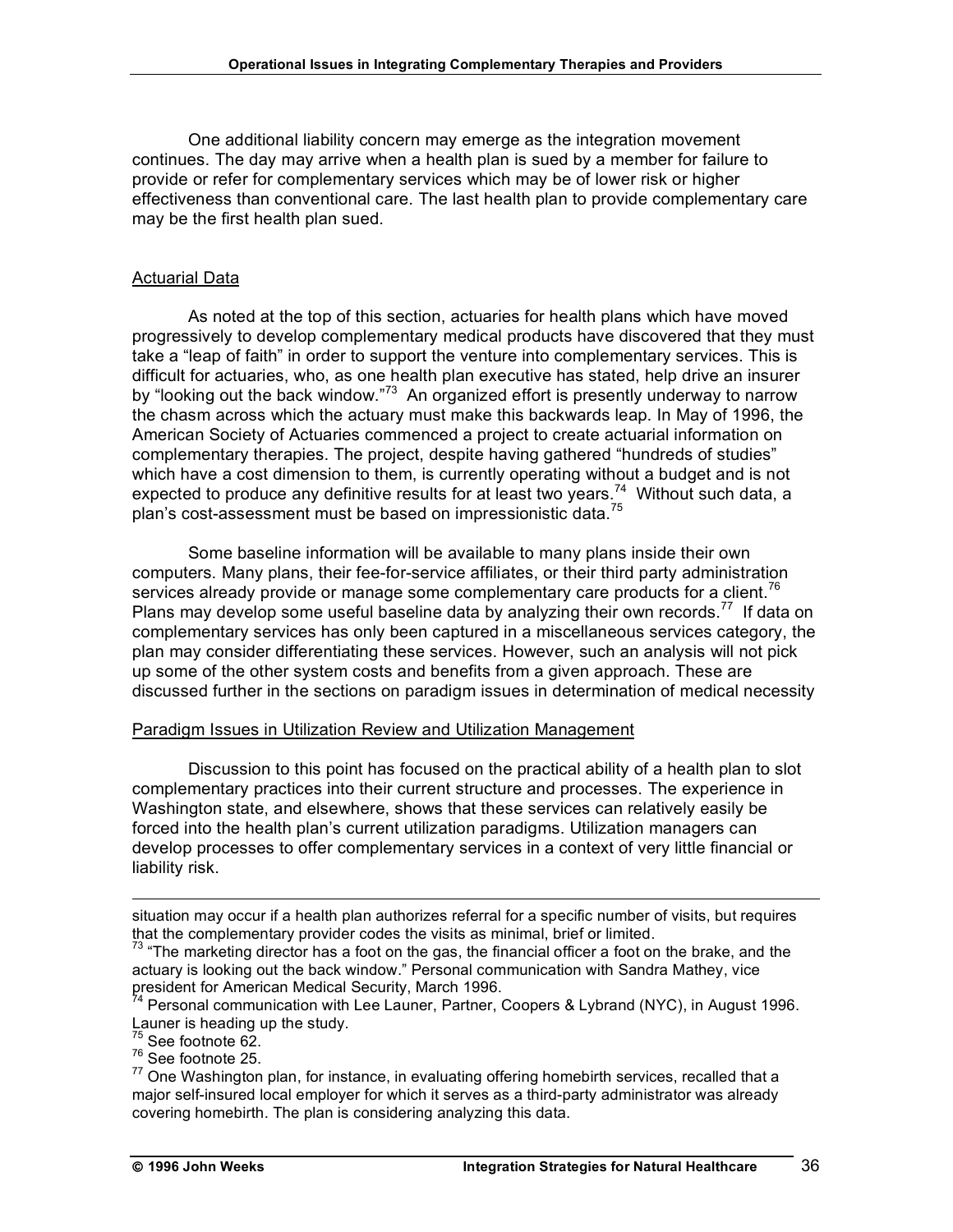One additional liability concern may emerge as the integration movement continues. The day may arrive when a health plan is sued by a member for failure to provide or refer for complementary services which may be of lower risk or higher effectiveness than conventional care. The last health plan to provide complementary care may be the first health plan sued.

# Actuarial Data

As noted at the top of this section, actuaries for health plans which have moved progressively to develop complementary medical products have discovered that they must take a "leap of faith" in order to support the venture into complementary services. This is difficult for actuaries, who, as one health plan executive has stated, help drive an insurer by "looking out the back window."<sup>73</sup> An organized effort is presently underway to narrow the chasm across which the actuary must make this backwards leap. In May of 1996, the American Society of Actuaries commenced a project to create actuarial information on complementary therapies. The project, despite having gathered "hundreds of studies" which have a cost dimension to them, is currently operating without a budget and is not expected to produce any definitive results for at least two years.<sup>74</sup> Without such data, a plan's cost-assessment must be based on impressionistic data.<sup>75</sup>

Some baseline information will be available to many plans inside their own computers. Many plans, their fee-for-service affiliates, or their third party administration services already provide or manage some complementary care products for a client.<sup>76</sup> Plans may develop some useful baseline data by analyzing their own records.<sup>77</sup> If data on complementary services has only been captured in a miscellaneous services category, the plan may consider differentiating these services. However, such an analysis will not pick up some of the other system costs and benefits from a given approach. These are discussed further in the sections on paradigm issues in determination of medical necessity

# Paradigm Issues in Utilization Review and Utilization Management

Discussion to this point has focused on the practical ability of a health plan to slot complementary practices into their current structure and processes. The experience in Washington state, and elsewhere, shows that these services can relatively easily be forced into the health plan's current utilization paradigms. Utilization managers can develop processes to offer complementary services in a context of very little financial or liability risk.

situation may occur if a health plan authorizes referral for a specific number of visits, but requires that the complementary provider codes the visits as minimal, brief or limited.<br><sup>73</sup> "The marketing director has a foot on the gas, the financial officer a foot on the brake, and the

actuary is looking out the back window." Personal communication with Sandra Mathey, vice president for American Medical Security, March 1996.<br><sup>74</sup> Personal communication with Lee Launer, Partner, Coopers & Lybrand (NYC), in August 1996.

Launer is heading up the study.<br><sup>75</sup> See footnote 62.<br><sup>76</sup> See footnote 25.<br><sup>77</sup> One Washington plan, for instance, in evaluating offering homebirth services, recalled that a major self-insured local employer for which it serves as a third-party administrator was already covering homebirth. The plan is considering analyzing this data.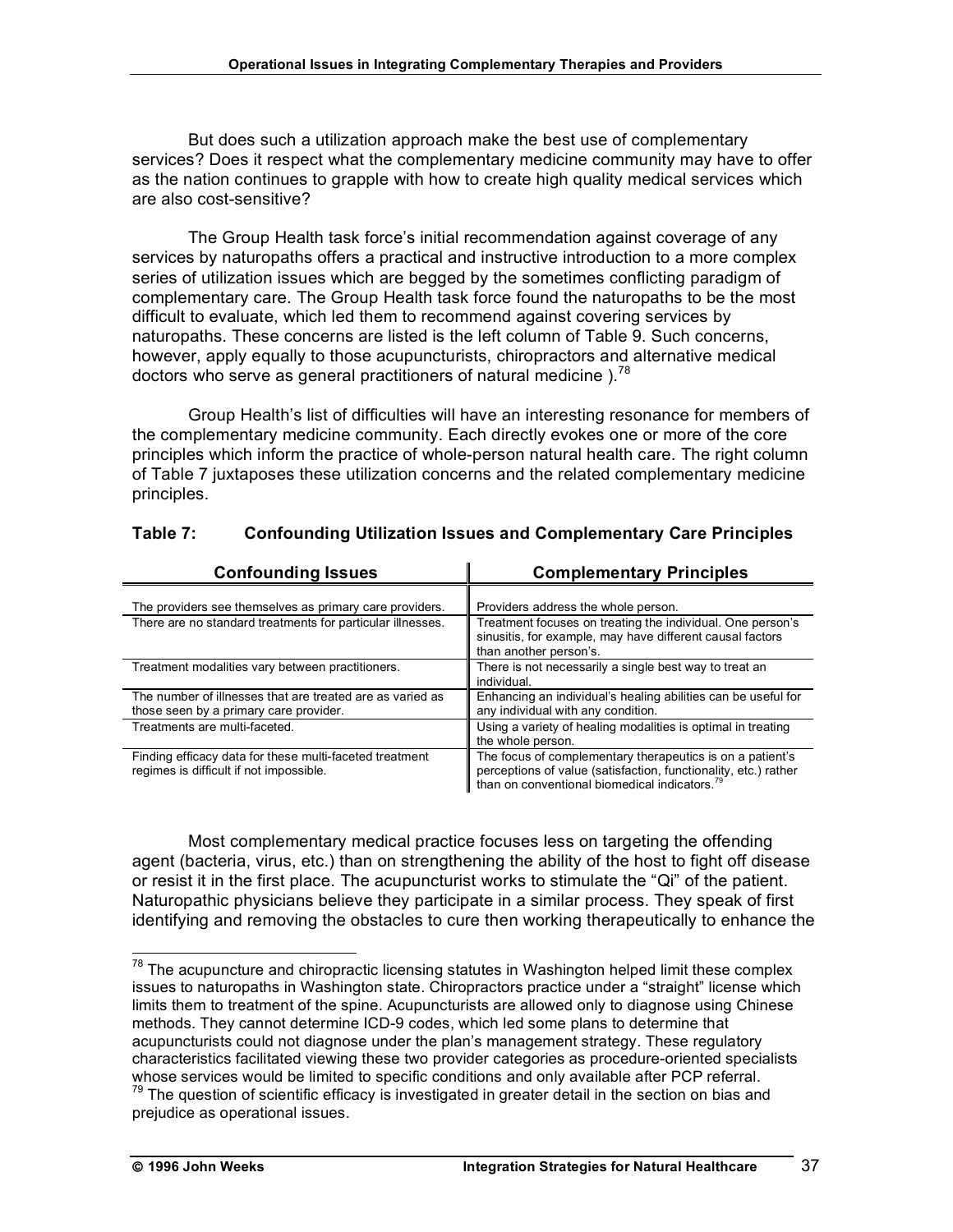But does such a utilization approach make the best use of complementary services? Does it respect what the complementary medicine community may have to offer as the nation continues to grapple with how to create high quality medical services which are also cost-sensitive?

The Group Health task force's initial recommendation against coverage of any services by naturopaths offers a practical and instructive introduction to a more complex series of utilization issues which are begged by the sometimes conflicting paradigm of complementary care. The Group Health task force found the naturopaths to be the most difficult to evaluate, which led them to recommend against covering services by naturopaths. These concerns are listed is the left column of Table 9. Such concerns, however, apply equally to those acupuncturists, chiropractors and alternative medical doctors who serve as general practitioners of natural medicine  $1^{78}$ 

Group Health's list of difficulties will have an interesting resonance for members of the complementary medicine community. Each directly evokes one or more of the core principles which inform the practice of whole-person natural health care. The right column of Table 7 juxtaposes these utilization concerns and the related complementary medicine principles.

| <b>Confounding Issues</b>                                                                           | <b>Complementary Principles</b>                                                                                                                                                           |
|-----------------------------------------------------------------------------------------------------|-------------------------------------------------------------------------------------------------------------------------------------------------------------------------------------------|
| The providers see themselves as primary care providers.                                             | Providers address the whole person.                                                                                                                                                       |
| There are no standard treatments for particular illnesses.                                          | Treatment focuses on treating the individual. One person's<br>sinusitis, for example, may have different causal factors<br>than another person's.                                         |
| Treatment modalities vary between practitioners.                                                    | There is not necessarily a single best way to treat an<br>individual.                                                                                                                     |
| The number of illnesses that are treated are as varied as<br>those seen by a primary care provider. | Enhancing an individual's healing abilities can be useful for<br>any individual with any condition.                                                                                       |
| Treatments are multi-faceted.                                                                       | Using a variety of healing modalities is optimal in treating<br>the whole person.                                                                                                         |
| Finding efficacy data for these multi-faceted treatment<br>regimes is difficult if not impossible.  | The focus of complementary therapeutics is on a patient's<br>perceptions of value (satisfaction, functionality, etc.) rather<br>than on conventional biomedical indicators. <sup>79</sup> |

# **Table 7: Confounding Utilization Issues and Complementary Care Principles**

Most complementary medical practice focuses less on targeting the offending agent (bacteria, virus, etc.) than on strengthening the ability of the host to fight off disease or resist it in the first place. The acupuncturist works to stimulate the "Qi" of the patient. Naturopathic physicians believe they participate in a similar process. They speak of first identifying and removing the obstacles to cure then working therapeutically to enhance the

 $78$  The acupuncture and chiropractic licensing statutes in Washington helped limit these complex issues to naturopaths in Washington state. Chiropractors practice under a "straight" license which limits them to treatment of the spine. Acupuncturists are allowed only to diagnose using Chinese methods. They cannot determine ICD-9 codes, which led some plans to determine that acupuncturists could not diagnose under the plan's management strategy. These regulatory characteristics facilitated viewing these two provider categories as procedure-oriented specialists

whose services would be limited to specific conditions and only available after PCP referral.<br><sup>79</sup> The question of scientific efficacy is investigated in greater detail in the section on bias and prejudice as operational issues.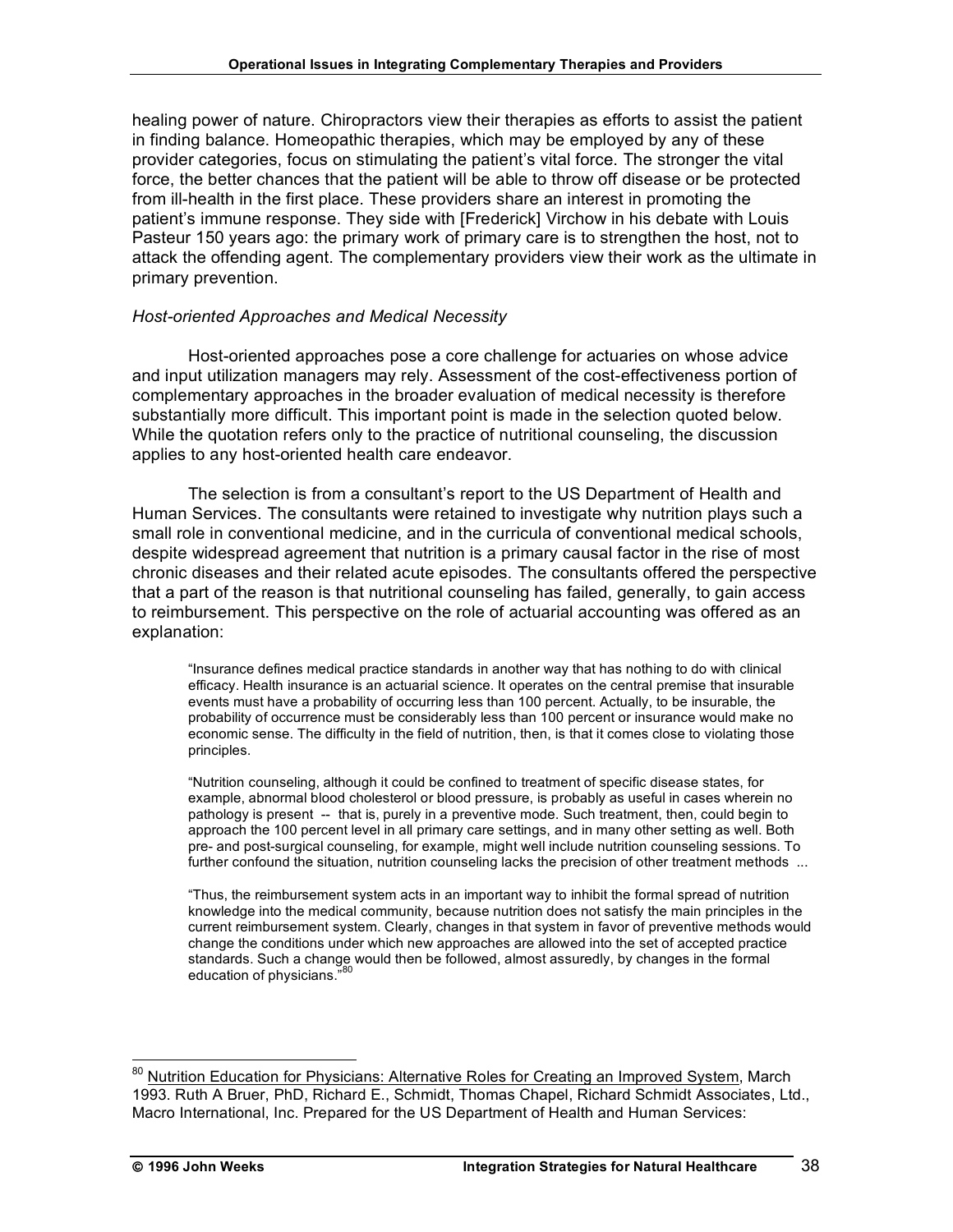healing power of nature. Chiropractors view their therapies as efforts to assist the patient in finding balance. Homeopathic therapies, which may be employed by any of these provider categories, focus on stimulating the patient's vital force. The stronger the vital force, the better chances that the patient will be able to throw off disease or be protected from ill-health in the first place. These providers share an interest in promoting the patient's immune response. They side with [Frederick] Virchow in his debate with Louis Pasteur 150 years ago: the primary work of primary care is to strengthen the host, not to attack the offending agent. The complementary providers view their work as the ultimate in primary prevention.

# *Host-oriented Approaches and Medical Necessity*

Host-oriented approaches pose a core challenge for actuaries on whose advice and input utilization managers may rely. Assessment of the cost-effectiveness portion of complementary approaches in the broader evaluation of medical necessity is therefore substantially more difficult. This important point is made in the selection quoted below. While the quotation refers only to the practice of nutritional counseling, the discussion applies to any host-oriented health care endeavor.

The selection is from a consultant's report to the US Department of Health and Human Services. The consultants were retained to investigate why nutrition plays such a small role in conventional medicine, and in the curricula of conventional medical schools, despite widespread agreement that nutrition is a primary causal factor in the rise of most chronic diseases and their related acute episodes. The consultants offered the perspective that a part of the reason is that nutritional counseling has failed, generally, to gain access to reimbursement. This perspective on the role of actuarial accounting was offered as an explanation:

"Insurance defines medical practice standards in another way that has nothing to do with clinical efficacy. Health insurance is an actuarial science. It operates on the central premise that insurable events must have a probability of occurring less than 100 percent. Actually, to be insurable, the probability of occurrence must be considerably less than 100 percent or insurance would make no economic sense. The difficulty in the field of nutrition, then, is that it comes close to violating those principles.

"Nutrition counseling, although it could be confined to treatment of specific disease states, for example, abnormal blood cholesterol or blood pressure, is probably as useful in cases wherein no pathology is present -- that is, purely in a preventive mode. Such treatment, then, could begin to approach the 100 percent level in all primary care settings, and in many other setting as well. Both pre- and post-surgical counseling, for example, might well include nutrition counseling sessions. To further confound the situation, nutrition counseling lacks the precision of other treatment methods ...

"Thus, the reimbursement system acts in an important way to inhibit the formal spread of nutrition knowledge into the medical community, because nutrition does not satisfy the main principles in the current reimbursement system. Clearly, changes in that system in favor of preventive methods would change the conditions under which new approaches are allowed into the set of accepted practice standards. Such a change would then be followed, almost assuredly, by changes in the formal education of physicians."80

<sup>&</sup>lt;sup>80</sup> Nutrition Education for Physicians: Alternative Roles for Creating an Improved System, March 1993. Ruth A Bruer, PhD, Richard E., Schmidt, Thomas Chapel, Richard Schmidt Associates, Ltd., Macro International, Inc. Prepared for the US Department of Health and Human Services: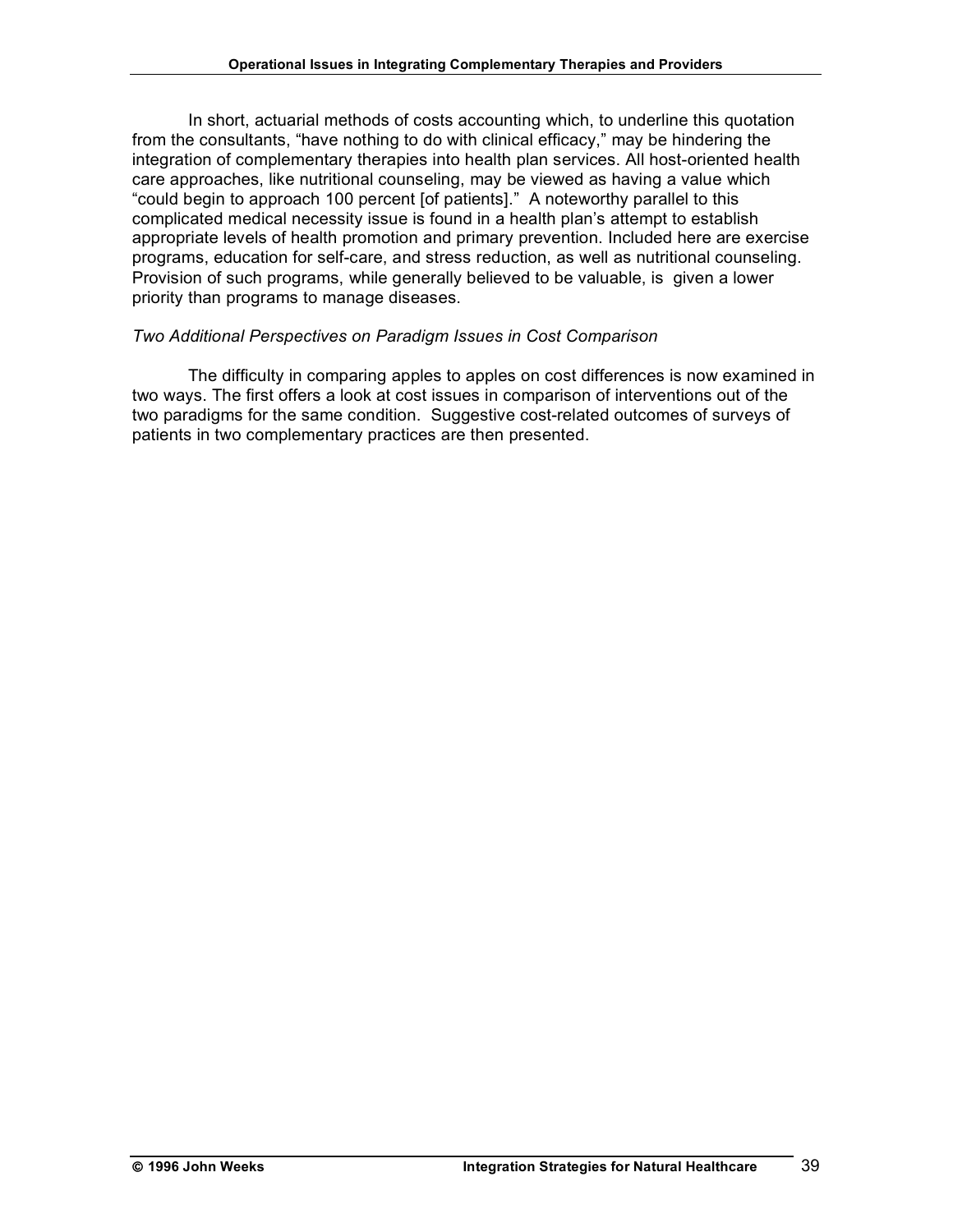In short, actuarial methods of costs accounting which, to underline this quotation from the consultants, "have nothing to do with clinical efficacy," may be hindering the integration of complementary therapies into health plan services. All host-oriented health care approaches, like nutritional counseling, may be viewed as having a value which "could begin to approach 100 percent [of patients]." A noteworthy parallel to this complicated medical necessity issue is found in a health plan's attempt to establish appropriate levels of health promotion and primary prevention. Included here are exercise programs, education for self-care, and stress reduction, as well as nutritional counseling. Provision of such programs, while generally believed to be valuable, is given a lower priority than programs to manage diseases.

#### *Two Additional Perspectives on Paradigm Issues in Cost Comparison*

The difficulty in comparing apples to apples on cost differences is now examined in two ways. The first offers a look at cost issues in comparison of interventions out of the two paradigms for the same condition. Suggestive cost-related outcomes of surveys of patients in two complementary practices are then presented.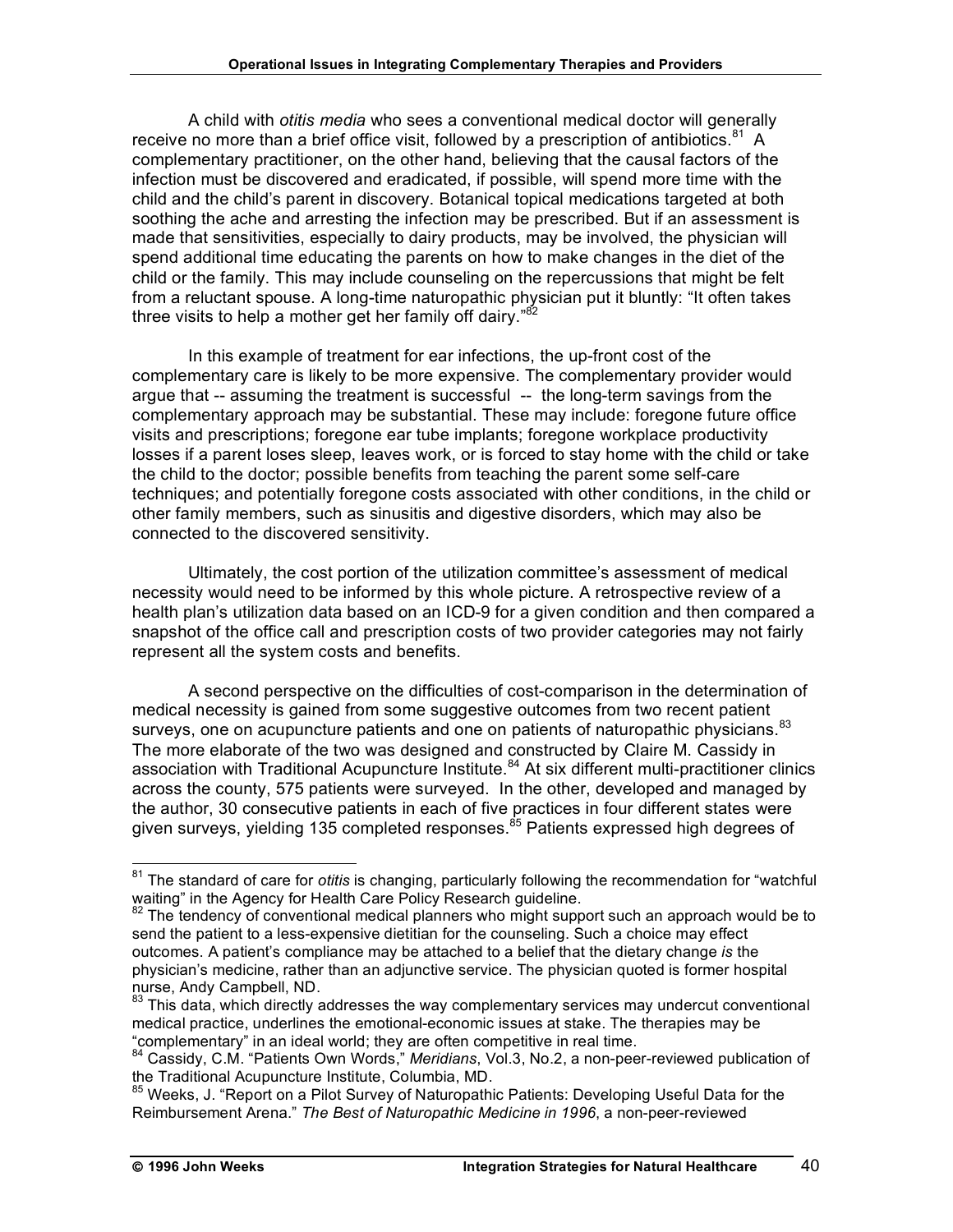A child with *otitis media* who sees a conventional medical doctor will generally receive no more than a brief office visit, followed by a prescription of antibiotics.<sup>81</sup> A complementary practitioner, on the other hand, believing that the causal factors of the infection must be discovered and eradicated, if possible, will spend more time with the child and the child's parent in discovery. Botanical topical medications targeted at both soothing the ache and arresting the infection may be prescribed. But if an assessment is made that sensitivities, especially to dairy products, may be involved, the physician will spend additional time educating the parents on how to make changes in the diet of the child or the family. This may include counseling on the repercussions that might be felt from a reluctant spouse. A long-time naturopathic physician put it bluntly: "It often takes three visits to help a mother get her family off dairy."<sup>82</sup>

In this example of treatment for ear infections, the up-front cost of the complementary care is likely to be more expensive. The complementary provider would argue that -- assuming the treatment is successful -- the long-term savings from the complementary approach may be substantial. These may include: foregone future office visits and prescriptions; foregone ear tube implants; foregone workplace productivity losses if a parent loses sleep, leaves work, or is forced to stay home with the child or take the child to the doctor; possible benefits from teaching the parent some self-care techniques; and potentially foregone costs associated with other conditions, in the child or other family members, such as sinusitis and digestive disorders, which may also be connected to the discovered sensitivity.

Ultimately, the cost portion of the utilization committee's assessment of medical necessity would need to be informed by this whole picture. A retrospective review of a health plan's utilization data based on an ICD-9 for a given condition and then compared a snapshot of the office call and prescription costs of two provider categories may not fairly represent all the system costs and benefits.

A second perspective on the difficulties of cost-comparison in the determination of medical necessity is gained from some suggestive outcomes from two recent patient surveys, one on acupuncture patients and one on patients of naturopathic physicians.<sup>83</sup> The more elaborate of the two was designed and constructed by Claire M. Cassidy in association with Traditional Acupuncture Institute.<sup>84</sup> At six different multi-practitioner clinics across the county, 575 patients were surveyed. In the other, developed and managed by the author, 30 consecutive patients in each of five practices in four different states were given surveys, yielding 135 completed responses.<sup>85</sup> Patients expressed high degrees of

<sup>&</sup>lt;sup>81</sup> The standard of care for *otitis* is changing, particularly following the recommendation for "watchful waiting" in the Agency for Health Care Policy Research guideline.

The tendency of conventional medical planners who might support such an approach would be to send the patient to a less-expensive dietitian for the counseling. Such a choice may effect outcomes. A patient's compliance may be attached to a belief that the dietary change *is* the physician's medicine, rather than an adjunctive service. The physician quoted is former hospital nurse, Andy Campbell, ND.<br><sup>83</sup> This data, which directly addresses the way complementary services may undercut conventional

medical practice, underlines the emotional-economic issues at stake. The therapies may be

<sup>&</sup>quot;complementary" in an ideal world; they are often competitive in real time.<br><sup>84</sup> Cassidy, C.M. "Patients Own Words," *Meridians*, Vol.3, No.2, a non-peer-reviewed publication of

the Traditional Acupuncture Institute, Columbia, MD.<br><sup>85</sup> Weeks, J. "Report on a Pilot Survey of Naturopathic Patients: Developing Useful Data for the Reimbursement Arena." *The Best of Naturopathic Medicine in 1996*, a non-peer-reviewed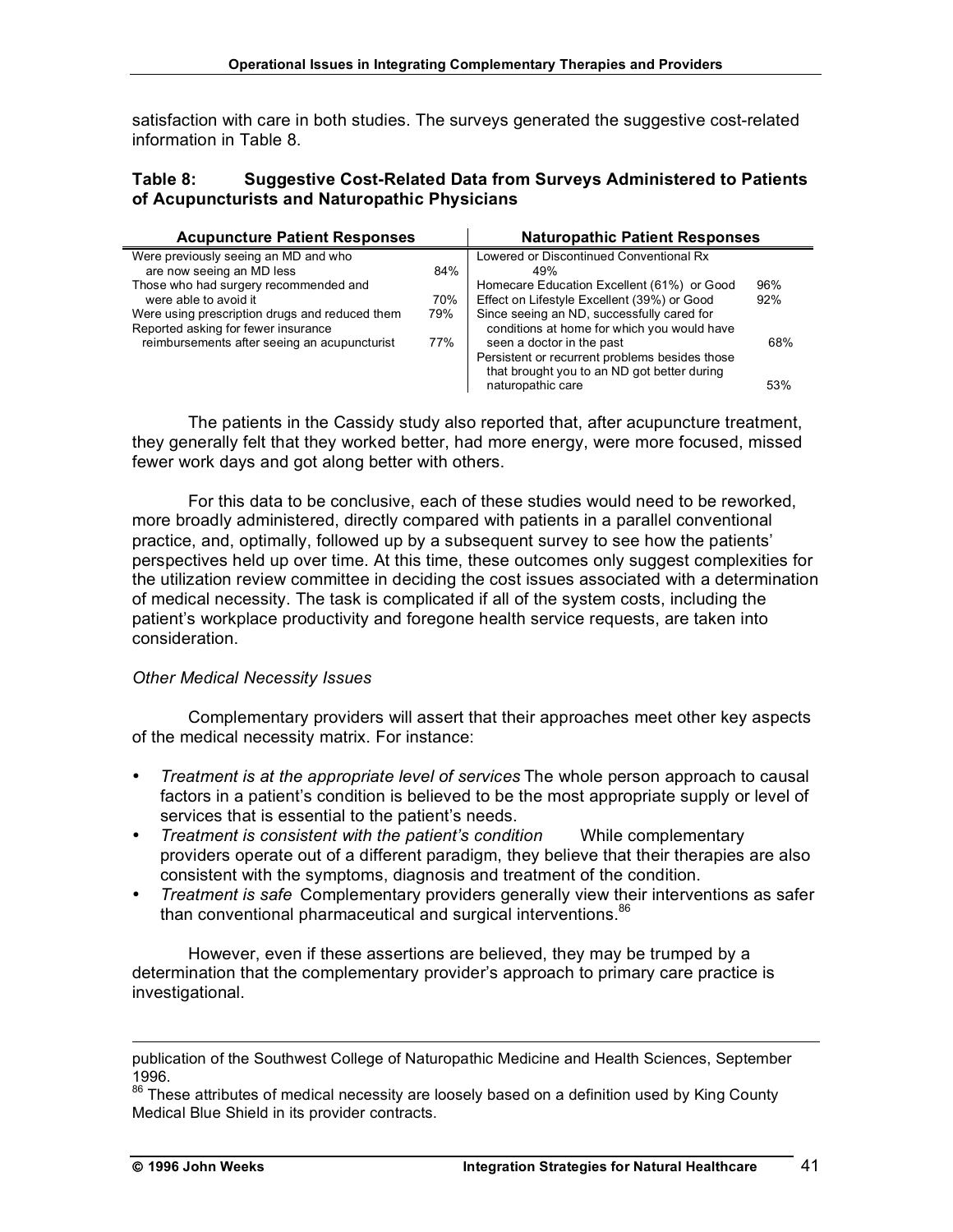satisfaction with care in both studies. The surveys generated the suggestive cost-related information in Table 8.

#### **Table 8: Suggestive Cost-Related Data from Surveys Administered to Patients of Acupuncturists and Naturopathic Physicians**

| <b>Acupuncture Patient Responses</b>                                                                                                                                                                                                                                         |                          | <b>Naturopathic Patient Responses</b>                                                                                                                                                                                                                                                                                                                                  |                   |
|------------------------------------------------------------------------------------------------------------------------------------------------------------------------------------------------------------------------------------------------------------------------------|--------------------------|------------------------------------------------------------------------------------------------------------------------------------------------------------------------------------------------------------------------------------------------------------------------------------------------------------------------------------------------------------------------|-------------------|
| Were previously seeing an MD and who<br>are now seeing an MD less<br>Those who had surgery recommended and<br>were able to avoid it<br>Were using prescription drugs and reduced them<br>Reported asking for fewer insurance<br>reimbursements after seeing an acupuncturist | 84%<br>70%<br>79%<br>77% | Lowered or Discontinued Conventional Rx<br>49%<br>Homecare Education Excellent (61%) or Good<br>Effect on Lifestyle Excellent (39%) or Good<br>Since seeing an ND, successfully cared for<br>conditions at home for which you would have<br>seen a doctor in the past<br>Persistent or recurrent problems besides those<br>that brought you to an ND got better during | 96%<br>92%<br>68% |
|                                                                                                                                                                                                                                                                              |                          | naturopathic care                                                                                                                                                                                                                                                                                                                                                      | 53%               |

The patients in the Cassidy study also reported that, after acupuncture treatment, they generally felt that they worked better, had more energy, were more focused, missed fewer work days and got along better with others.

For this data to be conclusive, each of these studies would need to be reworked, more broadly administered, directly compared with patients in a parallel conventional practice, and, optimally, followed up by a subsequent survey to see how the patients' perspectives held up over time. At this time, these outcomes only suggest complexities for the utilization review committee in deciding the cost issues associated with a determination of medical necessity. The task is complicated if all of the system costs, including the patient's workplace productivity and foregone health service requests, are taken into consideration.

# *Other Medical Necessity Issues*

Complementary providers will assert that their approaches meet other key aspects of the medical necessity matrix. For instance:

- *Treatment is at the appropriate level of services* The whole person approach to causal factors in a patient's condition is believed to be the most appropriate supply or level of services that is essential to the patient's needs.
- *Treatment is consistent with the patient's condition* While complementary providers operate out of a different paradigm, they believe that their therapies are also consistent with the symptoms, diagnosis and treatment of the condition.
- *Treatment is safe* Complementary providers generally view their interventions as safer than conventional pharmaceutical and surgical interventions.<sup>86</sup>

However, even if these assertions are believed, they may be trumped by a determination that the complementary provider's approach to primary care practice is investigational.

 $\overline{a}$ 

publication of the Southwest College of Naturopathic Medicine and Health Sciences, September

<sup>1996.&</sup>lt;br><sup>86</sup> These attributes of medical necessity are loosely based on a definition used by King County Medical Blue Shield in its provider contracts.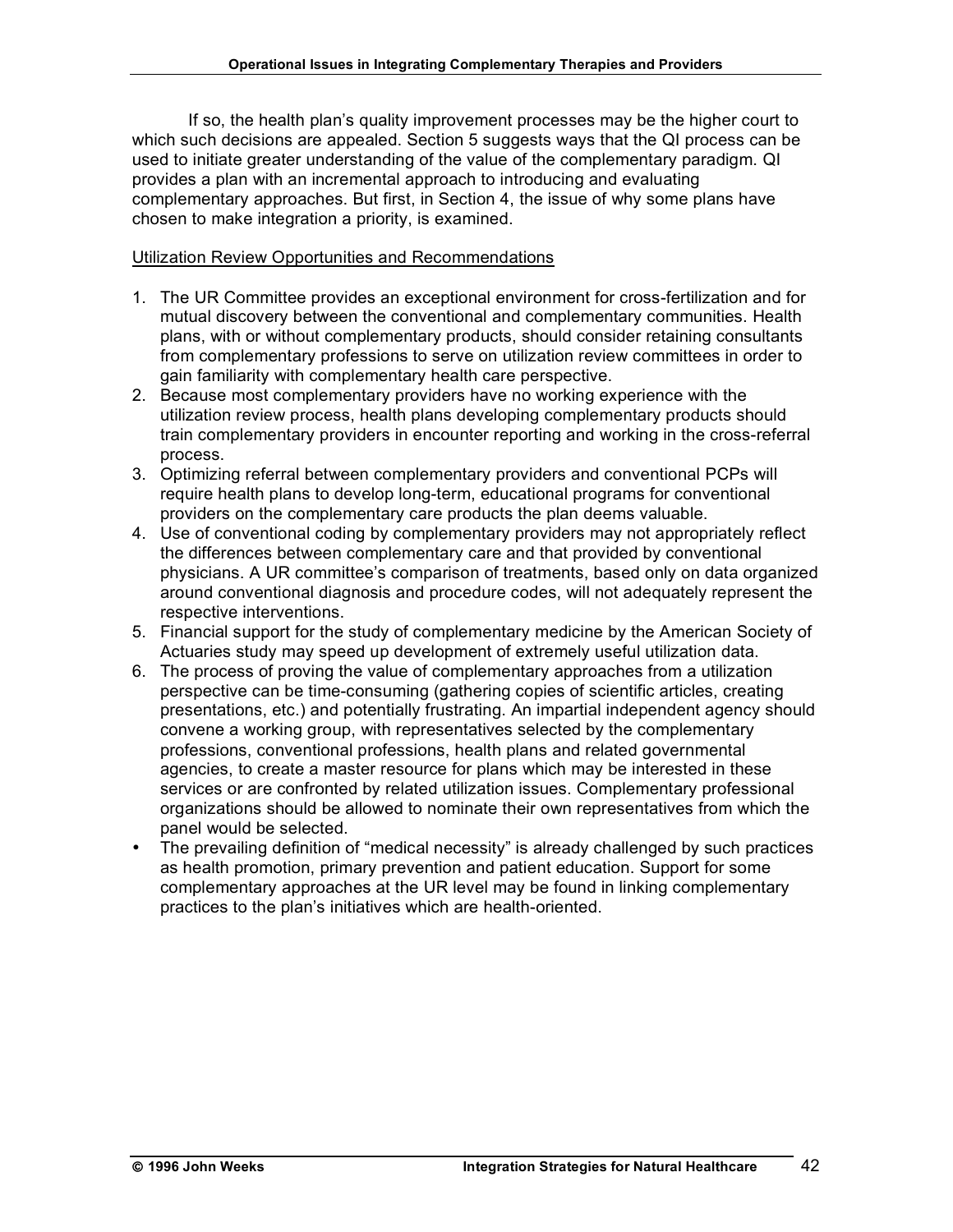If so, the health plan's quality improvement processes may be the higher court to which such decisions are appealed. Section 5 suggests ways that the QI process can be used to initiate greater understanding of the value of the complementary paradigm. QI provides a plan with an incremental approach to introducing and evaluating complementary approaches. But first, in Section 4, the issue of why some plans have chosen to make integration a priority, is examined.

# Utilization Review Opportunities and Recommendations

- 1. The UR Committee provides an exceptional environment for cross-fertilization and for mutual discovery between the conventional and complementary communities. Health plans, with or without complementary products, should consider retaining consultants from complementary professions to serve on utilization review committees in order to gain familiarity with complementary health care perspective.
- 2. Because most complementary providers have no working experience with the utilization review process, health plans developing complementary products should train complementary providers in encounter reporting and working in the cross-referral process.
- 3. Optimizing referral between complementary providers and conventional PCPs will require health plans to develop long-term, educational programs for conventional providers on the complementary care products the plan deems valuable.
- 4. Use of conventional coding by complementary providers may not appropriately reflect the differences between complementary care and that provided by conventional physicians. A UR committee's comparison of treatments, based only on data organized around conventional diagnosis and procedure codes, will not adequately represent the respective interventions.
- 5. Financial support for the study of complementary medicine by the American Society of Actuaries study may speed up development of extremely useful utilization data.
- 6. The process of proving the value of complementary approaches from a utilization perspective can be time-consuming (gathering copies of scientific articles, creating presentations, etc.) and potentially frustrating. An impartial independent agency should convene a working group, with representatives selected by the complementary professions, conventional professions, health plans and related governmental agencies, to create a master resource for plans which may be interested in these services or are confronted by related utilization issues. Complementary professional organizations should be allowed to nominate their own representatives from which the panel would be selected.
- The prevailing definition of "medical necessity" is already challenged by such practices as health promotion, primary prevention and patient education. Support for some complementary approaches at the UR level may be found in linking complementary practices to the plan's initiatives which are health-oriented.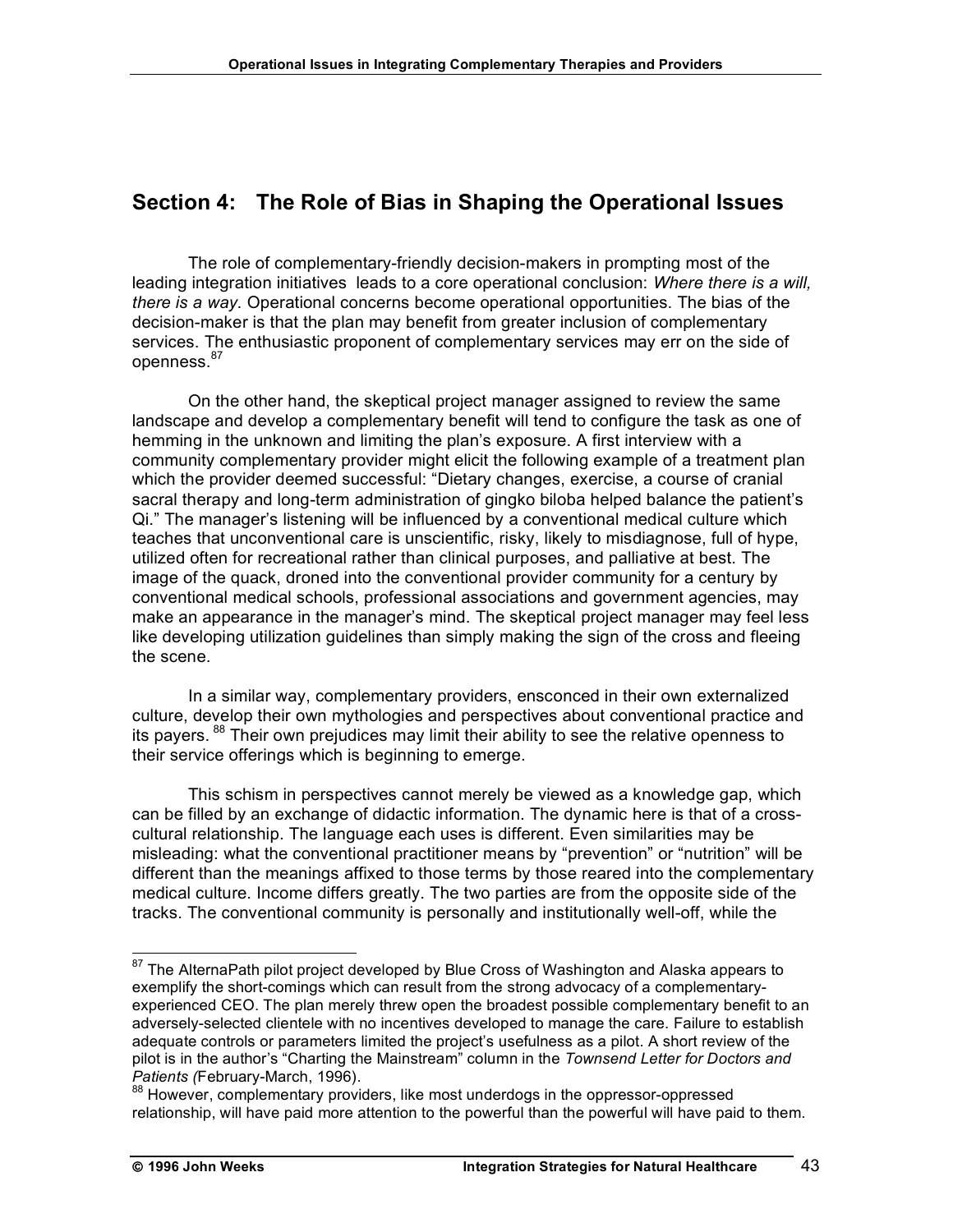# **Section 4: The Role of Bias in Shaping the Operational Issues**

The role of complementary-friendly decision-makers in prompting most of the leading integration initiatives leads to a core operational conclusion: *Where there is a will, there is a way.* Operational concerns become operational opportunities. The bias of the decision-maker is that the plan may benefit from greater inclusion of complementary services. The enthusiastic proponent of complementary services may err on the side of openness.<sup>87</sup>

On the other hand, the skeptical project manager assigned to review the same landscape and develop a complementary benefit will tend to configure the task as one of hemming in the unknown and limiting the plan's exposure. A first interview with a community complementary provider might elicit the following example of a treatment plan which the provider deemed successful: "Dietary changes, exercise, a course of cranial sacral therapy and long-term administration of gingko biloba helped balance the patient's Qi." The manager's listening will be influenced by a conventional medical culture which teaches that unconventional care is unscientific, risky, likely to misdiagnose, full of hype, utilized often for recreational rather than clinical purposes, and palliative at best. The image of the quack, droned into the conventional provider community for a century by conventional medical schools, professional associations and government agencies, may make an appearance in the manager's mind. The skeptical project manager may feel less like developing utilization guidelines than simply making the sign of the cross and fleeing the scene.

In a similar way, complementary providers, ensconced in their own externalized culture, develop their own mythologies and perspectives about conventional practice and its payers. <sup>88</sup> Their own prejudices may limit their ability to see the relative openness to their service offerings which is beginning to emerge.

This schism in perspectives cannot merely be viewed as a knowledge gap, which can be filled by an exchange of didactic information. The dynamic here is that of a crosscultural relationship. The language each uses is different. Even similarities may be misleading: what the conventional practitioner means by "prevention" or "nutrition" will be different than the meanings affixed to those terms by those reared into the complementary medical culture. Income differs greatly. The two parties are from the opposite side of the tracks. The conventional community is personally and institutionally well-off, while the

<sup>&</sup>lt;sup>87</sup> The AlternaPath pilot project developed by Blue Cross of Washington and Alaska appears to exemplify the short-comings which can result from the strong advocacy of a complementaryexperienced CEO. The plan merely threw open the broadest possible complementary benefit to an adversely-selected clientele with no incentives developed to manage the care. Failure to establish adequate controls or parameters limited the project's usefulness as a pilot. A short review of the pilot is in the author's "Charting the Mainstream" column in the *Townsend Letter for Doctors and Patients* (February-March, 1996).<br><sup>88</sup> However, complementary results is the constant of the *interesting* of *However*, c

However, complementary providers, like most underdogs in the oppressor-oppressed relationship, will have paid more attention to the powerful than the powerful will have paid to them.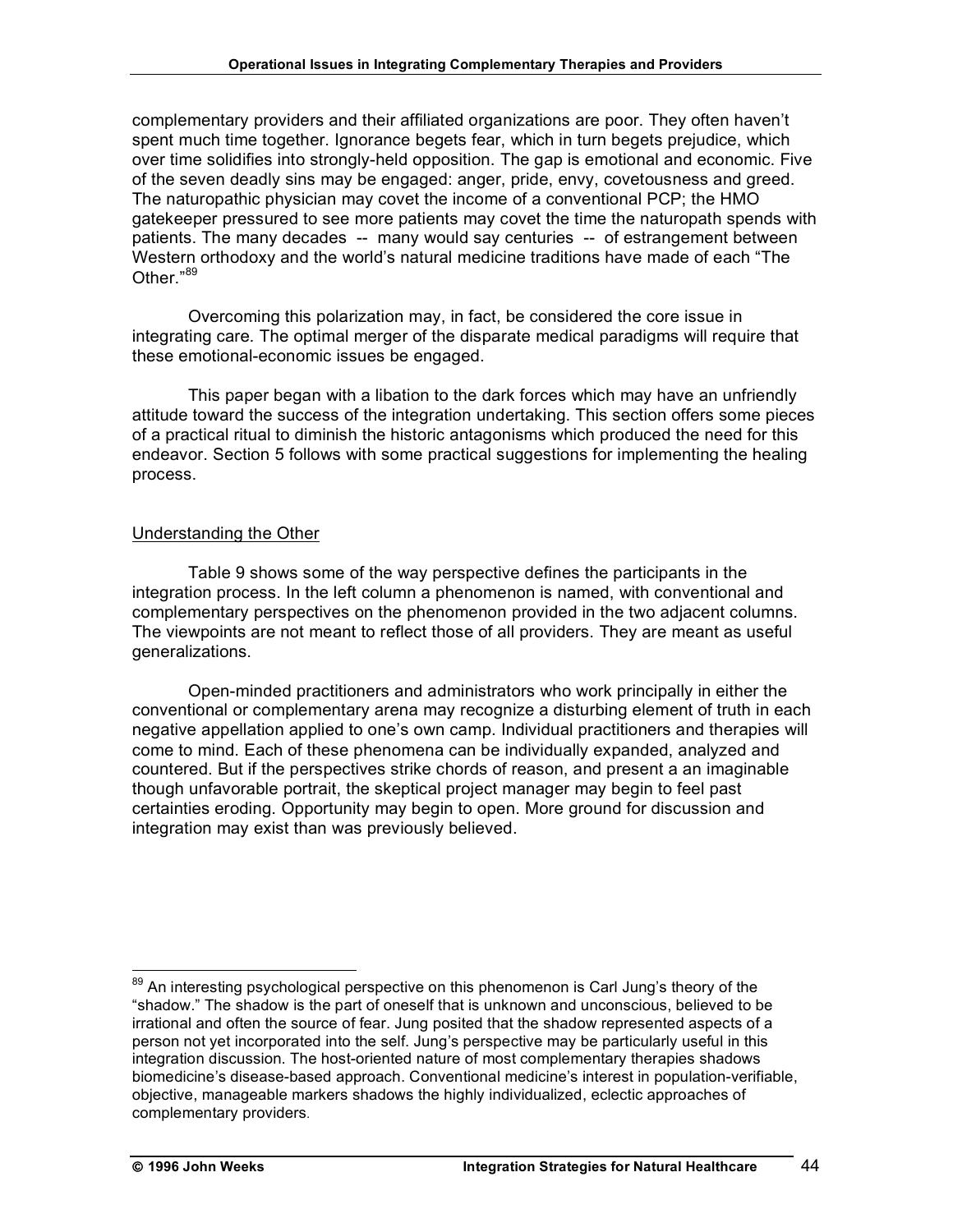complementary providers and their affiliated organizations are poor. They often haven't spent much time together. Ignorance begets fear, which in turn begets prejudice, which over time solidifies into strongly-held opposition. The gap is emotional and economic. Five of the seven deadly sins may be engaged: anger, pride, envy, covetousness and greed. The naturopathic physician may covet the income of a conventional PCP; the HMO gatekeeper pressured to see more patients may covet the time the naturopath spends with patients. The many decades -- many would say centuries -- of estrangement between Western orthodoxy and the world's natural medicine traditions have made of each "The Other."<sup>89</sup>

Overcoming this polarization may, in fact, be considered the core issue in integrating care*.* The optimal merger of the disparate medical paradigms will require that these emotional-economic issues be engaged.

This paper began with a libation to the dark forces which may have an unfriendly attitude toward the success of the integration undertaking. This section offers some pieces of a practical ritual to diminish the historic antagonisms which produced the need for this endeavor. Section 5 follows with some practical suggestions for implementing the healing process.

# Understanding the Other

Table 9 shows some of the way perspective defines the participants in the integration process. In the left column a phenomenon is named, with conventional and complementary perspectives on the phenomenon provided in the two adjacent columns. The viewpoints are not meant to reflect those of all providers. They are meant as useful generalizations.

Open-minded practitioners and administrators who work principally in either the conventional or complementary arena may recognize a disturbing element of truth in each negative appellation applied to one's own camp. Individual practitioners and therapies will come to mind. Each of these phenomena can be individually expanded, analyzed and countered. But if the perspectives strike chords of reason, and present a an imaginable though unfavorable portrait, the skeptical project manager may begin to feel past certainties eroding. Opportunity may begin to open. More ground for discussion and integration may exist than was previously believed.

<sup>&</sup>lt;sup>89</sup> An interesting psychological perspective on this phenomenon is Carl Jung's theory of the "shadow." The shadow is the part of oneself that is unknown and unconscious, believed to be irrational and often the source of fear. Jung posited that the shadow represented aspects of a person not yet incorporated into the self. Jung's perspective may be particularly useful in this integration discussion. The host-oriented nature of most complementary therapies shadows biomedicine's disease-based approach. Conventional medicine's interest in population-verifiable, objective, manageable markers shadows the highly individualized, eclectic approaches of complementary providers.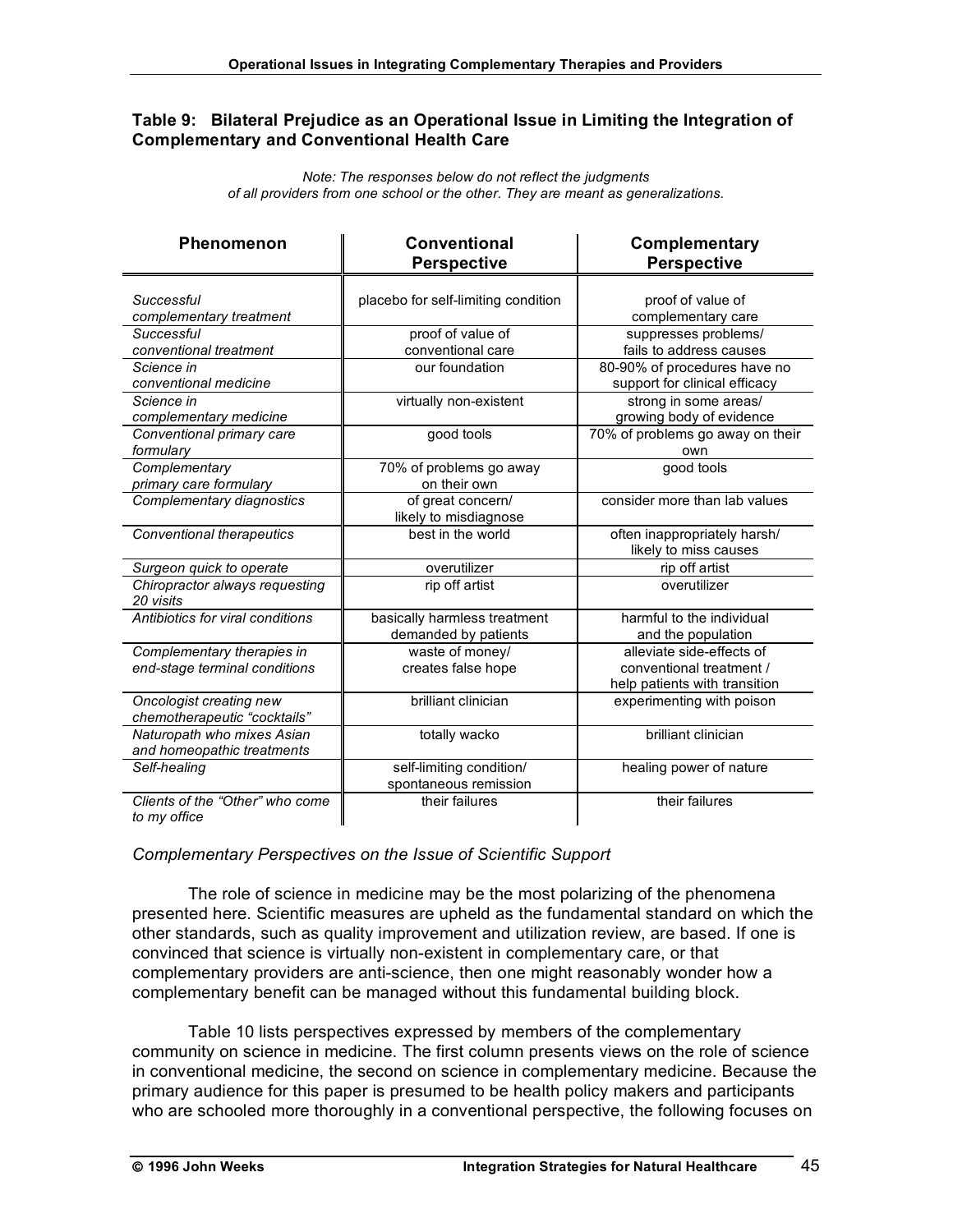#### **Table 9: Bilateral Prejudice as an Operational Issue in Limiting the Integration of Complementary and Conventional Health Care**

*Note: The responses below do not reflect the judgments of all providers from one school or the other. They are meant as generalizations.*

| Phenomenon                                                  | <b>Conventional</b><br><b>Perspective</b>            | <b>Complementary</b><br><b>Perspective</b>                                             |
|-------------------------------------------------------------|------------------------------------------------------|----------------------------------------------------------------------------------------|
| Successful<br>complementary treatment                       | placebo for self-limiting condition                  | proof of value of<br>complementary care                                                |
| Successful<br>conventional treatment                        | proof of value of<br>conventional care               | suppresses problems/<br>fails to address causes                                        |
| Science in<br>conventional medicine                         | our foundation                                       | 80-90% of procedures have no<br>support for clinical efficacy                          |
| Science in<br>complementary medicine                        | virtually non-existent                               | strong in some areas/<br>growing body of evidence                                      |
| Conventional primary care<br>formulary                      | good tools                                           | 70% of problems go away on their<br>own                                                |
| Complementary<br>primary care formulary                     | 70% of problems go away<br>on their own              | good tools                                                                             |
| Complementary diagnostics                                   | of great concern/<br>likely to misdiagnose           | consider more than lab values                                                          |
| Conventional therapeutics                                   | best in the world                                    | often inappropriately harsh/<br>likely to miss causes                                  |
| Surgeon quick to operate                                    | overutilizer                                         | rip off artist                                                                         |
| Chiropractor always requesting<br>20 visits                 | rip off artist                                       | overutilizer                                                                           |
| Antibiotics for viral conditions                            | basically harmless treatment<br>demanded by patients | harmful to the individual<br>and the population                                        |
| Complementary therapies in<br>end-stage terminal conditions | waste of money/<br>creates false hope                | alleviate side-effects of<br>conventional treatment /<br>help patients with transition |
| Oncologist creating new<br>chemotherapeutic "cocktails"     | brilliant clinician                                  | experimenting with poison                                                              |
| Naturopath who mixes Asian<br>and homeopathic treatments    | totally wacko                                        | brilliant clinician                                                                    |
| Self-healing                                                | self-limiting condition/<br>spontaneous remission    | healing power of nature                                                                |
| Clients of the "Other" who come<br>to my office             | their failures                                       | their failures                                                                         |

#### *Complementary Perspectives on the Issue of Scientific Support*

The role of science in medicine may be the most polarizing of the phenomena presented here. Scientific measures are upheld as the fundamental standard on which the other standards, such as quality improvement and utilization review, are based. If one is convinced that science is virtually non-existent in complementary care, or that complementary providers are anti-science, then one might reasonably wonder how a complementary benefit can be managed without this fundamental building block.

Table 10 lists perspectives expressed by members of the complementary community on science in medicine. The first column presents views on the role of science in conventional medicine, the second on science in complementary medicine. Because the primary audience for this paper is presumed to be health policy makers and participants who are schooled more thoroughly in a conventional perspective, the following focuses on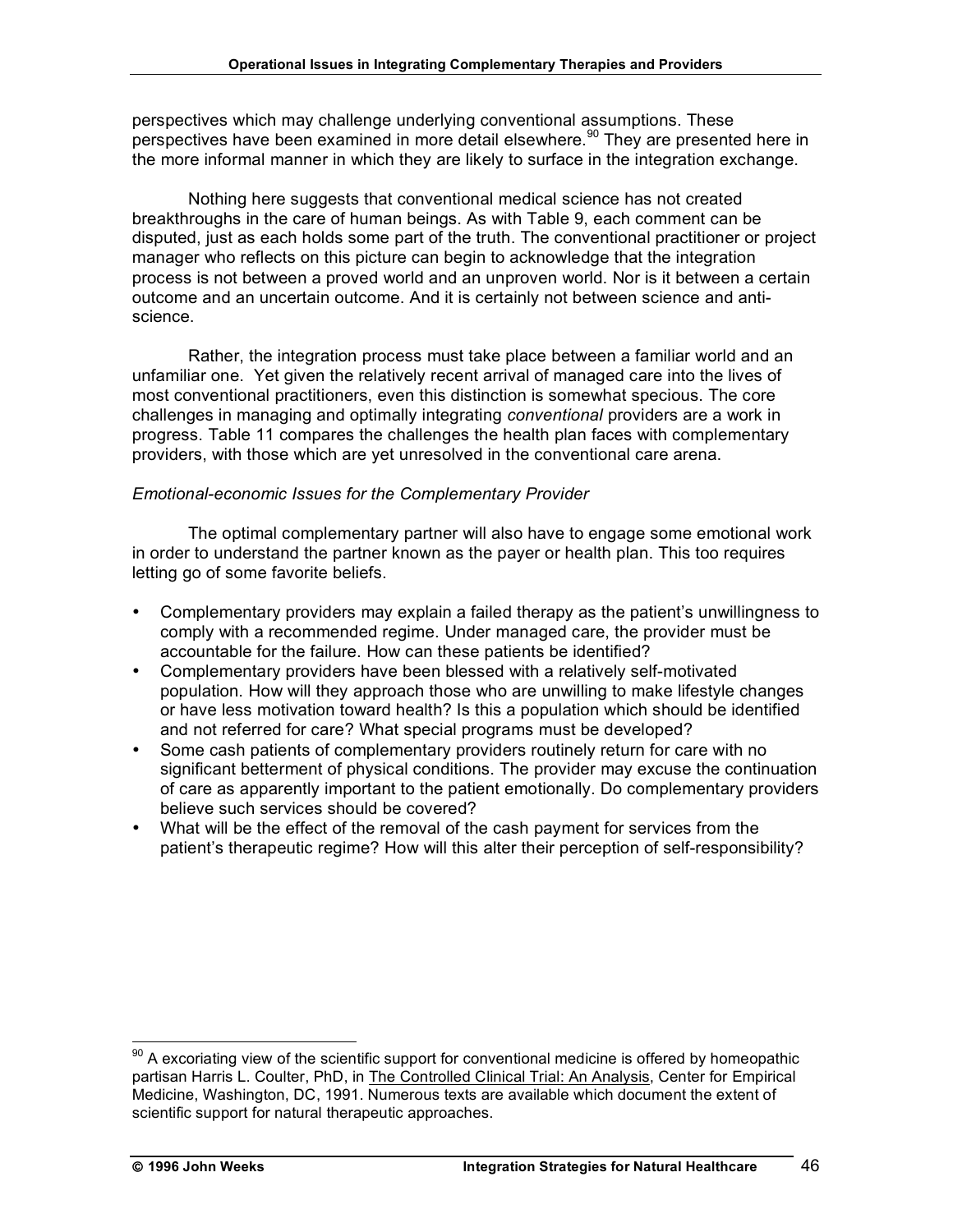perspectives which may challenge underlying conventional assumptions. These perspectives have been examined in more detail elsewhere.<sup>90</sup> They are presented here in the more informal manner in which they are likely to surface in the integration exchange.

Nothing here suggests that conventional medical science has not created breakthroughs in the care of human beings. As with Table 9, each comment can be disputed, just as each holds some part of the truth. The conventional practitioner or project manager who reflects on this picture can begin to acknowledge that the integration process is not between a proved world and an unproven world. Nor is it between a certain outcome and an uncertain outcome. And it is certainly not between science and antiscience.

Rather, the integration process must take place between a familiar world and an unfamiliar one. Yet given the relatively recent arrival of managed care into the lives of most conventional practitioners, even this distinction is somewhat specious. The core challenges in managing and optimally integrating *conventional* providers are a work in progress. Table 11 compares the challenges the health plan faces with complementary providers, with those which are yet unresolved in the conventional care arena.

#### *Emotional-economic Issues for the Complementary Provider*

The optimal complementary partner will also have to engage some emotional work in order to understand the partner known as the payer or health plan. This too requires letting go of some favorite beliefs.

- Complementary providers may explain a failed therapy as the patient's unwillingness to comply with a recommended regime. Under managed care, the provider must be accountable for the failure. How can these patients be identified?
- Complementary providers have been blessed with a relatively self-motivated population. How will they approach those who are unwilling to make lifestyle changes or have less motivation toward health? Is this a population which should be identified and not referred for care? What special programs must be developed?
- Some cash patients of complementary providers routinely return for care with no significant betterment of physical conditions. The provider may excuse the continuation of care as apparently important to the patient emotionally. Do complementary providers believe such services should be covered?
- What will be the effect of the removal of the cash payment for services from the patient's therapeutic regime? How will this alter their perception of self-responsibility?

 $90$  A excoriating view of the scientific support for conventional medicine is offered by homeopathic partisan Harris L. Coulter, PhD, in The Controlled Clinical Trial: An Analysis, Center for Empirical Medicine, Washington, DC, 1991. Numerous texts are available which document the extent of scientific support for natural therapeutic approaches.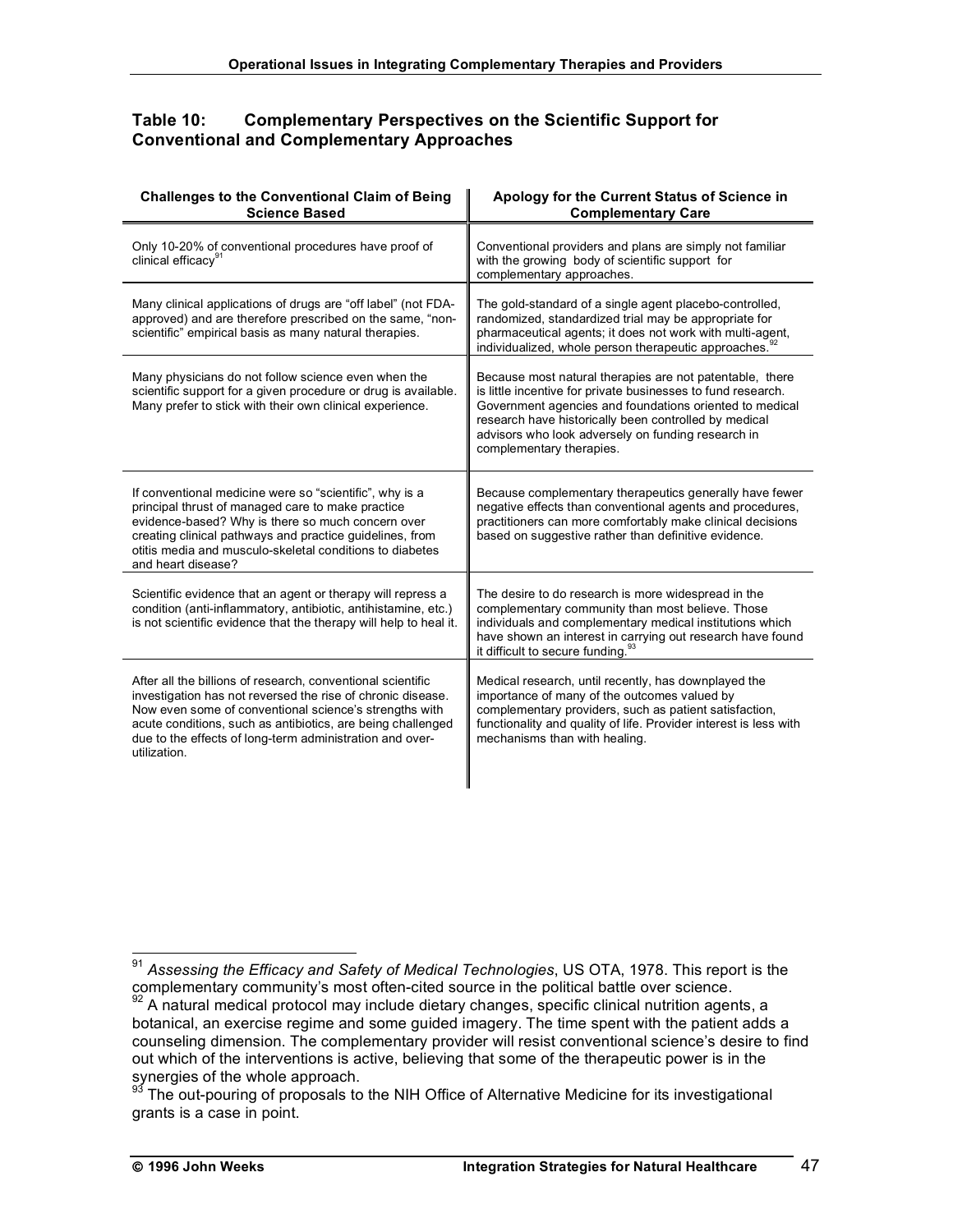#### **Table 10: Complementary Perspectives on the Scientific Support for Conventional and Complementary Approaches**

| <b>Challenges to the Conventional Claim of Being</b><br><b>Science Based</b>                                                                                                                                                                                                                                                    | Apology for the Current Status of Science in<br><b>Complementary Care</b>                                                                                                                                                                                                                                                      |
|---------------------------------------------------------------------------------------------------------------------------------------------------------------------------------------------------------------------------------------------------------------------------------------------------------------------------------|--------------------------------------------------------------------------------------------------------------------------------------------------------------------------------------------------------------------------------------------------------------------------------------------------------------------------------|
| Only 10-20% of conventional procedures have proof of<br>clinical efficacy <sup>91</sup>                                                                                                                                                                                                                                         | Conventional providers and plans are simply not familiar<br>with the growing body of scientific support for<br>complementary approaches.                                                                                                                                                                                       |
| Many clinical applications of drugs are "off label" (not FDA-<br>approved) and are therefore prescribed on the same, "non-<br>scientific" empirical basis as many natural therapies.                                                                                                                                            | The gold-standard of a single agent placebo-controlled,<br>randomized, standardized trial may be appropriate for<br>pharmaceutical agents; it does not work with multi-agent,<br>individualized, whole person therapeutic approaches.                                                                                          |
| Many physicians do not follow science even when the<br>scientific support for a given procedure or drug is available.<br>Many prefer to stick with their own clinical experience.                                                                                                                                               | Because most natural therapies are not patentable, there<br>is little incentive for private businesses to fund research.<br>Government agencies and foundations oriented to medical<br>research have historically been controlled by medical<br>advisors who look adversely on funding research in<br>complementary therapies. |
| If conventional medicine were so "scientific", why is a<br>principal thrust of managed care to make practice<br>evidence-based? Why is there so much concern over<br>creating clinical pathways and practice quidelines, from<br>otitis media and musculo-skeletal conditions to diabetes<br>and heart disease?                 | Because complementary therapeutics generally have fewer<br>negative effects than conventional agents and procedures,<br>practitioners can more comfortably make clinical decisions<br>based on suggestive rather than definitive evidence.                                                                                     |
| Scientific evidence that an agent or therapy will repress a<br>condition (anti-inflammatory, antibiotic, antihistamine, etc.)<br>is not scientific evidence that the therapy will help to heal it.                                                                                                                              | The desire to do research is more widespread in the<br>complementary community than most believe. Those<br>individuals and complementary medical institutions which<br>have shown an interest in carrying out research have found<br>it difficult to secure funding. <sup>93</sup>                                             |
| After all the billions of research, conventional scientific<br>investigation has not reversed the rise of chronic disease.<br>Now even some of conventional science's strengths with<br>acute conditions, such as antibiotics, are being challenged<br>due to the effects of long-term administration and over-<br>utilization. | Medical research, until recently, has downplayed the<br>importance of many of the outcomes valued by<br>complementary providers, such as patient satisfaction,<br>functionality and quality of life. Provider interest is less with<br>mechanisms than with healing.                                                           |

 <sup>91</sup> *Assessing the Efficacy and Safety of Medical Technologies*, US OTA, 1978. This report is the

 $92$  A natural medical protocol may include dietary changes, specific clinical nutrition agents, a botanical, an exercise regime and some guided imagery. The time spent with the patient adds a counseling dimension. The complementary provider will resist conventional science's desire to find out which of the interventions is active, believing that some of the therapeutic power is in the synergies of the whole approach.

The out-pouring of proposals to the NIH Office of Alternative Medicine for its investigational grants is a case in point.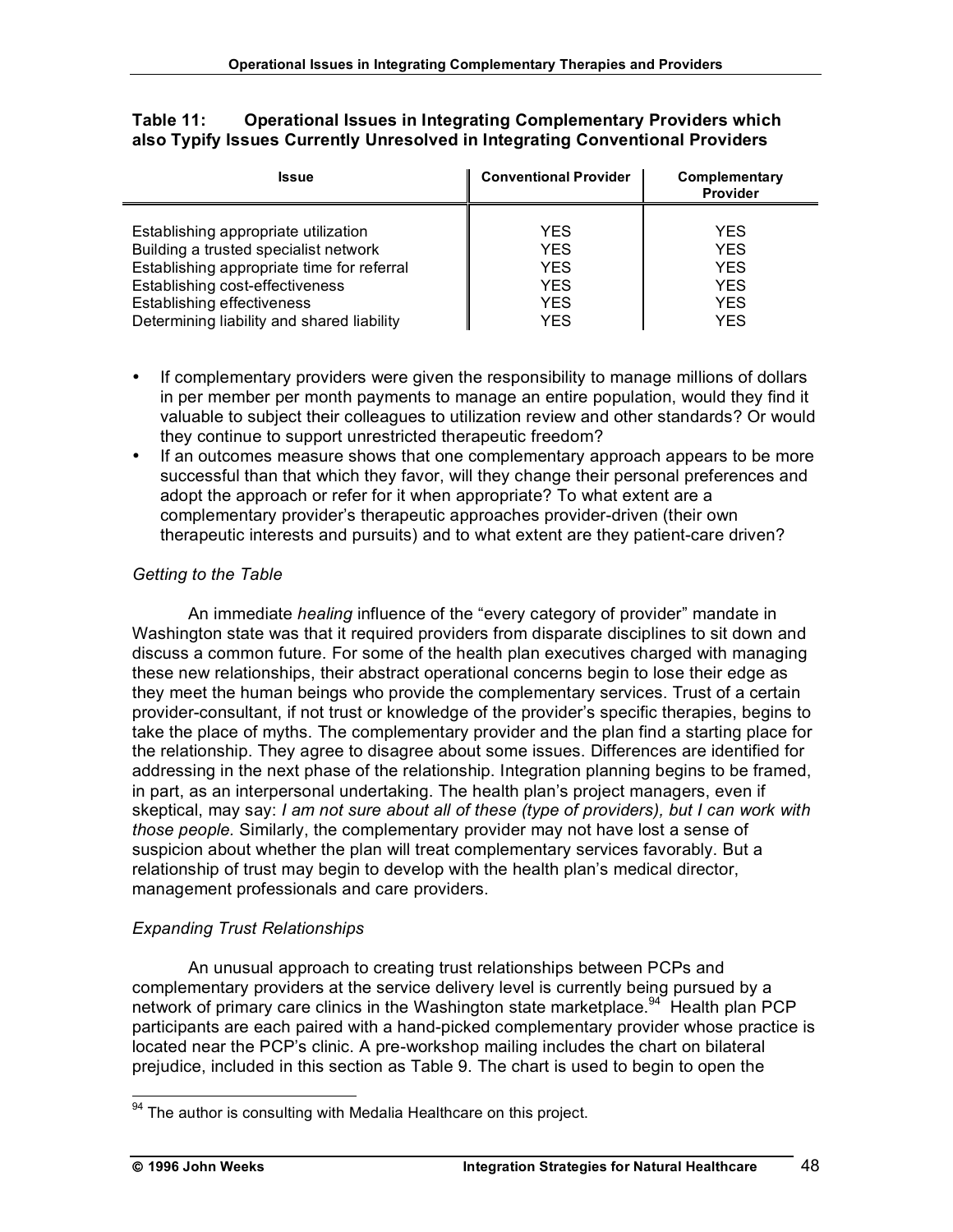| <b>Issue</b>                               | <b>Conventional Provider</b> | Complementary<br><b>Provider</b> |
|--------------------------------------------|------------------------------|----------------------------------|
| Establishing appropriate utilization       | <b>YFS</b>                   | YES.                             |
| Building a trusted specialist network      | <b>YFS</b>                   | <b>YES</b>                       |
| Establishing appropriate time for referral | <b>YFS</b>                   | <b>YES</b>                       |
| Establishing cost-effectiveness            | <b>YFS</b>                   | <b>YES</b>                       |
| Establishing effectiveness                 | <b>YES</b>                   | <b>YES</b>                       |
| Determining liability and shared liability | <b>YES</b>                   | <b>YES</b>                       |

#### **Table 11: Operational Issues in Integrating Complementary Providers which also Typify Issues Currently Unresolved in Integrating Conventional Providers**

- If complementary providers were given the responsibility to manage millions of dollars in per member per month payments to manage an entire population, would they find it valuable to subject their colleagues to utilization review and other standards? Or would they continue to support unrestricted therapeutic freedom?
- If an outcomes measure shows that one complementary approach appears to be more successful than that which they favor, will they change their personal preferences and adopt the approach or refer for it when appropriate? To what extent are a complementary provider's therapeutic approaches provider-driven (their own therapeutic interests and pursuits) and to what extent are they patient-care driven?

# *Getting to the Table*

An immediate *healing* influence of the "every category of provider" mandate in Washington state was that it required providers from disparate disciplines to sit down and discuss a common future. For some of the health plan executives charged with managing these new relationships, their abstract operational concerns begin to lose their edge as they meet the human beings who provide the complementary services. Trust of a certain provider-consultant, if not trust or knowledge of the provider's specific therapies, begins to take the place of myths. The complementary provider and the plan find a starting place for the relationship. They agree to disagree about some issues. Differences are identified for addressing in the next phase of the relationship. Integration planning begins to be framed, in part, as an interpersonal undertaking. The health plan's project managers, even if skeptical, may say: *I am not sure about all of these (type of providers), but I can work with those people.* Similarly, the complementary provider may not have lost a sense of suspicion about whether the plan will treat complementary services favorably. But a relationship of trust may begin to develop with the health plan's medical director, management professionals and care providers.

# *Expanding Trust Relationships*

An unusual approach to creating trust relationships between PCPs and complementary providers at the service delivery level is currently being pursued by a network of primary care clinics in the Washington state marketplace.<sup>94</sup> Health plan PCP participants are each paired with a hand-picked complementary provider whose practice is located near the PCP's clinic. A pre-workshop mailing includes the chart on bilateral prejudice, included in this section as Table 9. The chart is used to begin to open the

 $94$  The author is consulting with Medalia Healthcare on this project.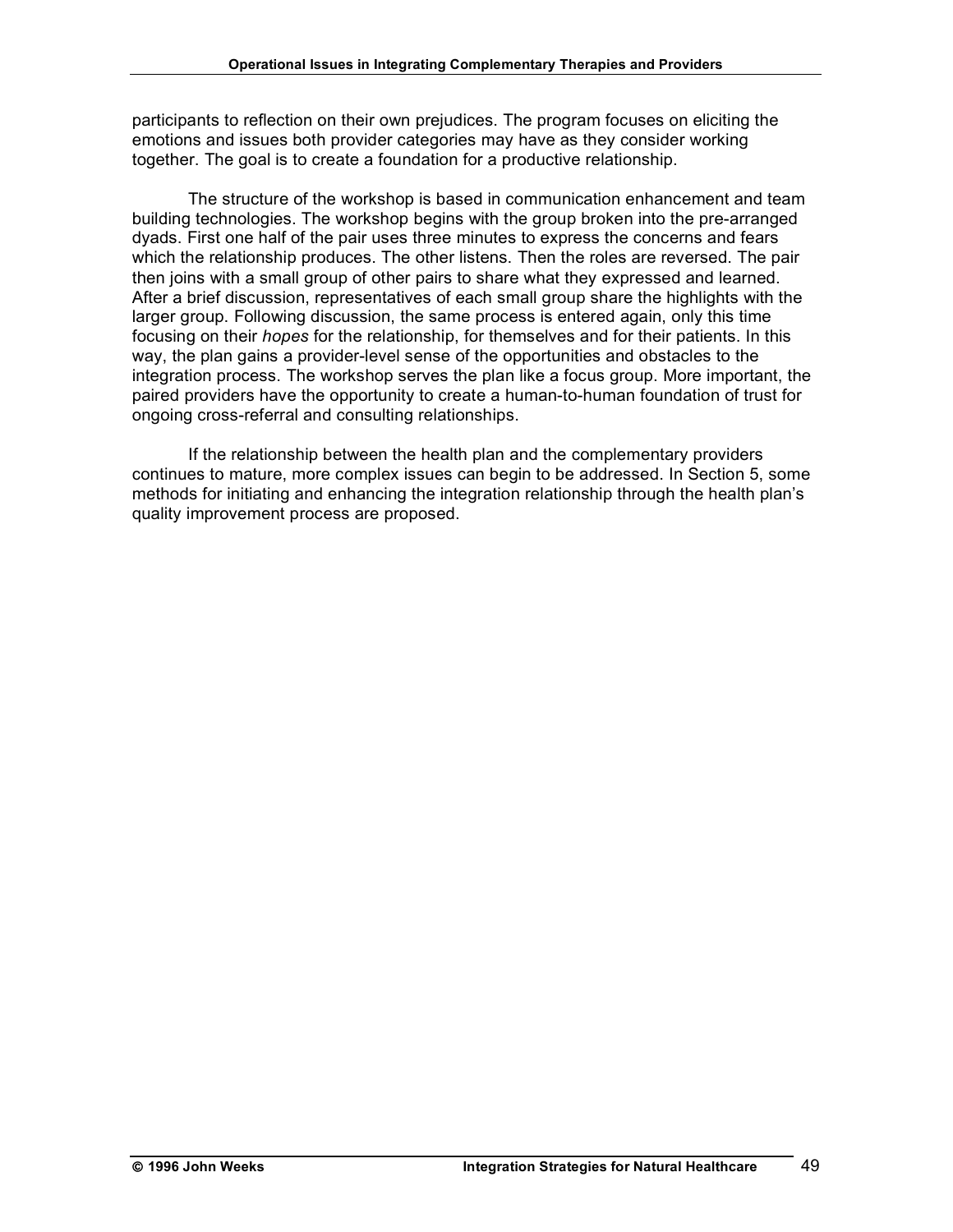participants to reflection on their own prejudices. The program focuses on eliciting the emotions and issues both provider categories may have as they consider working together. The goal is to create a foundation for a productive relationship.

The structure of the workshop is based in communication enhancement and team building technologies. The workshop begins with the group broken into the pre-arranged dyads. First one half of the pair uses three minutes to express the concerns and fears which the relationship produces. The other listens. Then the roles are reversed. The pair then joins with a small group of other pairs to share what they expressed and learned. After a brief discussion, representatives of each small group share the highlights with the larger group. Following discussion, the same process is entered again, only this time focusing on their *hopes* for the relationship, for themselves and for their patients. In this way, the plan gains a provider-level sense of the opportunities and obstacles to the integration process. The workshop serves the plan like a focus group. More important, the paired providers have the opportunity to create a human-to-human foundation of trust for ongoing cross-referral and consulting relationships.

If the relationship between the health plan and the complementary providers continues to mature, more complex issues can begin to be addressed. In Section 5, some methods for initiating and enhancing the integration relationship through the health plan's quality improvement process are proposed.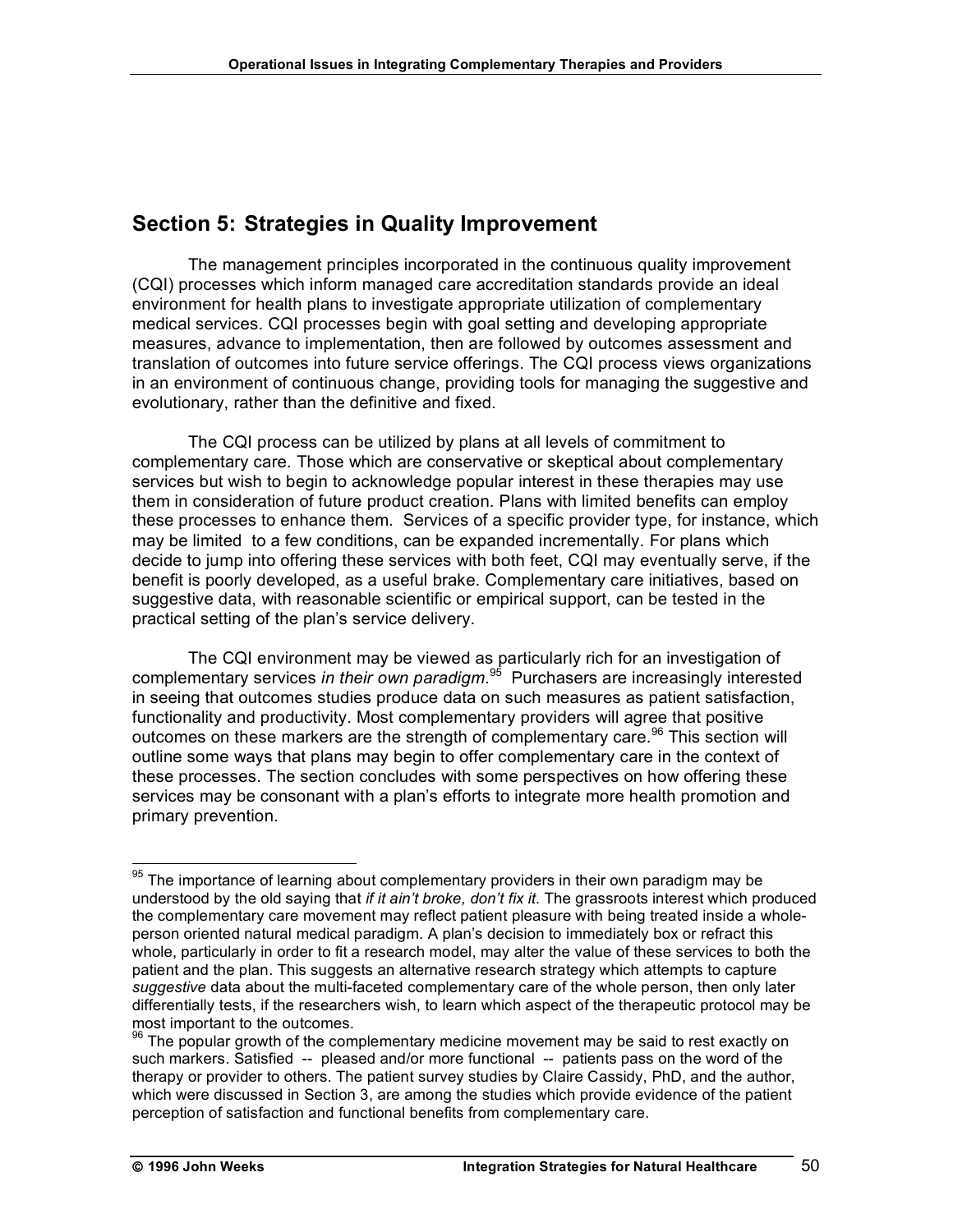# **Section 5: Strategies in Quality Improvement**

The management principles incorporated in the continuous quality improvement (CQI) processes which inform managed care accreditation standards provide an ideal environment for health plans to investigate appropriate utilization of complementary medical services. CQI processes begin with goal setting and developing appropriate measures, advance to implementation, then are followed by outcomes assessment and translation of outcomes into future service offerings. The CQI process views organizations in an environment of continuous change, providing tools for managing the suggestive and evolutionary, rather than the definitive and fixed.

The CQI process can be utilized by plans at all levels of commitment to complementary care. Those which are conservative or skeptical about complementary services but wish to begin to acknowledge popular interest in these therapies may use them in consideration of future product creation. Plans with limited benefits can employ these processes to enhance them. Services of a specific provider type, for instance, which may be limited to a few conditions, can be expanded incrementally. For plans which decide to jump into offering these services with both feet, CQI may eventually serve, if the benefit is poorly developed, as a useful brake. Complementary care initiatives, based on suggestive data, with reasonable scientific or empirical support, can be tested in the practical setting of the plan's service delivery.

The CQI environment may be viewed as particularly rich for an investigation of complementary services *in their own paradigm*. <sup>95</sup> Purchasers are increasingly interested in seeing that outcomes studies produce data on such measures as patient satisfaction, functionality and productivity. Most complementary providers will agree that positive outcomes on these markers are the strength of complementary care.<sup>96</sup> This section will outline some ways that plans may begin to offer complementary care in the context of these processes. The section concludes with some perspectives on how offering these services may be consonant with a plan's efforts to integrate more health promotion and primary prevention.

<sup>&</sup>lt;sup>95</sup> The importance of learning about complementary providers in their own paradigm may be understood by the old saying that *if it ain't broke, don't fix it.* The grassroots interest which produced the complementary care movement may reflect patient pleasure with being treated inside a wholeperson oriented natural medical paradigm. A plan's decision to immediately box or refract this whole, particularly in order to fit a research model, may alter the value of these services to both the patient and the plan. This suggests an alternative research strategy which attempts to capture *suggestive* data about the multi-faceted complementary care of the whole person, then only later differentially tests, if the researchers wish, to learn which aspect of the therapeutic protocol may be most important to the outcomes.<br><sup>96</sup> The popular growth of the complementary medicine movement may be said to rest exactly on

such markers. Satisfied -- pleased and/or more functional -- patients pass on the word of the therapy or provider to others. The patient survey studies by Claire Cassidy, PhD, and the author, which were discussed in Section 3, are among the studies which provide evidence of the patient perception of satisfaction and functional benefits from complementary care.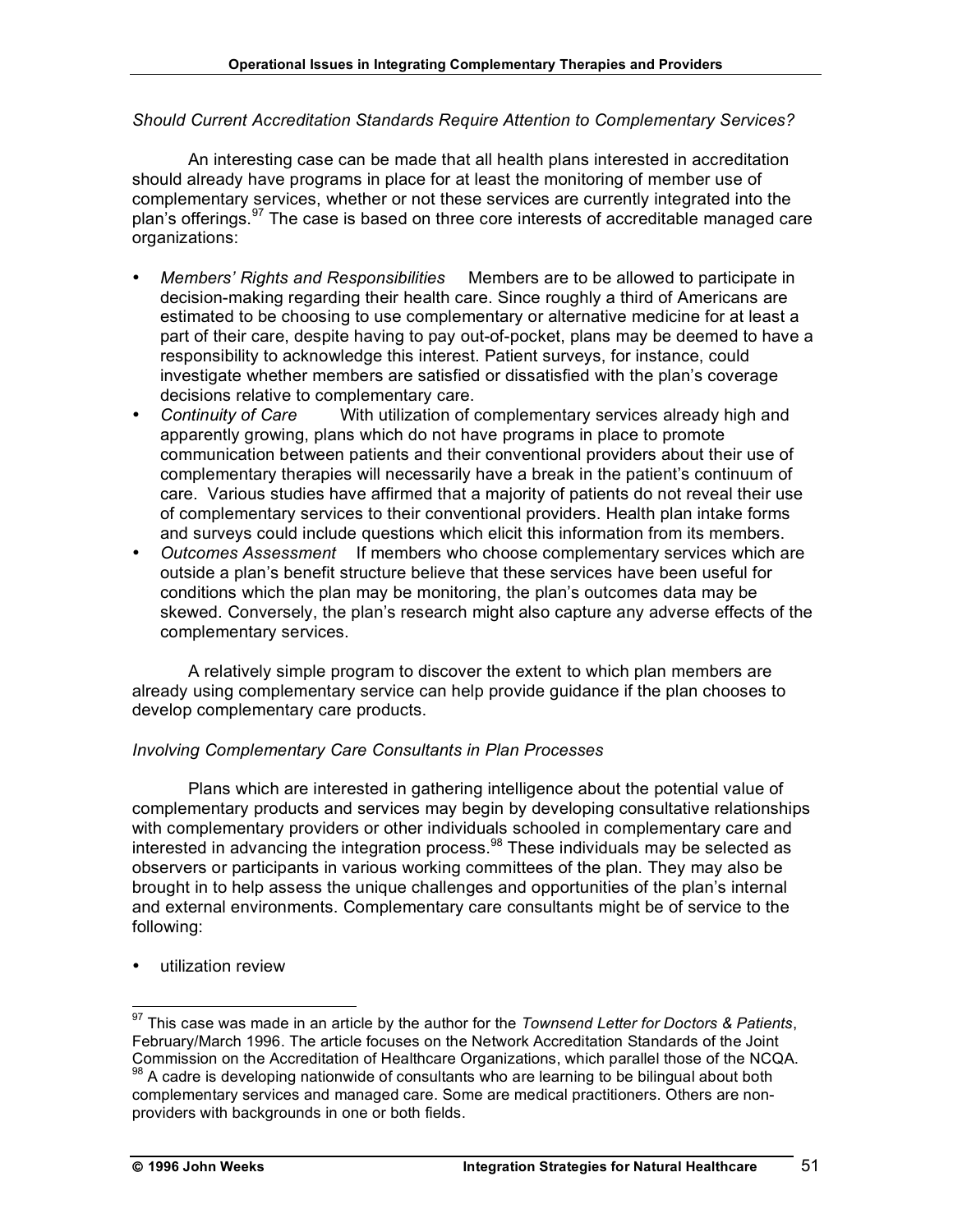# *Should Current Accreditation Standards Require Attention to Complementary Services?*

An interesting case can be made that all health plans interested in accreditation should already have programs in place for at least the monitoring of member use of complementary services, whether or not these services are currently integrated into the plan's offerings.<sup>97</sup> The case is based on three core interests of accreditable managed care organizations:

- *Members' Rights and Responsibilities* Members are to be allowed to participate in decision-making regarding their health care. Since roughly a third of Americans are estimated to be choosing to use complementary or alternative medicine for at least a part of their care, despite having to pay out-of-pocket, plans may be deemed to have a responsibility to acknowledge this interest. Patient surveys, for instance, could investigate whether members are satisfied or dissatisfied with the plan's coverage decisions relative to complementary care.
- *Continuity of Care* With utilization of complementary services already high and apparently growing, plans which do not have programs in place to promote communication between patients and their conventional providers about their use of complementary therapies will necessarily have a break in the patient's continuum of care. Various studies have affirmed that a majority of patients do not reveal their use of complementary services to their conventional providers. Health plan intake forms and surveys could include questions which elicit this information from its members.
- *Outcomes Assessment* If members who choose complementary services which are outside a plan's benefit structure believe that these services have been useful for conditions which the plan may be monitoring, the plan's outcomes data may be skewed. Conversely, the plan's research might also capture any adverse effects of the complementary services.

A relatively simple program to discover the extent to which plan members are already using complementary service can help provide guidance if the plan chooses to develop complementary care products.

# *Involving Complementary Care Consultants in Plan Processes*

Plans which are interested in gathering intelligence about the potential value of complementary products and services may begin by developing consultative relationships with complementary providers or other individuals schooled in complementary care and interested in advancing the integration process.<sup>98</sup> These individuals may be selected as observers or participants in various working committees of the plan. They may also be brought in to help assess the unique challenges and opportunities of the plan's internal and external environments. Complementary care consultants might be of service to the following:

• utilization review

 <sup>97</sup> This case was made in an article by the author for the *Townsend Letter for Doctors & Patients*, February/March 1996. The article focuses on the Network Accreditation Standards of the Joint Commission on the Accreditation of Healthcare Organizations, which parallel those of the NCQA. <sup>98</sup> A cadre is developing nationwide of consultants who are learning to be bilingual about both

complementary services and managed care. Some are medical practitioners. Others are nonproviders with backgrounds in one or both fields.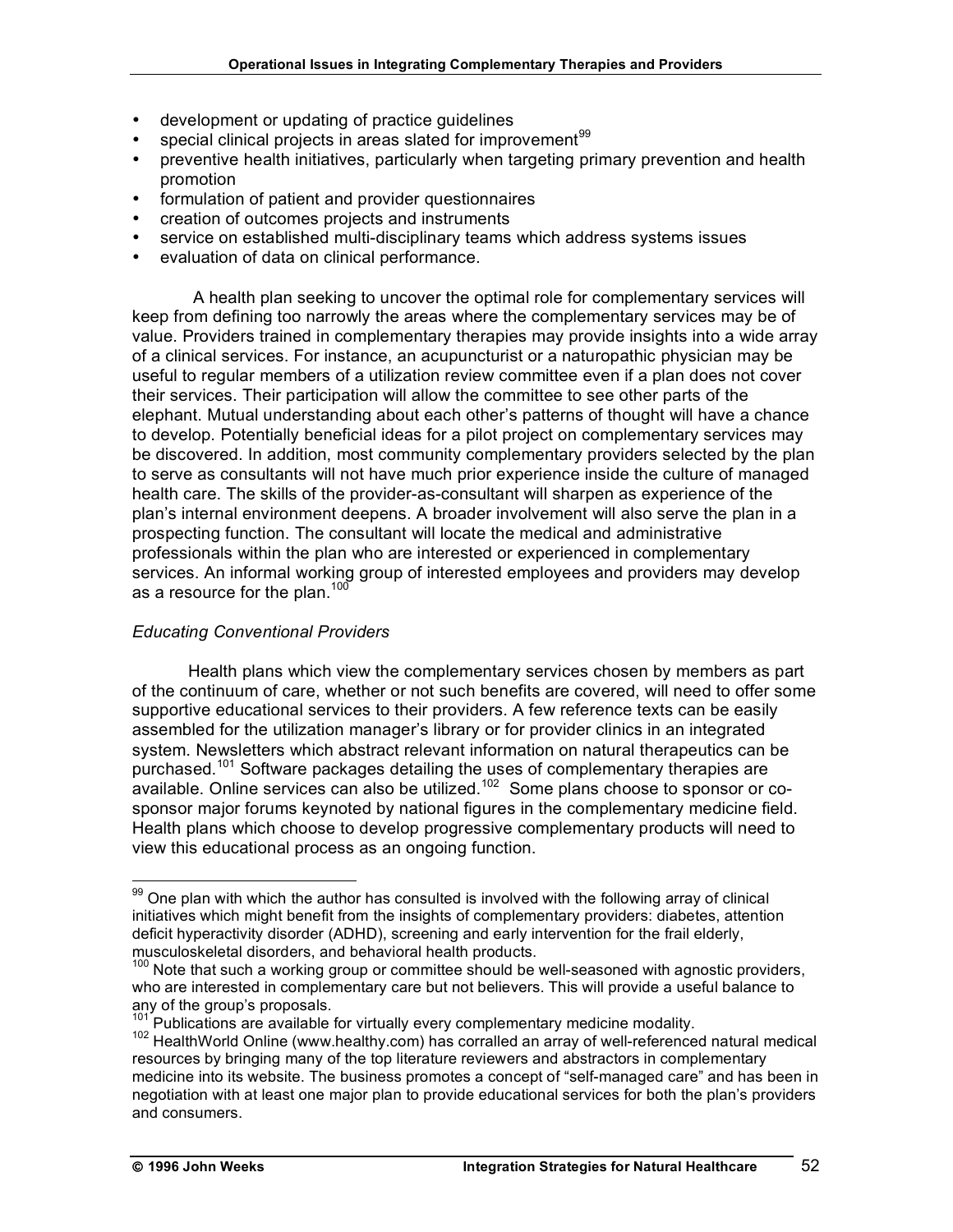- development or updating of practice guidelines
- special clinical projects in areas slated for improvement<sup>99</sup>
- preventive health initiatives, particularly when targeting primary prevention and health promotion
- formulation of patient and provider questionnaires
- creation of outcomes projects and instruments
- service on established multi-disciplinary teams which address systems issues
- evaluation of data on clinical performance.

A health plan seeking to uncover the optimal role for complementary services will keep from defining too narrowly the areas where the complementary services may be of value. Providers trained in complementary therapies may provide insights into a wide array of a clinical services. For instance, an acupuncturist or a naturopathic physician may be useful to regular members of a utilization review committee even if a plan does not cover their services. Their participation will allow the committee to see other parts of the elephant. Mutual understanding about each other's patterns of thought will have a chance to develop. Potentially beneficial ideas for a pilot project on complementary services may be discovered. In addition, most community complementary providers selected by the plan to serve as consultants will not have much prior experience inside the culture of managed health care. The skills of the provider-as-consultant will sharpen as experience of the plan's internal environment deepens. A broader involvement will also serve the plan in a prospecting function. The consultant will locate the medical and administrative professionals within the plan who are interested or experienced in complementary services. An informal working group of interested employees and providers may develop as a resource for the plan.<sup>100</sup>

# *Educating Conventional Providers*

Health plans which view the complementary services chosen by members as part of the continuum of care, whether or not such benefits are covered, will need to offer some supportive educational services to their providers. A few reference texts can be easily assembled for the utilization manager's library or for provider clinics in an integrated system. Newsletters which abstract relevant information on natural therapeutics can be purchased.<sup>101</sup> Software packages detailing the uses of complementary therapies are  $a$ vailable. Online services can also be utilized.<sup>102</sup> Some plans choose to sponsor or cosponsor major forums keynoted by national figures in the complementary medicine field. Health plans which choose to develop progressive complementary products will need to view this educational process as an ongoing function.

 $99$  One plan with which the author has consulted is involved with the following array of clinical initiatives which might benefit from the insights of complementary providers: diabetes, attention deficit hyperactivity disorder (ADHD), screening and early intervention for the frail elderly, musculoskeletal disorders, and behavioral health products.

<sup>100</sup> Note that such a working group or committee should be well-seasoned with agnostic providers, who are interested in complementary care but not believers. This will provide a useful balance to

any of the group's proposals.<br><sup>101</sup> Publications are available for virtually every complementary medicine modality.<br><sup>102</sup> HealthWorld Online (www.healthy.com) has corralled an array of well-referenced natural medical resources by bringing many of the top literature reviewers and abstractors in complementary medicine into its website. The business promotes a concept of "self-managed care" and has been in negotiation with at least one major plan to provide educational services for both the plan's providers and consumers.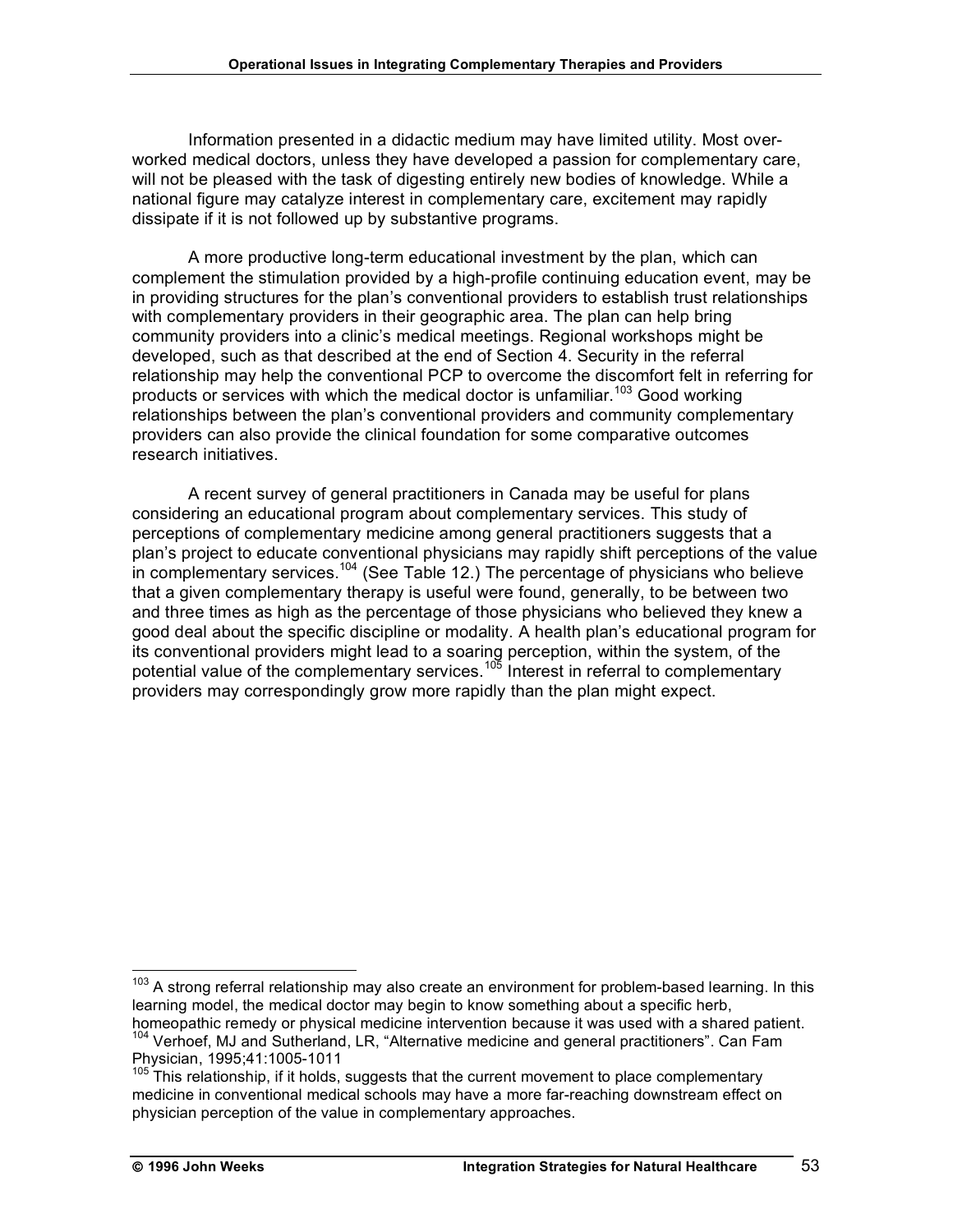Information presented in a didactic medium may have limited utility. Most overworked medical doctors, unless they have developed a passion for complementary care, will not be pleased with the task of digesting entirely new bodies of knowledge. While a national figure may catalyze interest in complementary care, excitement may rapidly dissipate if it is not followed up by substantive programs.

A more productive long-term educational investment by the plan, which can complement the stimulation provided by a high-profile continuing education event, may be in providing structures for the plan's conventional providers to establish trust relationships with complementary providers in their geographic area. The plan can help bring community providers into a clinic's medical meetings. Regional workshops might be developed, such as that described at the end of Section 4. Security in the referral relationship may help the conventional PCP to overcome the discomfort felt in referring for products or services with which the medical doctor is unfamiliar.<sup>103</sup> Good working relationships between the plan's conventional providers and community complementary providers can also provide the clinical foundation for some comparative outcomes research initiatives.

A recent survey of general practitioners in Canada may be useful for plans considering an educational program about complementary services. This study of perceptions of complementary medicine among general practitioners suggests that a plan's project to educate conventional physicians may rapidly shift perceptions of the value in complementary services.<sup>104</sup> (See Table 12.) The percentage of physicians who believe that a given complementary therapy is useful were found, generally, to be between two and three times as high as the percentage of those physicians who believed they knew a good deal about the specific discipline or modality. A health plan's educational program for its conventional providers might lead to a soaring perception, within the system, of the potential value of the complementary services.<sup>105</sup> Interest in referral to complementary providers may correspondingly grow more rapidly than the plan might expect.

 $103$  A strong referral relationship may also create an environment for problem-based learning. In this learning model, the medical doctor may begin to know something about a specific herb,<br>homeopathic remedy or physical medicine intervention because it was used with a shared patient.

homeopathic remedy or physical medicine<br><sup>104</sup> Verhoef, MJ and Sutherland, LR, "Alternative medicine and general practitioners". Can Fam Physician, 1995;41:1005-1011

<sup>&</sup>lt;sup>105</sup> This relationship, if it holds, suggests that the current movement to place complementary medicine in conventional medical schools may have a more far-reaching downstream effect on physician perception of the value in complementary approaches.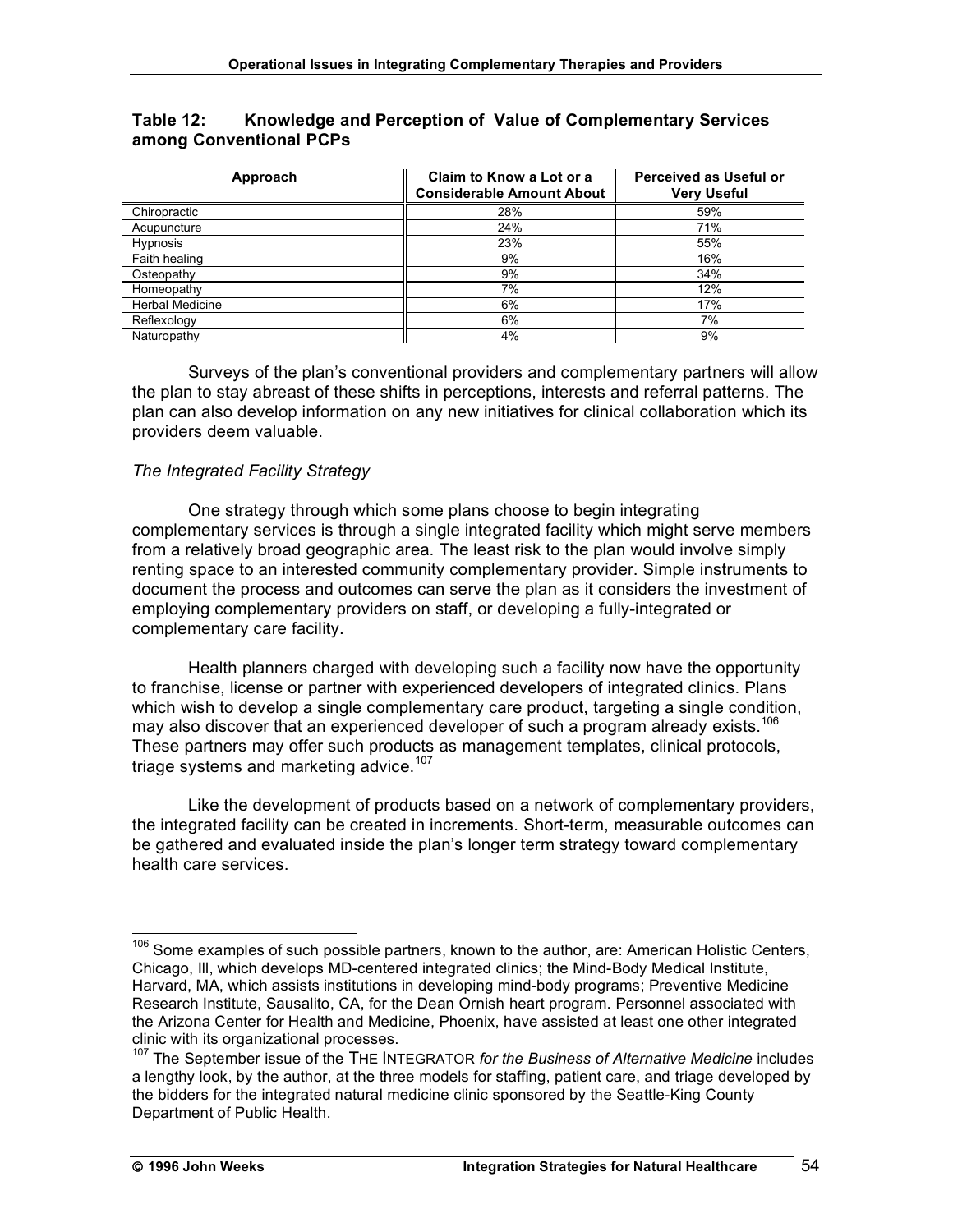| Approach               | Claim to Know a Lot or a<br><b>Considerable Amount About</b> | <b>Perceived as Useful or</b><br><b>Very Useful</b> |  |  |
|------------------------|--------------------------------------------------------------|-----------------------------------------------------|--|--|
| Chiropractic           | 28%                                                          | 59%                                                 |  |  |
| Acupuncture            | 24%                                                          | 71%                                                 |  |  |
| <b>Hypnosis</b>        | 23%                                                          | 55%                                                 |  |  |
| Faith healing          | 9%                                                           | 16%                                                 |  |  |
| Osteopathy             | 9%                                                           | 34%                                                 |  |  |
| Homeopathy             | 7%                                                           | 12%                                                 |  |  |
| <b>Herbal Medicine</b> | 6%                                                           | 17%                                                 |  |  |
| Reflexology            | 6%                                                           | 7%                                                  |  |  |
| Naturopathy            | 4%                                                           | 9%                                                  |  |  |

#### **Table 12: Knowledge and Perception of Value of Complementary Services among Conventional PCPs**

Surveys of the plan's conventional providers and complementary partners will allow the plan to stay abreast of these shifts in perceptions, interests and referral patterns. The plan can also develop information on any new initiatives for clinical collaboration which its providers deem valuable.

#### *The Integrated Facility Strategy*

One strategy through which some plans choose to begin integrating complementary services is through a single integrated facility which might serve members from a relatively broad geographic area. The least risk to the plan would involve simply renting space to an interested community complementary provider. Simple instruments to document the process and outcomes can serve the plan as it considers the investment of employing complementary providers on staff, or developing a fully-integrated or complementary care facility.

Health planners charged with developing such a facility now have the opportunity to franchise, license or partner with experienced developers of integrated clinics. Plans which wish to develop a single complementary care product, targeting a single condition, may also discover that an experienced developer of such a program already exists.<sup>106</sup> These partners may offer such products as management templates, clinical protocols, triage systems and marketing advice.<sup>107</sup>

Like the development of products based on a network of complementary providers, the integrated facility can be created in increments. Short-term, measurable outcomes can be gathered and evaluated inside the plan's longer term strategy toward complementary health care services.

<sup>&</sup>lt;sup>106</sup> Some examples of such possible partners, known to the author, are: American Holistic Centers, Chicago, Ill, which develops MD-centered integrated clinics; the Mind-Body Medical Institute, Harvard, MA, which assists institutions in developing mind-body programs; Preventive Medicine Research Institute, Sausalito, CA, for the Dean Ornish heart program. Personnel associated with the Arizona Center for Health and Medicine, Phoenix, have assisted at least one other integrated clinic with its organizational processes.

<sup>107</sup> The September issue of the THE INTEGRATOR *for the Business of Alternative Medicine* includes a lengthy look, by the author, at the three models for staffing, patient care, and triage developed by the bidders for the integrated natural medicine clinic sponsored by the Seattle-King County Department of Public Health.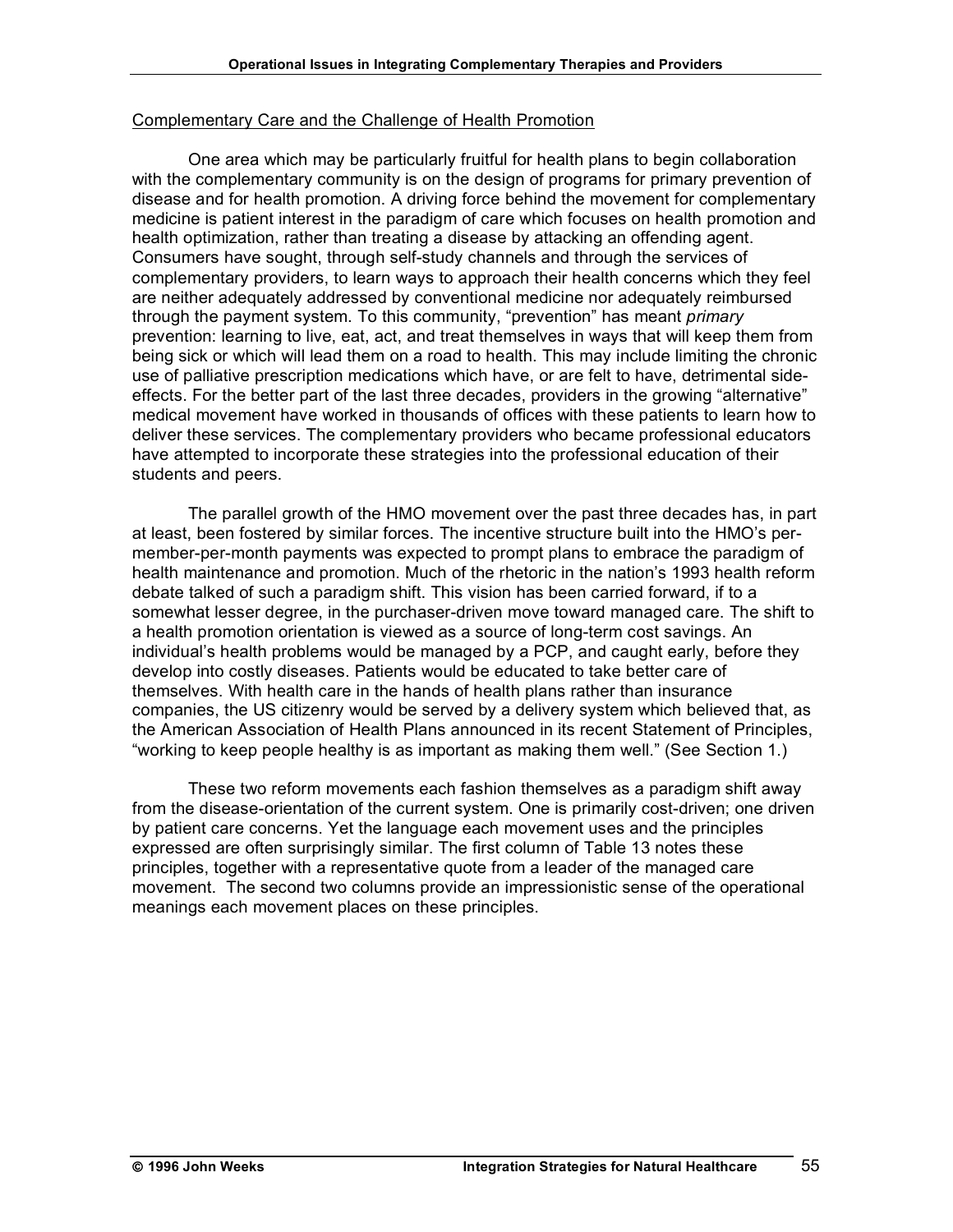#### Complementary Care and the Challenge of Health Promotion

One area which may be particularly fruitful for health plans to begin collaboration with the complementary community is on the design of programs for primary prevention of disease and for health promotion. A driving force behind the movement for complementary medicine is patient interest in the paradigm of care which focuses on health promotion and health optimization, rather than treating a disease by attacking an offending agent. Consumers have sought, through self-study channels and through the services of complementary providers, to learn ways to approach their health concerns which they feel are neither adequately addressed by conventional medicine nor adequately reimbursed through the payment system. To this community, "prevention" has meant *primary* prevention: learning to live, eat, act, and treat themselves in ways that will keep them from being sick or which will lead them on a road to health. This may include limiting the chronic use of palliative prescription medications which have, or are felt to have, detrimental sideeffects. For the better part of the last three decades, providers in the growing "alternative" medical movement have worked in thousands of offices with these patients to learn how to deliver these services. The complementary providers who became professional educators have attempted to incorporate these strategies into the professional education of their students and peers.

The parallel growth of the HMO movement over the past three decades has, in part at least, been fostered by similar forces. The incentive structure built into the HMO's permember-per-month payments was expected to prompt plans to embrace the paradigm of health maintenance and promotion. Much of the rhetoric in the nation's 1993 health reform debate talked of such a paradigm shift. This vision has been carried forward, if to a somewhat lesser degree, in the purchaser-driven move toward managed care. The shift to a health promotion orientation is viewed as a source of long-term cost savings. An individual's health problems would be managed by a PCP, and caught early, before they develop into costly diseases. Patients would be educated to take better care of themselves. With health care in the hands of health plans rather than insurance companies, the US citizenry would be served by a delivery system which believed that, as the American Association of Health Plans announced in its recent Statement of Principles, "working to keep people healthy is as important as making them well." (See Section 1.)

These two reform movements each fashion themselves as a paradigm shift away from the disease-orientation of the current system. One is primarily cost-driven; one driven by patient care concerns. Yet the language each movement uses and the principles expressed are often surprisingly similar. The first column of Table 13 notes these principles, together with a representative quote from a leader of the managed care movement. The second two columns provide an impressionistic sense of the operational meanings each movement places on these principles.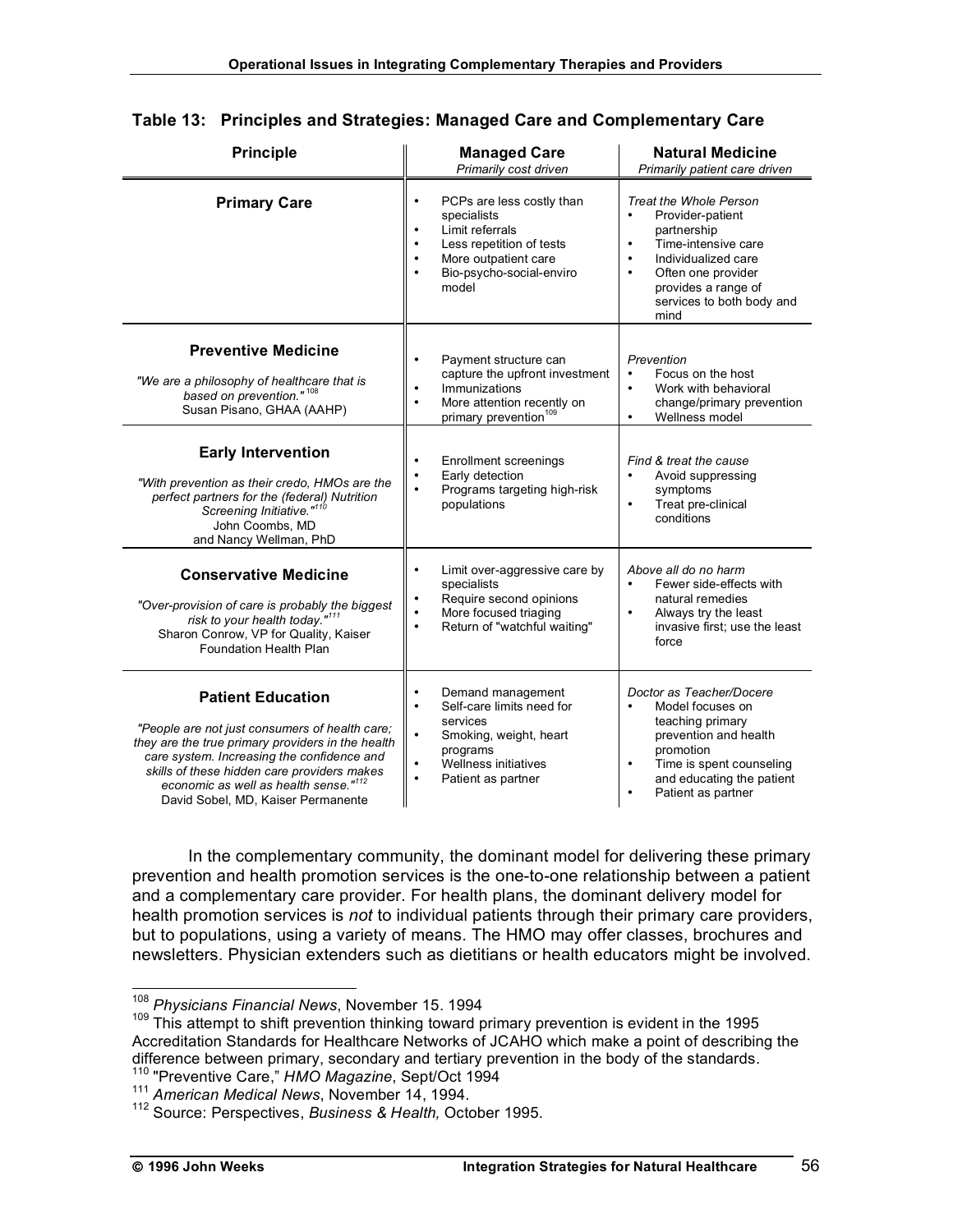| <b>Principle</b>                                                                                                                                                                                                                                                                                                        | <b>Managed Care</b><br>Primarily cost driven                                                                                                                      | <b>Natural Medicine</b><br>Primarily patient care driven                                                                                                                                                                                             |  |
|-------------------------------------------------------------------------------------------------------------------------------------------------------------------------------------------------------------------------------------------------------------------------------------------------------------------------|-------------------------------------------------------------------------------------------------------------------------------------------------------------------|------------------------------------------------------------------------------------------------------------------------------------------------------------------------------------------------------------------------------------------------------|--|
| <b>Primary Care</b>                                                                                                                                                                                                                                                                                                     | PCPs are less costly than<br>specialists<br>Limit referrals<br>Less repetition of tests<br>More outpatient care<br>$\bullet$<br>Bio-psycho-social-enviro<br>model | <b>Treat the Whole Person</b><br>$\bullet$<br>Provider-patient<br>partnership<br>Time-intensive care<br>$\bullet$<br>Individualized care<br>$\bullet$<br>Often one provider<br>$\bullet$<br>provides a range of<br>services to both body and<br>mind |  |
| <b>Preventive Medicine</b><br>"We are a philosophy of healthcare that is<br>based on prevention." 108<br>Susan Pisano, GHAA (AAHP)                                                                                                                                                                                      | Payment structure can<br>capture the upfront investment<br>Immunizations<br>More attention recently on<br>primary prevention <sup>109</sup>                       | Prevention<br>Focus on the host<br>$\bullet$<br>Work with behavioral<br>$\bullet$<br>change/primary prevention<br>Wellness model<br>$\bullet$                                                                                                        |  |
| <b>Early Intervention</b><br>"With prevention as their credo, HMOs are the<br>perfect partners for the (federal) Nutrition<br>Screening Initiative."110<br>John Coombs, MD<br>and Nancy Wellman, PhD                                                                                                                    | <b>Enrollment screenings</b><br>Early detection<br>Programs targeting high-risk<br>populations                                                                    | Find & treat the cause<br>$\bullet$<br>Avoid suppressing<br>symptoms<br>Treat pre-clinical<br>$\bullet$<br>conditions                                                                                                                                |  |
| <b>Conservative Medicine</b><br>"Over-provision of care is probably the biggest<br>risk to your health today."111<br>Sharon Conrow, VP for Quality, Kaiser<br><b>Foundation Health Plan</b>                                                                                                                             | Limit over-aggressive care by<br>specialists<br>Require second opinions<br>More focused triaging<br>Return of "watchful waiting"                                  | Above all do no harm<br>Fewer side-effects with<br>$\bullet$<br>natural remedies<br>Always try the least<br>invasive first; use the least<br>force                                                                                                   |  |
| <b>Patient Education</b><br>"People are not just consumers of health care;<br>they are the true primary providers in the health<br>care system. Increasing the confidence and<br>skills of these hidden care providers makes<br>economic as well as health sense." <sup>112</sup><br>David Sobel, MD, Kaiser Permanente | Demand management<br>Self-care limits need for<br>services<br>Smoking, weight, heart<br>programs<br>Wellness initiatives<br>Patient as partner<br>$\bullet$       | Doctor as Teacher/Docere<br>$\bullet$<br>Model focuses on<br>teaching primary<br>prevention and health<br>promotion<br>$\bullet$<br>Time is spent counseling<br>and educating the patient<br>Patient as partner                                      |  |

| Table 13: Principles and Strategies: Managed Care and Complementary Care |  |  |  |
|--------------------------------------------------------------------------|--|--|--|
|                                                                          |  |  |  |

In the complementary community, the dominant model for delivering these primary prevention and health promotion services is the one-to-one relationship between a patient and a complementary care provider. For health plans, the dominant delivery model for health promotion services is *not* to individual patients through their primary care providers, but to populations, using a variety of means. The HMO may offer classes, brochures and newsletters. Physician extenders such as dietitians or health educators might be involved.

 <sup>108</sup> *Physicians Financial News*, November 15. <sup>1994</sup>

<sup>&</sup>lt;sup>109</sup> This attempt to shift prevention thinking toward primary prevention is evident in the 1995 Accreditation Standards for Healthcare Networks of JCAHO which make a point of describing the difference between primary, secondary and tertiary prevention in the body of the standards. difference between primary, secondary and tertiary prevention in the body of the standards.<br><sup>110</sup> "Preventive Care," *HMO Magazine*, Sept/Oct 1994

<sup>111</sup> *American Medical News*, November 14, 1994. <sup>112</sup> Source: Perspectives, *Business & Health,* October 1995.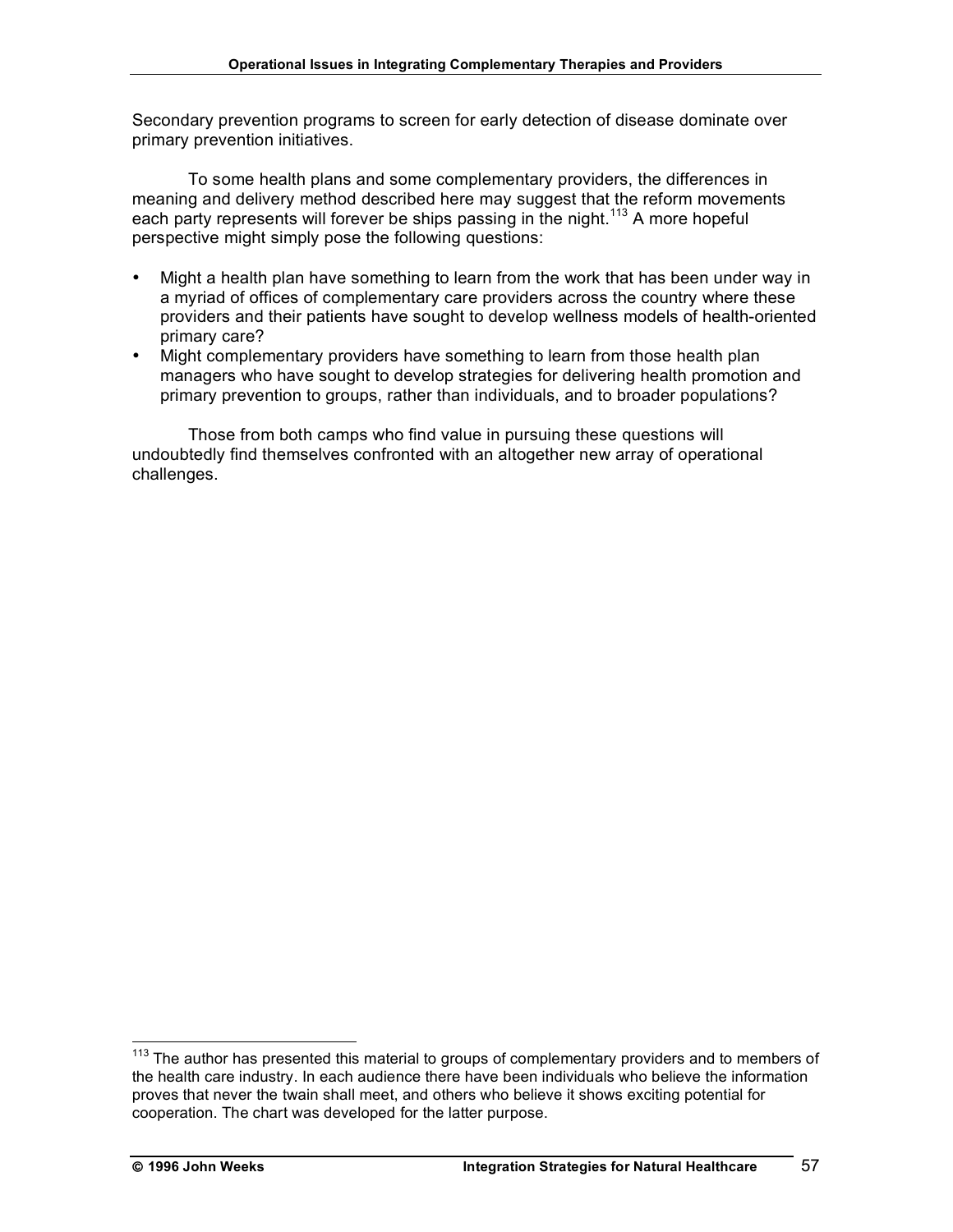Secondary prevention programs to screen for early detection of disease dominate over primary prevention initiatives.

To some health plans and some complementary providers, the differences in meaning and delivery method described here may suggest that the reform movements each party represents will forever be ships passing in the night.<sup>113</sup> A more hopeful perspective might simply pose the following questions:

- Might a health plan have something to learn from the work that has been under way in a myriad of offices of complementary care providers across the country where these providers and their patients have sought to develop wellness models of health-oriented primary care?
- Might complementary providers have something to learn from those health plan managers who have sought to develop strategies for delivering health promotion and primary prevention to groups, rather than individuals, and to broader populations?

Those from both camps who find value in pursuing these questions will undoubtedly find themselves confronted with an altogether new array of operational challenges.

<sup>&</sup>lt;sup>113</sup> The author has presented this material to groups of complementary providers and to members of the health care industry. In each audience there have been individuals who believe the information proves that never the twain shall meet, and others who believe it shows exciting potential for cooperation. The chart was developed for the latter purpose.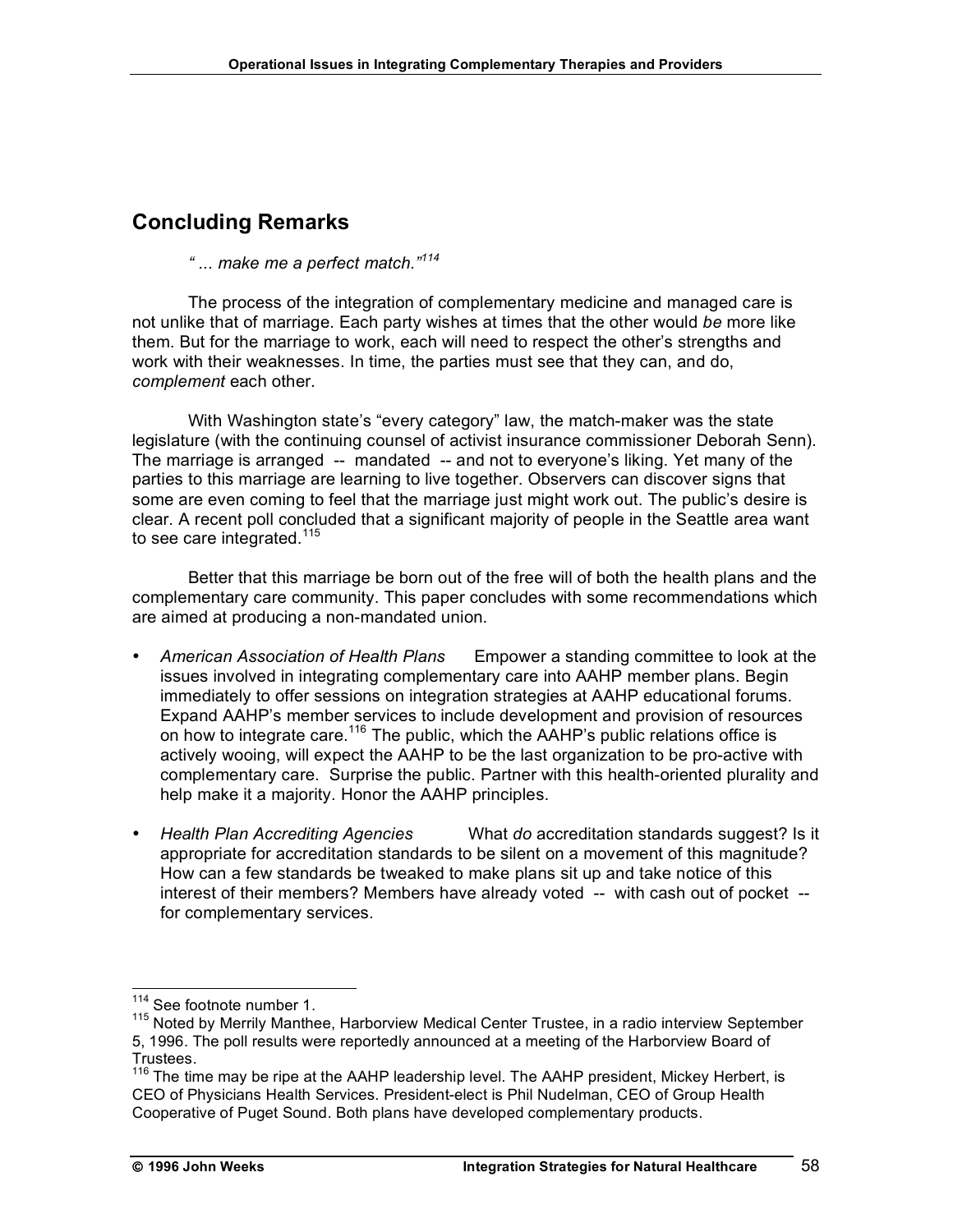# **Concluding Remarks**

*" ... make me a perfect match." 114*

The process of the integration of complementary medicine and managed care is not unlike that of marriage. Each party wishes at times that the other would *be* more like them. But for the marriage to work, each will need to respect the other's strengths and work with their weaknesses. In time, the parties must see that they can, and do, *complement* each other.

With Washington state's "every category" law, the match-maker was the state legislature (with the continuing counsel of activist insurance commissioner Deborah Senn). The marriage is arranged -- mandated -- and not to everyone's liking. Yet many of the parties to this marriage are learning to live together. Observers can discover signs that some are even coming to feel that the marriage just might work out. The public's desire is clear. A recent poll concluded that a significant majority of people in the Seattle area want to see care integrated. $115$ 

Better that this marriage be born out of the free will of both the health plans and the complementary care community. This paper concludes with some recommendations which are aimed at producing a non-mandated union.

- *American Association of Health Plans* Empower a standing committee to look at the issues involved in integrating complementary care into AAHP member plans. Begin immediately to offer sessions on integration strategies at AAHP educational forums. Expand AAHP's member services to include development and provision of resources on how to integrate care.<sup>116</sup> The public, which the AAHP's public relations office is actively wooing, will expect the AAHP to be the last organization to be pro-active with complementary care. Surprise the public. Partner with this health-oriented plurality and help make it a majority. Honor the AAHP principles.
- *Health Plan Accrediting Agencies* What *do* accreditation standards suggest? Is it appropriate for accreditation standards to be silent on a movement of this magnitude? How can a few standards be tweaked to make plans sit up and take notice of this interest of their members? Members have already voted -- with cash out of pocket - for complementary services.

<sup>&</sup>lt;sup>114</sup> See footnote number 1.<br><sup>115</sup> Noted by Merrily Manthee, Harborview Medical Center Trustee, in a radio interview September 5, 1996. The poll results were reportedly announced at a meeting of the Harborview Board of

Trustees.<br><sup>116</sup> The time may be ripe at the AAHP leadership level. The AAHP president, Mickey Herbert, is CEO of Physicians Health Services. President-elect is Phil Nudelman, CEO of Group Health Cooperative of Puget Sound. Both plans have developed complementary products.